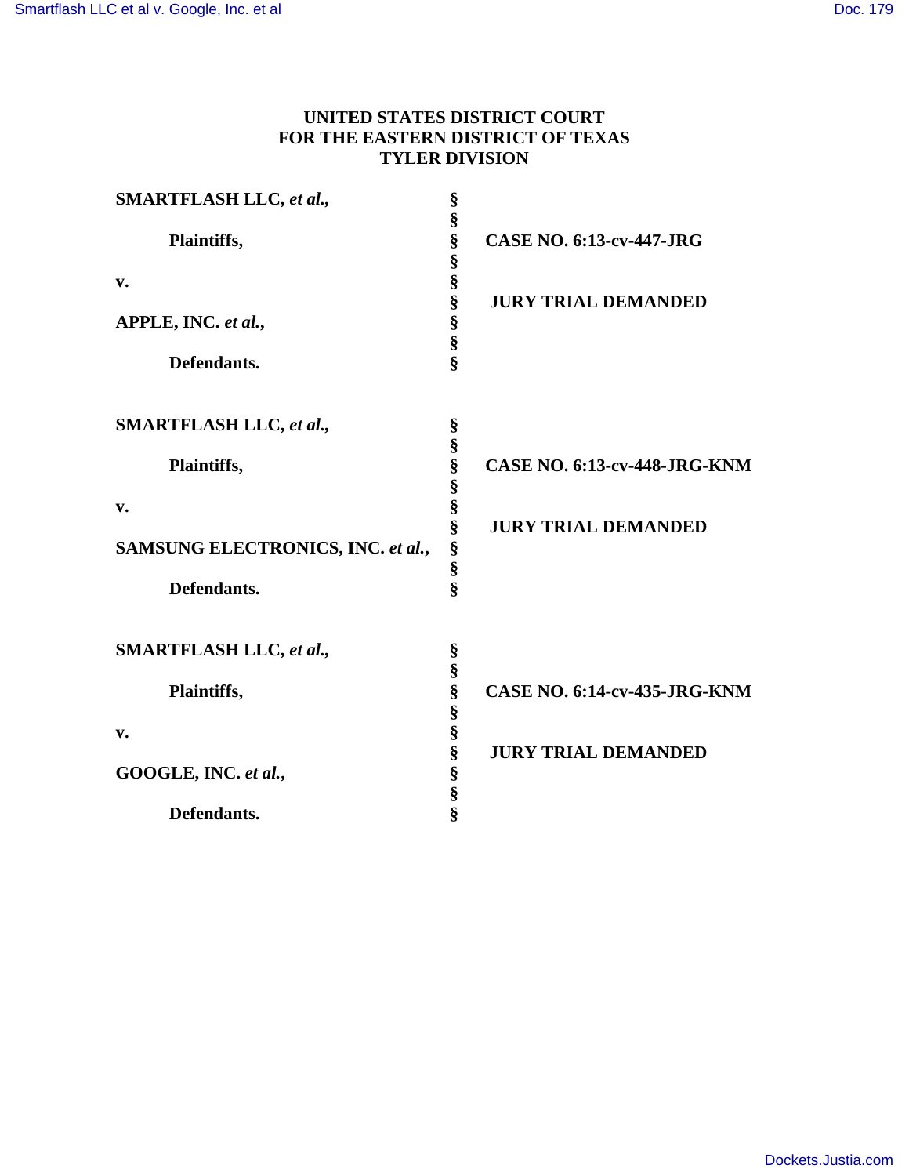# **UNITED STATES DISTRICT COURT FOR THE EASTERN DISTRICT OF TEXAS TYLER DIVISION**

| § | <b>CASE NO. 6:13-cv-447-JRG</b>                                                                                                       |
|---|---------------------------------------------------------------------------------------------------------------------------------------|
|   |                                                                                                                                       |
|   | <b>JURY TRIAL DEMANDED</b>                                                                                                            |
|   |                                                                                                                                       |
|   |                                                                                                                                       |
|   |                                                                                                                                       |
| § |                                                                                                                                       |
|   |                                                                                                                                       |
|   | <b>CASE NO. 6:13-cv-448-JRG-KNM</b>                                                                                                   |
|   |                                                                                                                                       |
|   |                                                                                                                                       |
|   | <b>JURY TRIAL DEMANDED</b>                                                                                                            |
|   |                                                                                                                                       |
|   |                                                                                                                                       |
|   |                                                                                                                                       |
|   |                                                                                                                                       |
|   |                                                                                                                                       |
| § | <b>CASE NO. 6:14-cv-435-JRG-KNM</b>                                                                                                   |
|   |                                                                                                                                       |
|   |                                                                                                                                       |
|   | <b>JURY TRIAL DEMANDED</b>                                                                                                            |
|   |                                                                                                                                       |
|   |                                                                                                                                       |
|   |                                                                                                                                       |
|   | §<br>§<br>§<br>§<br>§<br>§<br>§<br>$\hat{\mathbf{S}}$<br>§<br>§<br>S<br>S<br>S<br>§<br>§<br>§<br>§<br>§<br>§<br>§<br>§<br>§<br>§<br>ş |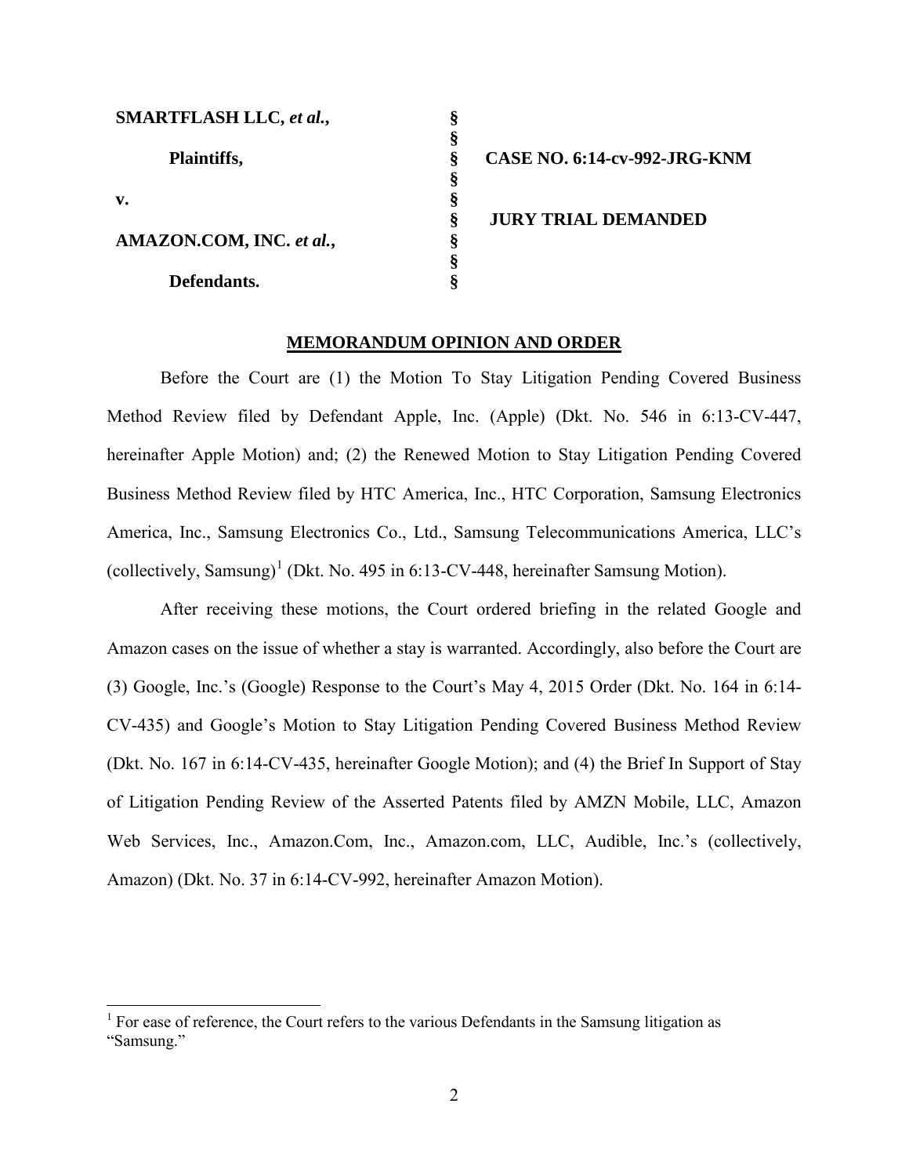| <b>SMARTFLASH LLC, et al.,</b> |    |                                     |
|--------------------------------|----|-------------------------------------|
|                                | S  |                                     |
| Plaintiffs,                    | ş  | <b>CASE NO. 6:14-cv-992-JRG-KNM</b> |
|                                |    |                                     |
| $\mathbf{v}$ .                 | 51 |                                     |
|                                | ş  | <b>JURY TRIAL DEMANDED</b>          |
| AMAZON.COM, INC. et al.,       | O  |                                     |
|                                |    |                                     |
| Defendants.                    |    |                                     |

## **MEMORANDUM OPINION AND ORDER**

Before the Court are (1) the Motion To Stay Litigation Pending Covered Business Method Review filed by Defendant Apple, Inc. (Apple) (Dkt. No. 546 in 6:13-CV-447, hereinafter Apple Motion) and; (2) the Renewed Motion to Stay Litigation Pending Covered Business Method Review filed by HTC America, Inc., HTC Corporation, Samsung Electronics America, Inc., Samsung Electronics Co., Ltd., Samsung Telecommunications America, LLC's (collectively, Samsung)<sup>[1](#page-1-0)</sup> (Dkt. No. 495 in 6:13-CV-448, hereinafter Samsung Motion).

After receiving these motions, the Court ordered briefing in the related Google and Amazon cases on the issue of whether a stay is warranted. Accordingly, also before the Court are (3) Google, Inc.'s (Google) Response to the Court's May 4, 2015 Order (Dkt. No. 164 in 6:14- CV-435) and Google's Motion to Stay Litigation Pending Covered Business Method Review (Dkt. No. 167 in 6:14-CV-435, hereinafter Google Motion); and (4) the Brief In Support of Stay of Litigation Pending Review of the Asserted Patents filed by AMZN Mobile, LLC, Amazon Web Services, Inc., Amazon.Com, Inc., Amazon.com, LLC, Audible, Inc.'s (collectively, Amazon) (Dkt. No. 37 in 6:14-CV-992, hereinafter Amazon Motion).

 $\overline{a}$ 

<span id="page-1-0"></span><sup>&</sup>lt;sup>1</sup> For ease of reference, the Court refers to the various Defendants in the Samsung litigation as "Samsung."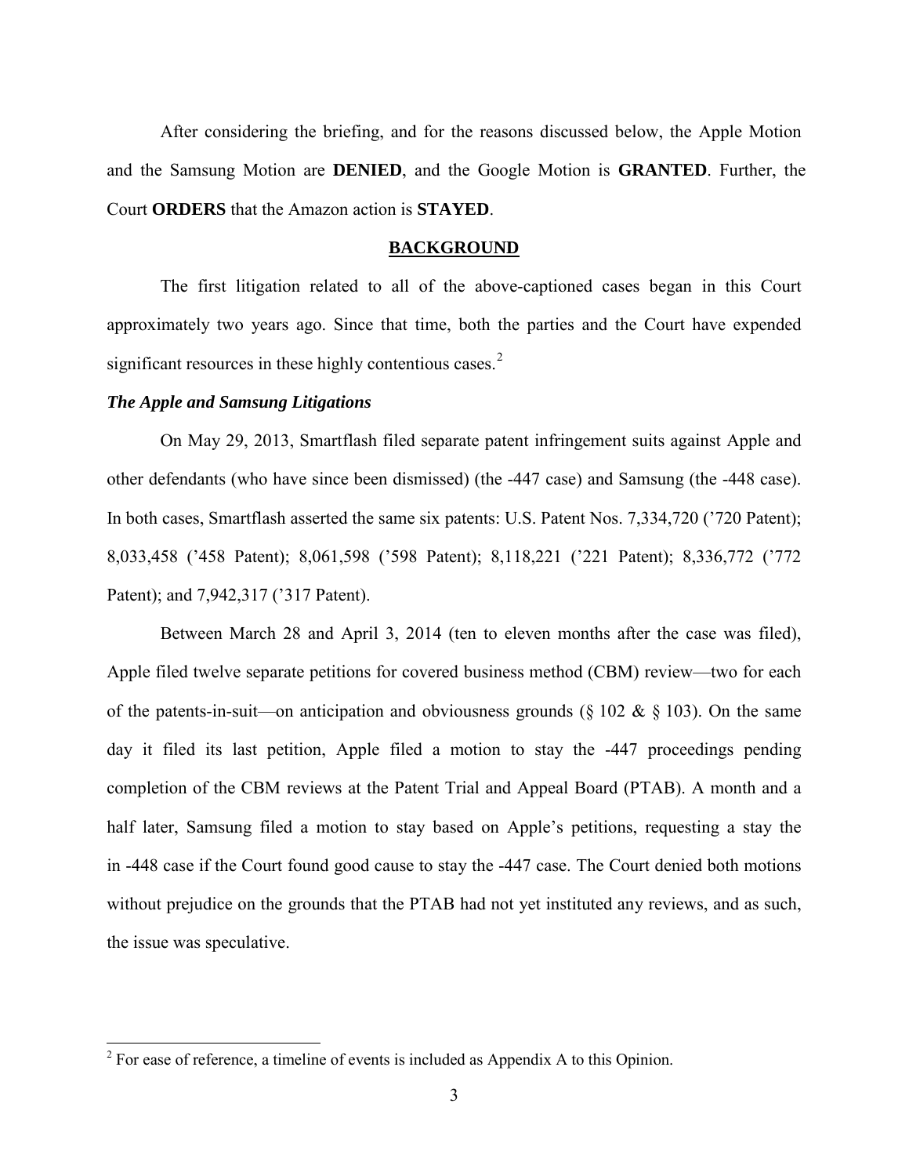After considering the briefing, and for the reasons discussed below, the Apple Motion and the Samsung Motion are **DENIED**, and the Google Motion is **GRANTED**. Further, the Court **ORDERS** that the Amazon action is **STAYED**.

### **BACKGROUND**

The first litigation related to all of the above-captioned cases began in this Court approximately two years ago. Since that time, both the parties and the Court have expended significant resources in these highly contentious cases.<sup>[2](#page-2-0)</sup>

### *The Apple and Samsung Litigations*

 $\overline{a}$ 

On May 29, 2013, Smartflash filed separate patent infringement suits against Apple and other defendants (who have since been dismissed) (the -447 case) and Samsung (the -448 case). In both cases, Smartflash asserted the same six patents: U.S. Patent Nos. 7,334,720 ('720 Patent); 8,033,458 ('458 Patent); 8,061,598 ('598 Patent); 8,118,221 ('221 Patent); 8,336,772 ('772 Patent); and 7,942,317 ('317 Patent).

Between March 28 and April 3, 2014 (ten to eleven months after the case was filed), Apple filed twelve separate petitions for covered business method (CBM) review—two for each of the patents-in-suit—on anticipation and obviousness grounds ( $\S$  102 &  $\S$  103). On the same day it filed its last petition, Apple filed a motion to stay the -447 proceedings pending completion of the CBM reviews at the Patent Trial and Appeal Board (PTAB). A month and a half later, Samsung filed a motion to stay based on Apple's petitions, requesting a stay the in -448 case if the Court found good cause to stay the -447 case. The Court denied both motions without prejudice on the grounds that the PTAB had not yet instituted any reviews, and as such, the issue was speculative.

<span id="page-2-0"></span> $2^2$  For ease of reference, a timeline of events is included as Appendix A to this Opinion.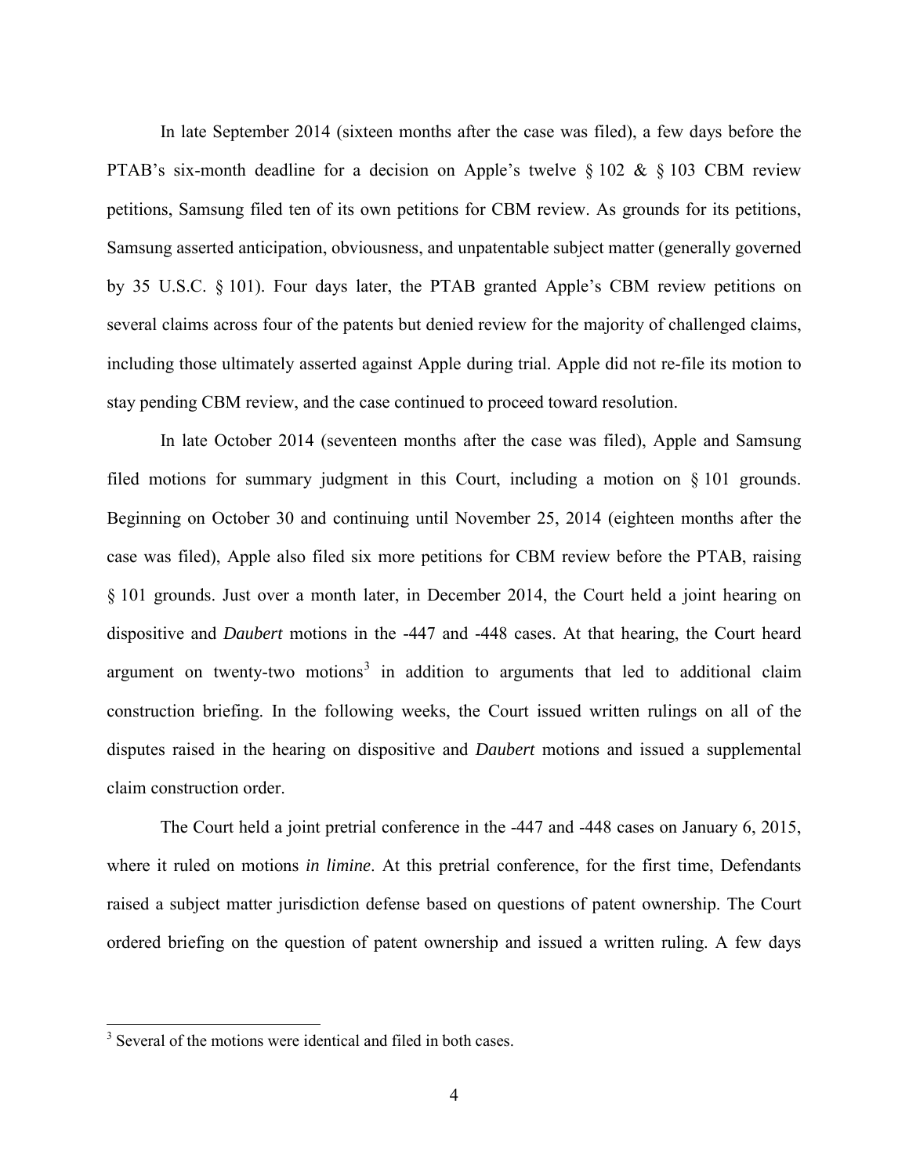In late September 2014 (sixteen months after the case was filed), a few days before the PTAB's six-month deadline for a decision on Apple's twelve  $\S 102 \& \S 103$  CBM review petitions, Samsung filed ten of its own petitions for CBM review. As grounds for its petitions, Samsung asserted anticipation, obviousness, and unpatentable subject matter (generally governed by 35 U.S.C. § 101). Four days later, the PTAB granted Apple's CBM review petitions on several claims across four of the patents but denied review for the majority of challenged claims, including those ultimately asserted against Apple during trial. Apple did not re-file its motion to stay pending CBM review, and the case continued to proceed toward resolution.

In late October 2014 (seventeen months after the case was filed), Apple and Samsung filed motions for summary judgment in this Court, including a motion on § 101 grounds. Beginning on October 30 and continuing until November 25, 2014 (eighteen months after the case was filed), Apple also filed six more petitions for CBM review before the PTAB, raising § 101 grounds. Just over a month later, in December 2014, the Court held a joint hearing on dispositive and *Daubert* motions in the -447 and -448 cases. At that hearing, the Court heard argument on twenty-two motions<sup>[3](#page-3-0)</sup> in addition to arguments that led to additional claim construction briefing. In the following weeks, the Court issued written rulings on all of the disputes raised in the hearing on dispositive and *Daubert* motions and issued a supplemental claim construction order.

The Court held a joint pretrial conference in the -447 and -448 cases on January 6, 2015, where it ruled on motions *in limine*. At this pretrial conference, for the first time, Defendants raised a subject matter jurisdiction defense based on questions of patent ownership. The Court ordered briefing on the question of patent ownership and issued a written ruling. A few days

<span id="page-3-0"></span><sup>&</sup>lt;sup>3</sup> Several of the motions were identical and filed in both cases.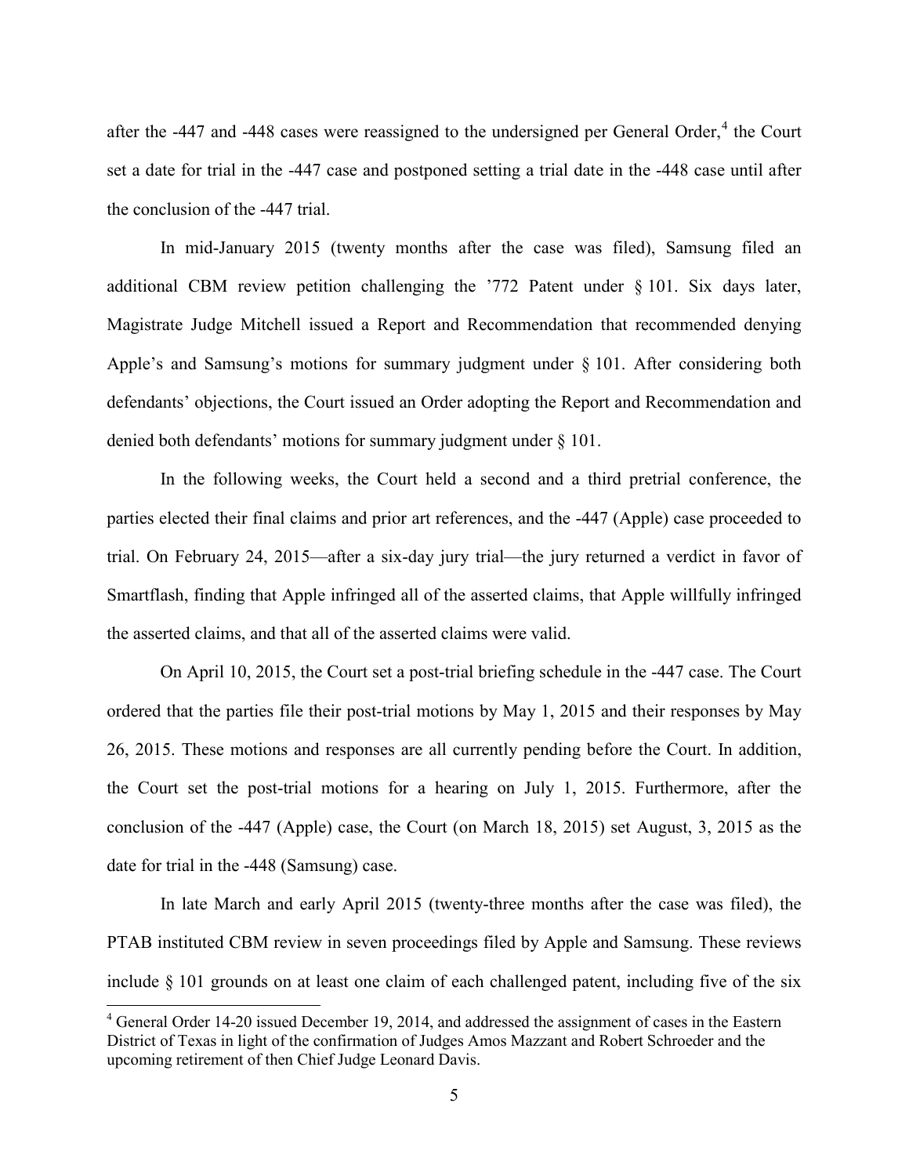after the -[4](#page-4-0)47 and -448 cases were reassigned to the undersigned per General Order, $4$  the Court set a date for trial in the -447 case and postponed setting a trial date in the -448 case until after the conclusion of the -447 trial.

In mid-January 2015 (twenty months after the case was filed), Samsung filed an additional CBM review petition challenging the '772 Patent under § 101. Six days later, Magistrate Judge Mitchell issued a Report and Recommendation that recommended denying Apple's and Samsung's motions for summary judgment under § 101. After considering both defendants' objections, the Court issued an Order adopting the Report and Recommendation and denied both defendants' motions for summary judgment under § 101.

In the following weeks, the Court held a second and a third pretrial conference, the parties elected their final claims and prior art references, and the -447 (Apple) case proceeded to trial. On February 24, 2015—after a six-day jury trial—the jury returned a verdict in favor of Smartflash, finding that Apple infringed all of the asserted claims, that Apple willfully infringed the asserted claims, and that all of the asserted claims were valid.

On April 10, 2015, the Court set a post-trial briefing schedule in the -447 case. The Court ordered that the parties file their post-trial motions by May 1, 2015 and their responses by May 26, 2015. These motions and responses are all currently pending before the Court. In addition, the Court set the post-trial motions for a hearing on July 1, 2015. Furthermore, after the conclusion of the -447 (Apple) case, the Court (on March 18, 2015) set August, 3, 2015 as the date for trial in the -448 (Samsung) case.

In late March and early April 2015 (twenty-three months after the case was filed), the PTAB instituted CBM review in seven proceedings filed by Apple and Samsung. These reviews include § 101 grounds on at least one claim of each challenged patent, including five of the six

-

<span id="page-4-0"></span><sup>&</sup>lt;sup>4</sup> General Order 14-20 issued December 19, 2014, and addressed the assignment of cases in the Eastern District of Texas in light of the confirmation of Judges Amos Mazzant and Robert Schroeder and the upcoming retirement of then Chief Judge Leonard Davis.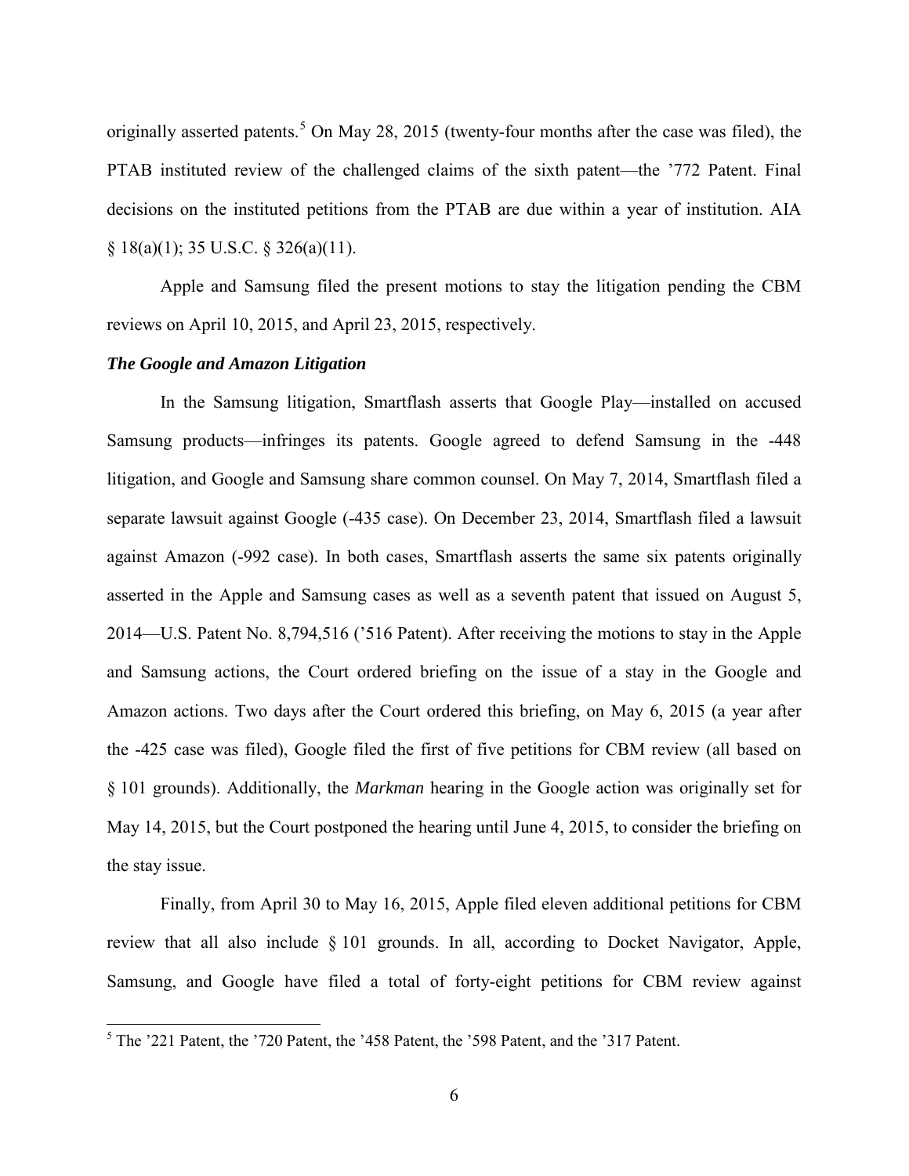originally asserted patents.<sup>[5](#page-5-0)</sup> On May 28, 2015 (twenty-four months after the case was filed), the PTAB instituted review of the challenged claims of the sixth patent—the '772 Patent. Final decisions on the instituted petitions from the PTAB are due within a year of institution. AIA  $§ 18(a)(1); 35 U.S.C. § 326(a)(11).$ 

Apple and Samsung filed the present motions to stay the litigation pending the CBM reviews on April 10, 2015, and April 23, 2015, respectively.

### *The Google and Amazon Litigation*

In the Samsung litigation, Smartflash asserts that Google Play—installed on accused Samsung products—infringes its patents. Google agreed to defend Samsung in the -448 litigation, and Google and Samsung share common counsel. On May 7, 2014, Smartflash filed a separate lawsuit against Google (-435 case). On December 23, 2014, Smartflash filed a lawsuit against Amazon (-992 case). In both cases, Smartflash asserts the same six patents originally asserted in the Apple and Samsung cases as well as a seventh patent that issued on August 5, 2014—U.S. Patent No. 8,794,516 ('516 Patent). After receiving the motions to stay in the Apple and Samsung actions, the Court ordered briefing on the issue of a stay in the Google and Amazon actions. Two days after the Court ordered this briefing, on May 6, 2015 (a year after the -425 case was filed), Google filed the first of five petitions for CBM review (all based on § 101 grounds). Additionally, the *Markman* hearing in the Google action was originally set for May 14, 2015, but the Court postponed the hearing until June 4, 2015, to consider the briefing on the stay issue.

Finally, from April 30 to May 16, 2015, Apple filed eleven additional petitions for CBM review that all also include § 101 grounds. In all, according to Docket Navigator, Apple, Samsung, and Google have filed a total of forty-eight petitions for CBM review against

<span id="page-5-0"></span><sup>&</sup>lt;sup>5</sup> The '221 Patent, the '720 Patent, the '458 Patent, the '598 Patent, and the '317 Patent.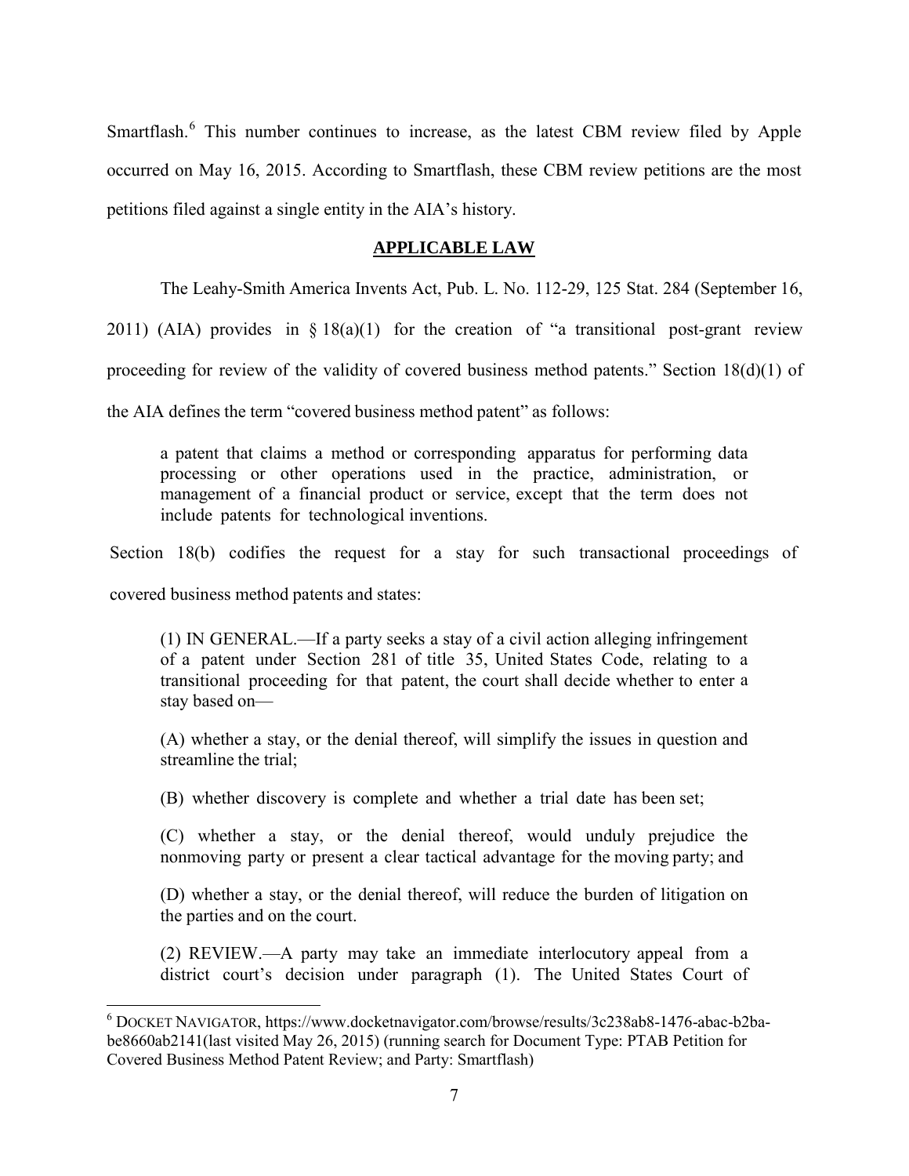Smartflash.<sup>[6](#page-6-0)</sup> This number continues to increase, as the latest CBM review filed by Apple occurred on May 16, 2015. According to Smartflash, these CBM review petitions are the most petitions filed against a single entity in the AIA's history.

## **APPLICABLE LAW**

The Leahy-Smith America Invents Act, Pub. L. No. 112-29, 125 Stat. 284 (September 16,

2011) (AIA) provides in  $\S 18(a)(1)$  for the creation of "a transitional post-grant review

proceeding for review of the validity of covered business method patents." Section 18(d)(1) of

the AIA defines the term "covered business method patent" as follows:

a patent that claims a method or corresponding apparatus for performing data processing or other operations used in the practice, administration, or management of a financial product or service, except that the term does not include patents for technological inventions.

Section 18(b) codifies the request for a stay for such transactional proceedings of

covered business method patents and states:

 $\overline{a}$ 

(1) IN GENERAL.—If a party seeks a stay of a civil action alleging infringement of a patent under Section 281 of title 35, United States Code, relating to a transitional proceeding for that patent, the court shall decide whether to enter a stay based on—

(A) whether a stay, or the denial thereof, will simplify the issues in question and streamline the trial;

(B) whether discovery is complete and whether a trial date has been set;

(C) whether a stay, or the denial thereof, would unduly prejudice the nonmoving party or present a clear tactical advantage for the moving party; and

(D) whether a stay, or the denial thereof, will reduce the burden of litigation on the parties and on the court.

(2) REVIEW.—A party may take an immediate interlocutory appeal from a district court's decision under paragraph (1). The United States Court of

<span id="page-6-0"></span><sup>6</sup> DOCKET NAVIGATOR, https://www.docketnavigator.com/browse/results/3c238ab8-1476-abac-b2babe8660ab2141(last visited May 26, 2015) (running search for Document Type: PTAB Petition for Covered Business Method Patent Review; and Party: Smartflash)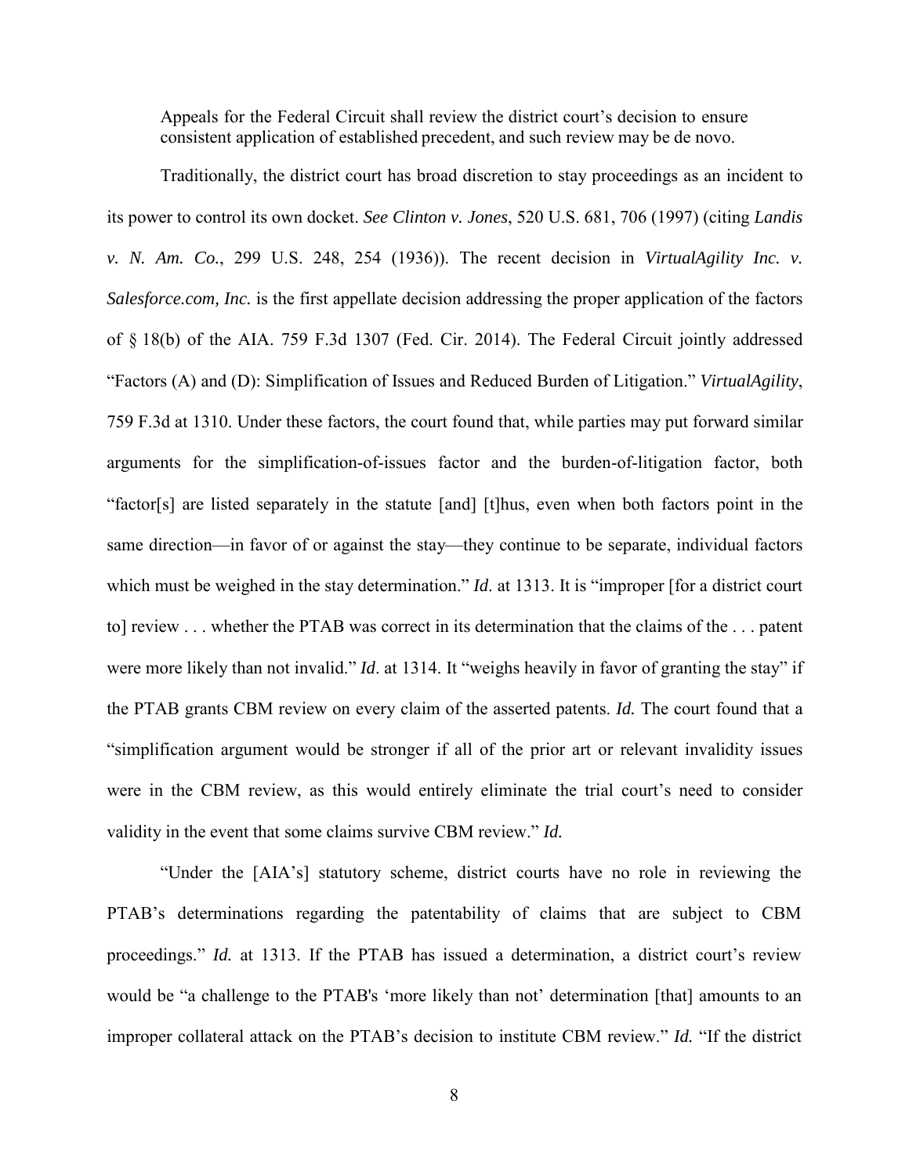Appeals for the Federal Circuit shall review the district court's decision to ensure consistent application of established precedent, and such review may be de novo.

Traditionally, the district court has broad discretion to stay proceedings as an incident to its power to control its own docket. *See Clinton v. Jones*, 520 U.S. 681, 706 (1997) (citing *Landis v. N. Am. Co.*, 299 U.S. 248, 254 (1936)). The recent decision in *VirtualAgility Inc. v. Salesforce.com, Inc.* is the first appellate decision addressing the proper application of the factors of § 18(b) of the AIA. 759 F.3d 1307 (Fed. Cir. 2014). The Federal Circuit jointly addressed "Factors (A) and (D): Simplification of Issues and Reduced Burden of Litigation." *VirtualAgility*, 759 F.3d at 1310. Under these factors, the court found that, while parties may put forward similar arguments for the simplification-of-issues factor and the burden-of-litigation factor, both "factor[s] are listed separately in the statute [and] [t]hus, even when both factors point in the same direction—in favor of or against the stay—they continue to be separate, individual factors which must be weighed in the stay determination." *Id.* at 1313. It is "improper [for a district court to] review . . . whether the PTAB was correct in its determination that the claims of the . . . patent were more likely than not invalid." *Id.* at 1314. It "weighs heavily in favor of granting the stay" if the PTAB grants CBM review on every claim of the asserted patents. *Id.* The court found that a "simplification argument would be stronger if all of the prior art or relevant invalidity issues were in the CBM review, as this would entirely eliminate the trial court's need to consider validity in the event that some claims survive CBM review." *Id.*

"Under the [AIA's] statutory scheme, district courts have no role in reviewing the PTAB's determinations regarding the patentability of claims that are subject to CBM proceedings." *Id.* at 1313. If the PTAB has issued a determination, a district court's review would be "a challenge to the PTAB's 'more likely than not' determination [that] amounts to an improper collateral attack on the PTAB's decision to institute CBM review." *Id.* "If the district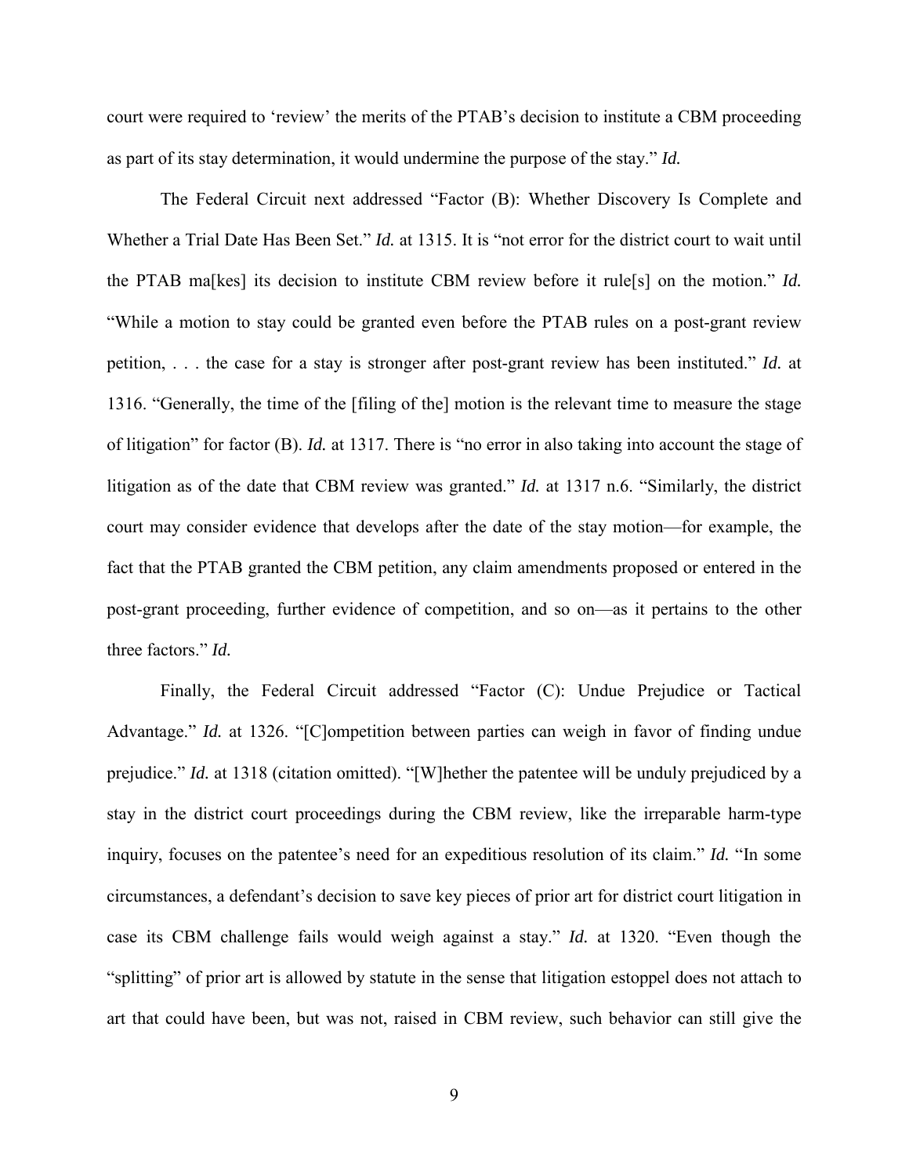court were required to 'review' the merits of the PTAB's decision to institute a CBM proceeding as part of its stay determination, it would undermine the purpose of the stay." *Id.*

The Federal Circuit next addressed "Factor (B): Whether Discovery Is Complete and Whether a Trial Date Has Been Set." *Id.* at 1315. It is "not error for the district court to wait until the PTAB ma[kes] its decision to institute CBM review before it rule[s] on the motion." *Id.* "While a motion to stay could be granted even before the PTAB rules on a post-grant review petition, . . . the case for a stay is stronger after post-grant review has been instituted." *Id.* at 1316. "Generally, the time of the [filing of the] motion is the relevant time to measure the stage of litigation" for factor (B). *Id.* at 1317. There is "no error in also taking into account the stage of litigation as of the date that CBM review was granted." *Id.* at 1317 n.6. "Similarly, the district court may consider evidence that develops after the date of the stay motion—for example, the fact that the PTAB granted the CBM petition, any claim amendments proposed or entered in the post-grant proceeding, further evidence of competition, and so on—as it pertains to the other three factors." *Id.*

Finally, the Federal Circuit addressed "Factor (C): Undue Prejudice or Tactical Advantage." *Id.* at 1326. "[C]ompetition between parties can weigh in favor of finding undue prejudice." *Id.* at 1318 (citation omitted). "[W]hether the patentee will be unduly prejudiced by a stay in the district court proceedings during the CBM review, like the irreparable harm-type inquiry, focuses on the patentee's need for an expeditious resolution of its claim." *Id.* "In some circumstances, a defendant's decision to save key pieces of prior art for district court litigation in case its CBM challenge fails would weigh against a stay." *Id.* at 1320. "Even though the "splitting" of prior art is allowed by statute in the sense that litigation estoppel does not attach to art that could have been, but was not, raised in CBM review, such behavior can still give the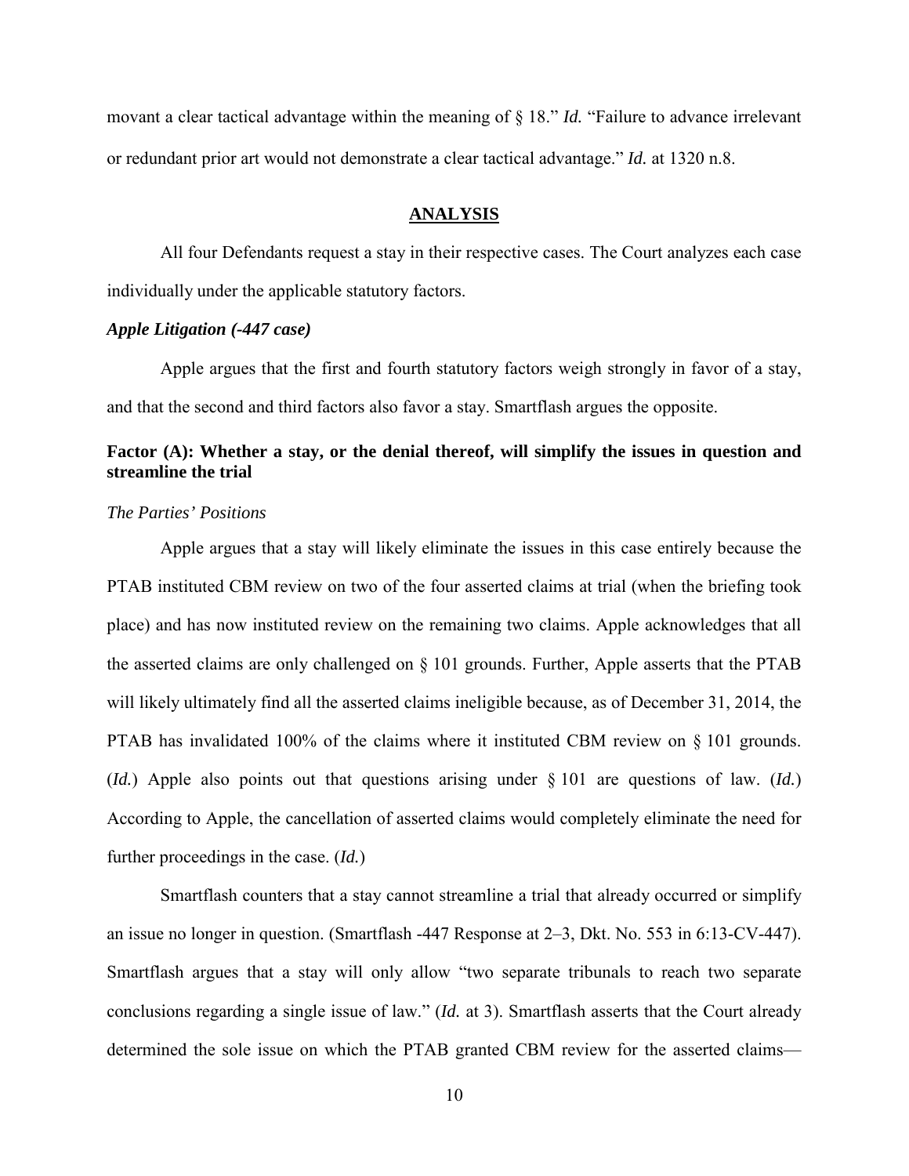movant a clear tactical advantage within the meaning of § 18." *Id.* "Failure to advance irrelevant or redundant prior art would not demonstrate a clear tactical advantage." *Id.* at 1320 n.8.

#### **ANALYSIS**

All four Defendants request a stay in their respective cases. The Court analyzes each case individually under the applicable statutory factors.

### *Apple Litigation (-447 case)*

Apple argues that the first and fourth statutory factors weigh strongly in favor of a stay, and that the second and third factors also favor a stay. Smartflash argues the opposite.

# **Factor (A): Whether a stay, or the denial thereof, will simplify the issues in question and streamline the trial**

#### *The Parties' Positions*

Apple argues that a stay will likely eliminate the issues in this case entirely because the PTAB instituted CBM review on two of the four asserted claims at trial (when the briefing took place) and has now instituted review on the remaining two claims. Apple acknowledges that all the asserted claims are only challenged on § 101 grounds. Further, Apple asserts that the PTAB will likely ultimately find all the asserted claims ineligible because, as of December 31, 2014, the PTAB has invalidated 100% of the claims where it instituted CBM review on § 101 grounds. (*Id.*) Apple also points out that questions arising under § 101 are questions of law. (*Id.*) According to Apple, the cancellation of asserted claims would completely eliminate the need for further proceedings in the case. (*Id.*)

Smartflash counters that a stay cannot streamline a trial that already occurred or simplify an issue no longer in question. (Smartflash -447 Response at 2–3, Dkt. No. 553 in 6:13-CV-447). Smartflash argues that a stay will only allow "two separate tribunals to reach two separate conclusions regarding a single issue of law." (*Id.* at 3). Smartflash asserts that the Court already determined the sole issue on which the PTAB granted CBM review for the asserted claims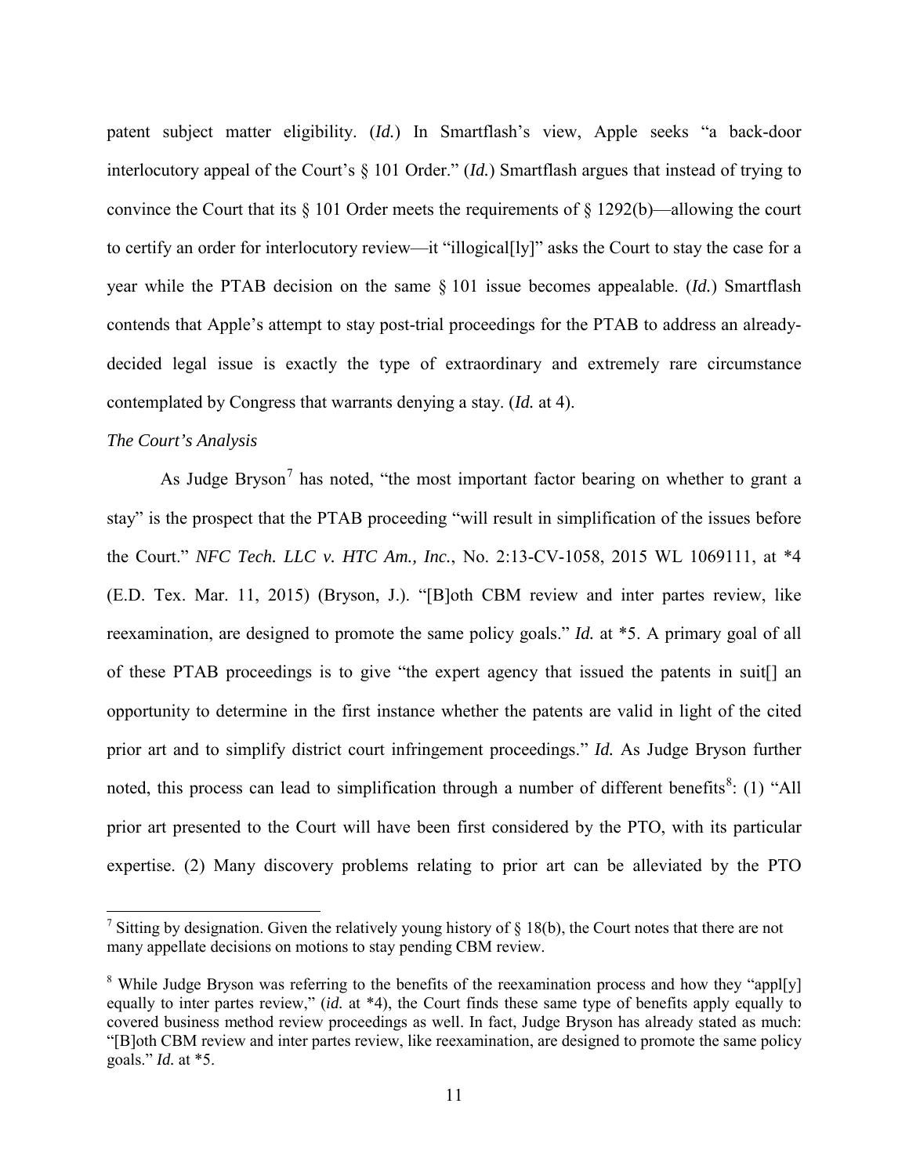patent subject matter eligibility. (*Id.*) In Smartflash's view, Apple seeks "a back-door interlocutory appeal of the Court's § 101 Order." (*Id.*) Smartflash argues that instead of trying to convince the Court that its § 101 Order meets the requirements of § 1292(b)—allowing the court to certify an order for interlocutory review—it "illogical[ly]" asks the Court to stay the case for a year while the PTAB decision on the same § 101 issue becomes appealable. (*Id.*) Smartflash contends that Apple's attempt to stay post-trial proceedings for the PTAB to address an alreadydecided legal issue is exactly the type of extraordinary and extremely rare circumstance contemplated by Congress that warrants denying a stay. (*Id.* at 4).

## *The Court's Analysis*

-

As Judge Bryson<sup>[7](#page-10-0)</sup> has noted, "the most important factor bearing on whether to grant a stay" is the prospect that the PTAB proceeding "will result in simplification of the issues before the Court." *NFC Tech. LLC v. HTC Am., Inc.*, No. 2:13-CV-1058, 2015 WL 1069111, at \*4 (E.D. Tex. Mar. 11, 2015) (Bryson, J.). "[B]oth CBM review and inter partes review, like reexamination, are designed to promote the same policy goals." *Id.* at \*5. A primary goal of all of these PTAB proceedings is to give "the expert agency that issued the patents in suit[] an opportunity to determine in the first instance whether the patents are valid in light of the cited prior art and to simplify district court infringement proceedings." *Id.* As Judge Bryson further noted, this process can lead to simplification through a number of different benefits<sup>[8](#page-10-1)</sup>: (1) "All prior art presented to the Court will have been first considered by the PTO, with its particular expertise. (2) Many discovery problems relating to prior art can be alleviated by the PTO

<span id="page-10-0"></span><sup>&</sup>lt;sup>7</sup> Sitting by designation. Given the relatively young history of  $\S 18(b)$ , the Court notes that there are not many appellate decisions on motions to stay pending CBM review.

<span id="page-10-1"></span><sup>&</sup>lt;sup>8</sup> While Judge Bryson was referring to the benefits of the reexamination process and how they "appl[y] equally to inter partes review," (*id.* at \*4), the Court finds these same type of benefits apply equally to covered business method review proceedings as well. In fact, Judge Bryson has already stated as much: "[B]oth CBM review and inter partes review, like reexamination, are designed to promote the same policy goals." *Id.* at \*5.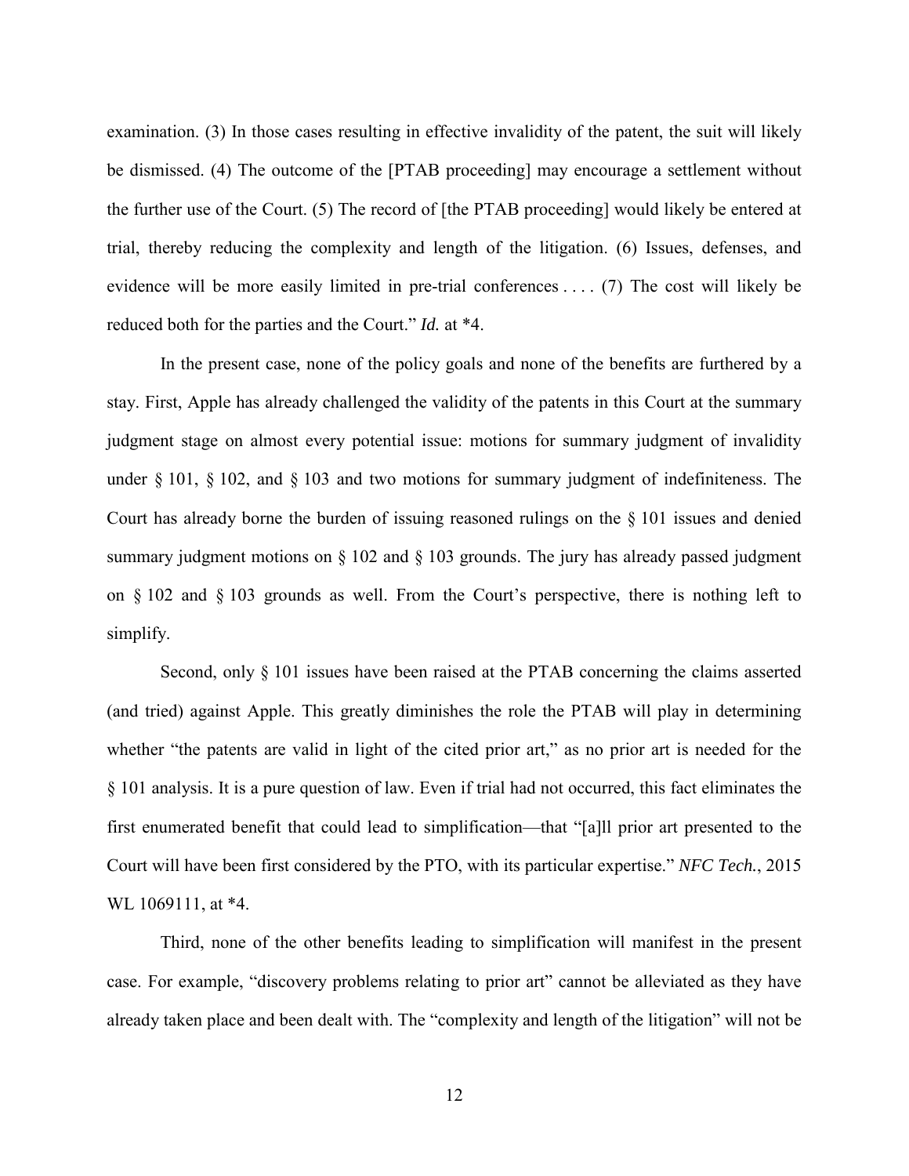examination. (3) In those cases resulting in effective invalidity of the patent, the suit will likely be dismissed. (4) The outcome of the [PTAB proceeding] may encourage a settlement without the further use of the Court. (5) The record of [the PTAB proceeding] would likely be entered at trial, thereby reducing the complexity and length of the litigation. (6) Issues, defenses, and evidence will be more easily limited in pre-trial conferences . . . . (7) The cost will likely be reduced both for the parties and the Court." *Id.* at \*4.

In the present case, none of the policy goals and none of the benefits are furthered by a stay. First, Apple has already challenged the validity of the patents in this Court at the summary judgment stage on almost every potential issue: motions for summary judgment of invalidity under § 101, § 102, and § 103 and two motions for summary judgment of indefiniteness. The Court has already borne the burden of issuing reasoned rulings on the § 101 issues and denied summary judgment motions on § 102 and § 103 grounds. The jury has already passed judgment on § 102 and § 103 grounds as well. From the Court's perspective, there is nothing left to simplify.

Second, only § 101 issues have been raised at the PTAB concerning the claims asserted (and tried) against Apple. This greatly diminishes the role the PTAB will play in determining whether "the patents are valid in light of the cited prior art," as no prior art is needed for the § 101 analysis. It is a pure question of law. Even if trial had not occurred, this fact eliminates the first enumerated benefit that could lead to simplification—that "[a]ll prior art presented to the Court will have been first considered by the PTO, with its particular expertise." *NFC Tech.*, 2015 WL 1069111, at \*4.

Third, none of the other benefits leading to simplification will manifest in the present case. For example, "discovery problems relating to prior art" cannot be alleviated as they have already taken place and been dealt with. The "complexity and length of the litigation" will not be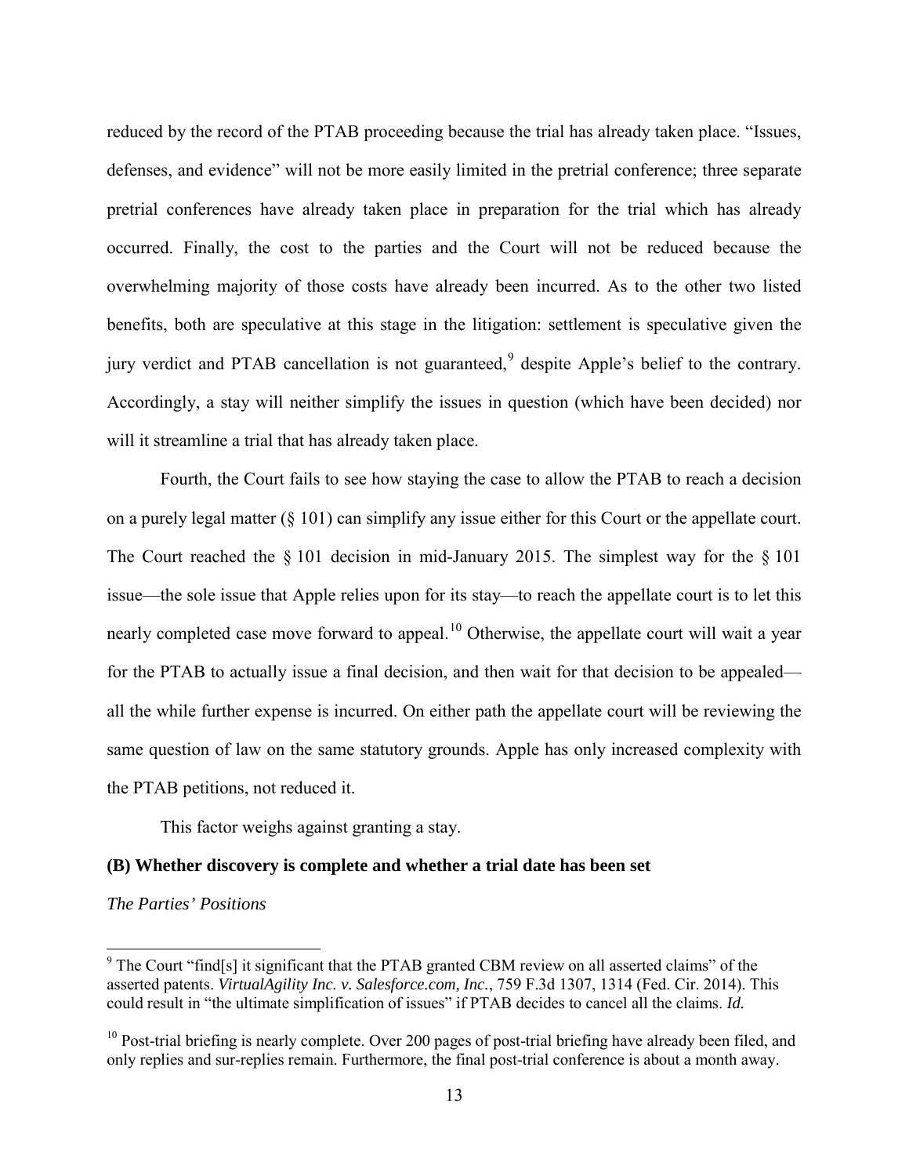reduced by the record of the PTAB proceeding because the trial has already taken place. "Issues, defenses, and evidence" will not be more easily limited in the pretrial conference; three separate pretrial conferences have already taken place in preparation for the trial which has already occurred. Finally, the cost to the parties and the Court will not be reduced because the overwhelming majority of those costs have already been incurred. As to the other two listed benefits, both are speculative at this stage in the litigation: settlement is speculative given the jury verdict and PTAB cancellation is not guaranteed,<sup>[9](#page-12-0)</sup> despite Apple's belief to the contrary. Accordingly, a stay will neither simplify the issues in question (which have been decided) nor will it streamline a trial that has already taken place.

Fourth, the Court fails to see how staying the case to allow the PTAB to reach a decision on a purely legal matter ( $\S$  101) can simplify any issue either for this Court or the appellate court. The Court reached the § 101 decision in mid-January 2015. The simplest way for the § 101 issue—the sole issue that Apple relies upon for its stay—to reach the appellate court is to let this nearly completed case move forward to appeal.<sup>[10](#page-12-1)</sup> Otherwise, the appellate court will wait a year for the PTAB to actually issue a final decision, and then wait for that decision to be appealed all the while further expense is incurred. On either path the appellate court will be reviewing the same question of law on the same statutory grounds. Apple has only increased complexity with the PTAB petitions, not reduced it.

This factor weighs against granting a stay.

### **(B) Whether discovery is complete and whether a trial date has been set**

### *The Parties' Positions*

<span id="page-12-0"></span><sup>&</sup>lt;sup>9</sup> The Court "find[s] it significant that the PTAB granted CBM review on all asserted claims" of the asserted patents. *VirtualAgility Inc. v. Salesforce.com, Inc.*, 759 F.3d 1307, 1314 (Fed. Cir. 2014). This could result in "the ultimate simplification of issues" if PTAB decides to cancel all the claims. *Id.* 

<span id="page-12-1"></span><sup>&</sup>lt;sup>10</sup> Post-trial briefing is nearly complete. Over 200 pages of post-trial briefing have already been filed, and only replies and sur-replies remain. Furthermore, the final post-trial conference is about a month away.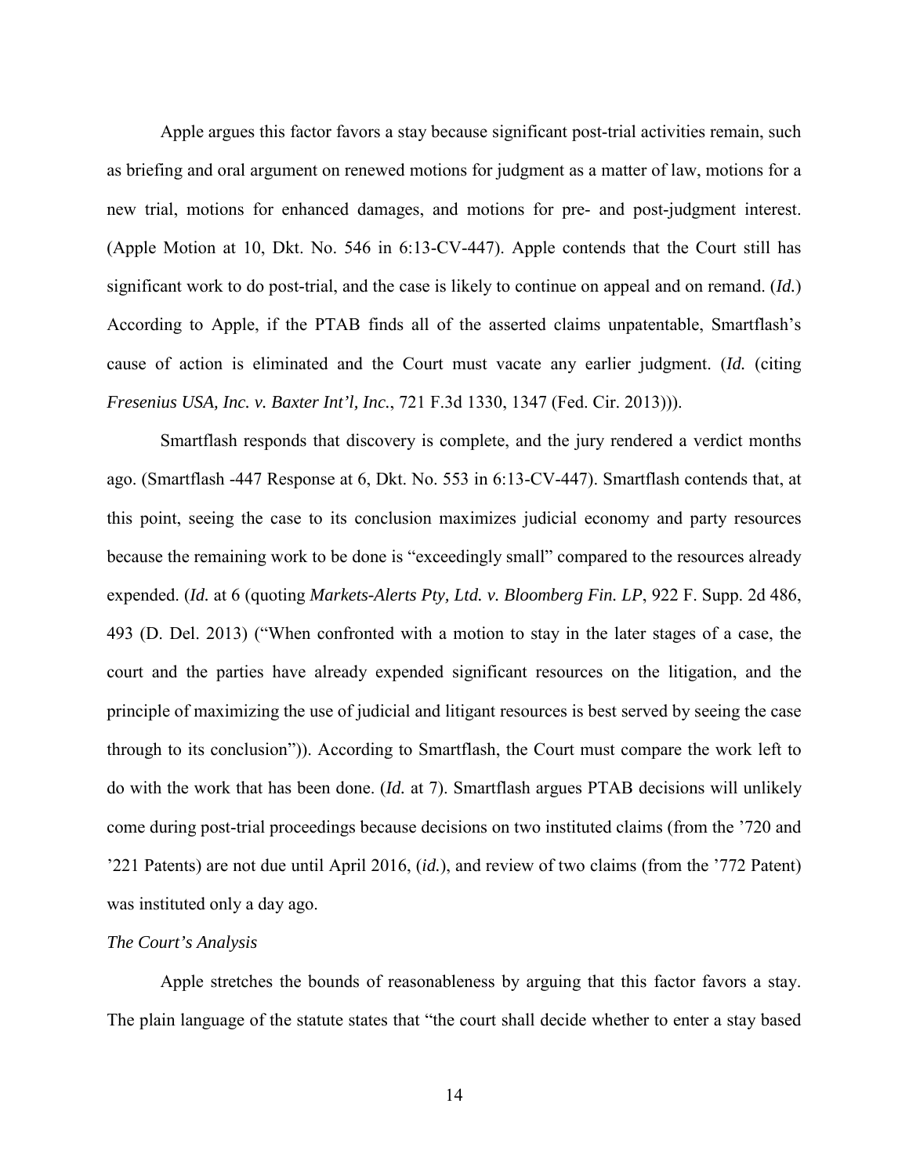Apple argues this factor favors a stay because significant post-trial activities remain, such as briefing and oral argument on renewed motions for judgment as a matter of law, motions for a new trial, motions for enhanced damages, and motions for pre- and post-judgment interest. (Apple Motion at 10, Dkt. No. 546 in 6:13-CV-447). Apple contends that the Court still has significant work to do post-trial, and the case is likely to continue on appeal and on remand. (*Id.*) According to Apple, if the PTAB finds all of the asserted claims unpatentable, Smartflash's cause of action is eliminated and the Court must vacate any earlier judgment. (*Id.* (citing *Fresenius USA, Inc. v. Baxter Int'l, Inc.*, 721 F.3d 1330, 1347 (Fed. Cir. 2013))).

Smartflash responds that discovery is complete, and the jury rendered a verdict months ago. (Smartflash -447 Response at 6, Dkt. No. 553 in 6:13-CV-447). Smartflash contends that, at this point, seeing the case to its conclusion maximizes judicial economy and party resources because the remaining work to be done is "exceedingly small" compared to the resources already expended. (*Id.* at 6 (quoting *Markets-Alerts Pty, Ltd. v. Bloomberg Fin. LP*, 922 F. Supp. 2d 486, 493 (D. Del. 2013) ("When confronted with a motion to stay in the later stages of a case, the court and the parties have already expended significant resources on the litigation, and the principle of maximizing the use of judicial and litigant resources is best served by seeing the case through to its conclusion")). According to Smartflash, the Court must compare the work left to do with the work that has been done. (*Id.* at 7). Smartflash argues PTAB decisions will unlikely come during post-trial proceedings because decisions on two instituted claims (from the '720 and '221 Patents) are not due until April 2016, (*id.*), and review of two claims (from the '772 Patent) was instituted only a day ago.

## *The Court's Analysis*

Apple stretches the bounds of reasonableness by arguing that this factor favors a stay. The plain language of the statute states that "the court shall decide whether to enter a stay based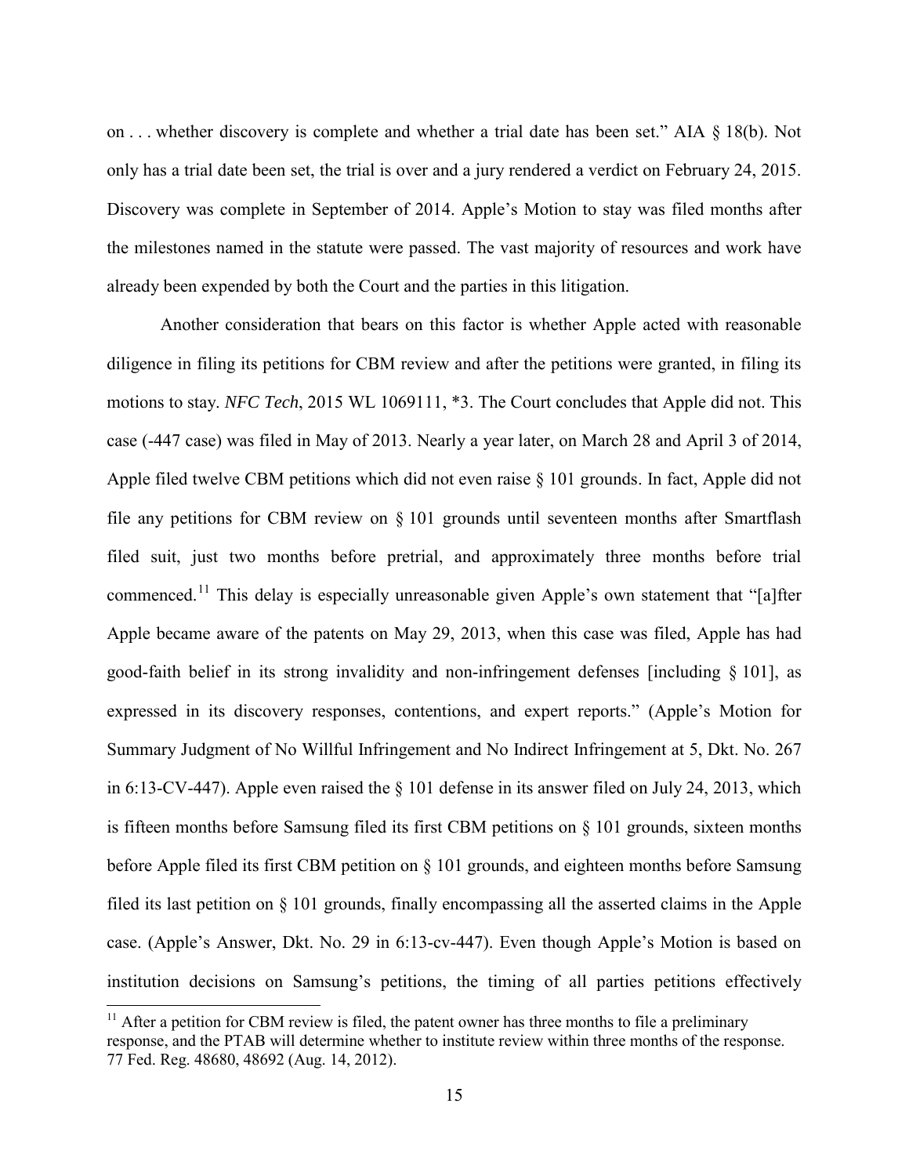on . . . whether discovery is complete and whether a trial date has been set." AIA § 18(b). Not only has a trial date been set, the trial is over and a jury rendered a verdict on February 24, 2015. Discovery was complete in September of 2014. Apple's Motion to stay was filed months after the milestones named in the statute were passed. The vast majority of resources and work have already been expended by both the Court and the parties in this litigation.

Another consideration that bears on this factor is whether Apple acted with reasonable diligence in filing its petitions for CBM review and after the petitions were granted, in filing its motions to stay. *NFC Tech*, 2015 WL 1069111, \*3. The Court concludes that Apple did not. This case (-447 case) was filed in May of 2013. Nearly a year later, on March 28 and April 3 of 2014, Apple filed twelve CBM petitions which did not even raise § 101 grounds. In fact, Apple did not file any petitions for CBM review on § 101 grounds until seventeen months after Smartflash filed suit, just two months before pretrial, and approximately three months before trial commenced.<sup>[11](#page-14-0)</sup> This delay is especially unreasonable given Apple's own statement that "[a]fter Apple became aware of the patents on May 29, 2013, when this case was filed, Apple has had good-faith belief in its strong invalidity and non-infringement defenses [including § 101], as expressed in its discovery responses, contentions, and expert reports." (Apple's Motion for Summary Judgment of No Willful Infringement and No Indirect Infringement at 5, Dkt. No. 267 in 6:13-CV-447). Apple even raised the § 101 defense in its answer filed on July 24, 2013, which is fifteen months before Samsung filed its first CBM petitions on  $\S$  101 grounds, sixteen months before Apple filed its first CBM petition on § 101 grounds, and eighteen months before Samsung filed its last petition on § 101 grounds, finally encompassing all the asserted claims in the Apple case. (Apple's Answer, Dkt. No. 29 in 6:13-cv-447). Even though Apple's Motion is based on institution decisions on Samsung's petitions, the timing of all parties petitions effectively

 $\overline{a}$ 

<span id="page-14-0"></span> $11$  After a petition for CBM review is filed, the patent owner has three months to file a preliminary response, and the PTAB will determine whether to institute review within three months of the response. 77 Fed. Reg. 48680, 48692 (Aug. 14, 2012).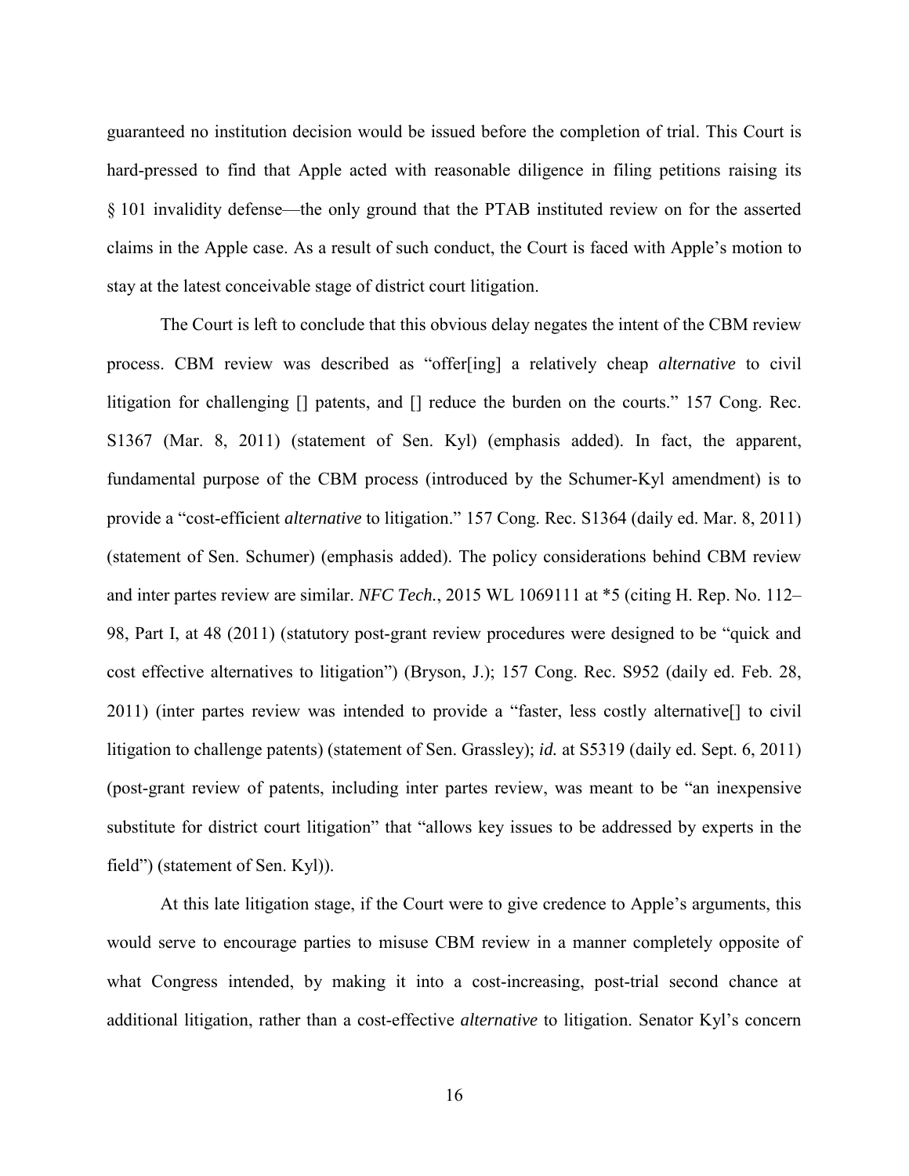guaranteed no institution decision would be issued before the completion of trial. This Court is hard-pressed to find that Apple acted with reasonable diligence in filing petitions raising its § 101 invalidity defense—the only ground that the PTAB instituted review on for the asserted claims in the Apple case. As a result of such conduct, the Court is faced with Apple's motion to stay at the latest conceivable stage of district court litigation.

The Court is left to conclude that this obvious delay negates the intent of the CBM review process. CBM review was described as "offer[ing] a relatively cheap *alternative* to civil litigation for challenging [] patents, and [] reduce the burden on the courts." 157 Cong. Rec. S1367 (Mar. 8, 2011) (statement of Sen. Kyl) (emphasis added). In fact, the apparent, fundamental purpose of the CBM process (introduced by the Schumer-Kyl amendment) is to provide a "cost-efficient *alternative* to litigation." 157 Cong. Rec. S1364 (daily ed. Mar. 8, 2011) (statement of Sen. Schumer) (emphasis added). The policy considerations behind CBM review and inter partes review are similar. *NFC Tech.*, 2015 WL 1069111 at \*5 (citing H. Rep. No. 112– 98, Part I, at 48 (2011) (statutory post-grant review procedures were designed to be "quick and cost effective alternatives to litigation") (Bryson, J.); 157 Cong. Rec. S952 (daily ed. Feb. 28, 2011) (inter partes review was intended to provide a "faster, less costly alternative[] to civil litigation to challenge patents) (statement of Sen. Grassley); *id.* at S5319 (daily ed. Sept. 6, 2011) (post-grant review of patents, including inter partes review, was meant to be "an inexpensive substitute for district court litigation" that "allows key issues to be addressed by experts in the field") (statement of Sen. Kyl)).

At this late litigation stage, if the Court were to give credence to Apple's arguments, this would serve to encourage parties to misuse CBM review in a manner completely opposite of what Congress intended, by making it into a cost-increasing, post-trial second chance at additional litigation, rather than a cost-effective *alternative* to litigation. Senator Kyl's concern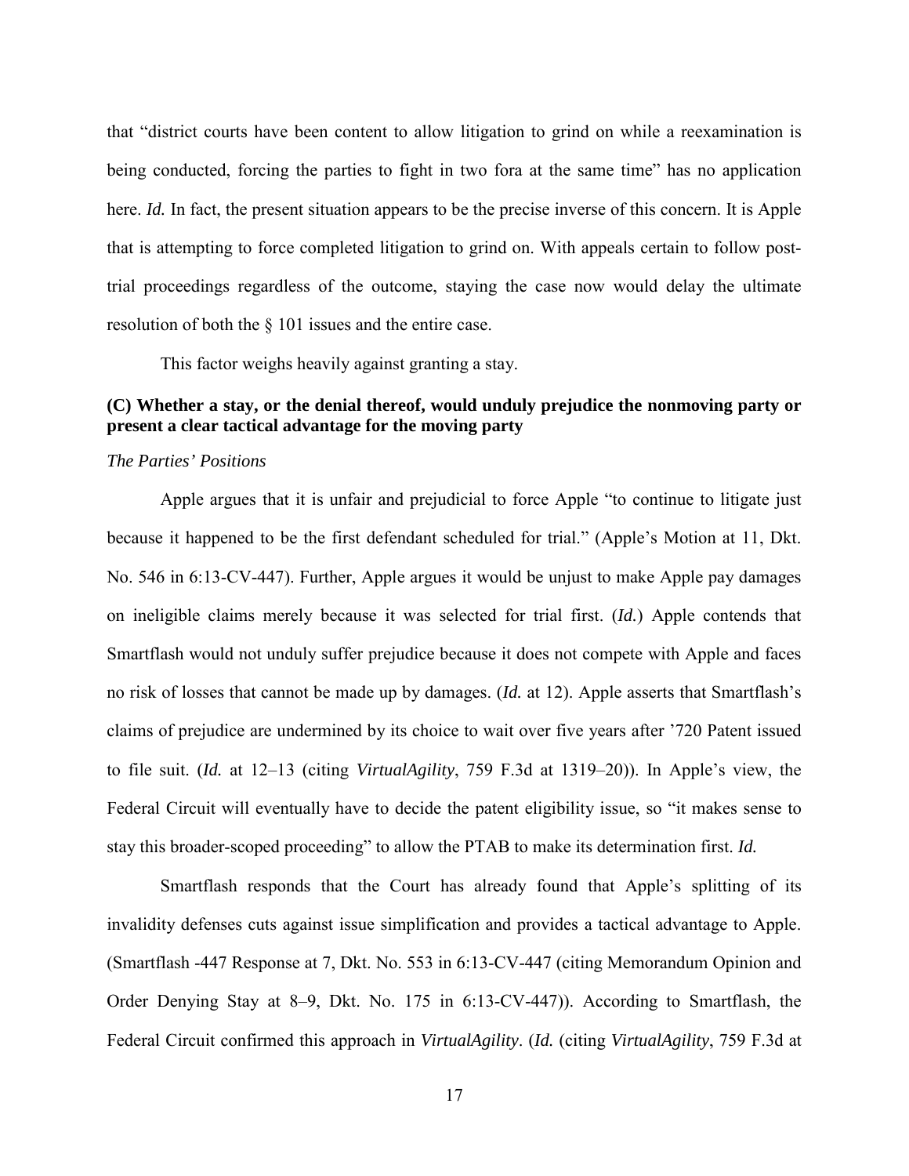that "district courts have been content to allow litigation to grind on while a reexamination is being conducted, forcing the parties to fight in two fora at the same time" has no application here. *Id.* In fact, the present situation appears to be the precise inverse of this concern. It is Apple that is attempting to force completed litigation to grind on. With appeals certain to follow posttrial proceedings regardless of the outcome, staying the case now would delay the ultimate resolution of both the § 101 issues and the entire case.

This factor weighs heavily against granting a stay.

# **(C) Whether a stay, or the denial thereof, would unduly prejudice the nonmoving party or present a clear tactical advantage for the moving party**

### *The Parties' Positions*

Apple argues that it is unfair and prejudicial to force Apple "to continue to litigate just because it happened to be the first defendant scheduled for trial." (Apple's Motion at 11, Dkt. No. 546 in 6:13-CV-447). Further, Apple argues it would be unjust to make Apple pay damages on ineligible claims merely because it was selected for trial first. (*Id.*) Apple contends that Smartflash would not unduly suffer prejudice because it does not compete with Apple and faces no risk of losses that cannot be made up by damages. (*Id.* at 12). Apple asserts that Smartflash's claims of prejudice are undermined by its choice to wait over five years after '720 Patent issued to file suit. (*Id.* at 12–13 (citing *VirtualAgility*, 759 F.3d at 1319–20)). In Apple's view, the Federal Circuit will eventually have to decide the patent eligibility issue, so "it makes sense to stay this broader-scoped proceeding" to allow the PTAB to make its determination first. *Id.*

Smartflash responds that the Court has already found that Apple's splitting of its invalidity defenses cuts against issue simplification and provides a tactical advantage to Apple. (Smartflash -447 Response at 7, Dkt. No. 553 in 6:13-CV-447 (citing Memorandum Opinion and Order Denying Stay at 8–9, Dkt. No. 175 in 6:13-CV-447)). According to Smartflash, the Federal Circuit confirmed this approach in *VirtualAgility*. (*Id.* (citing *VirtualAgility*, 759 F.3d at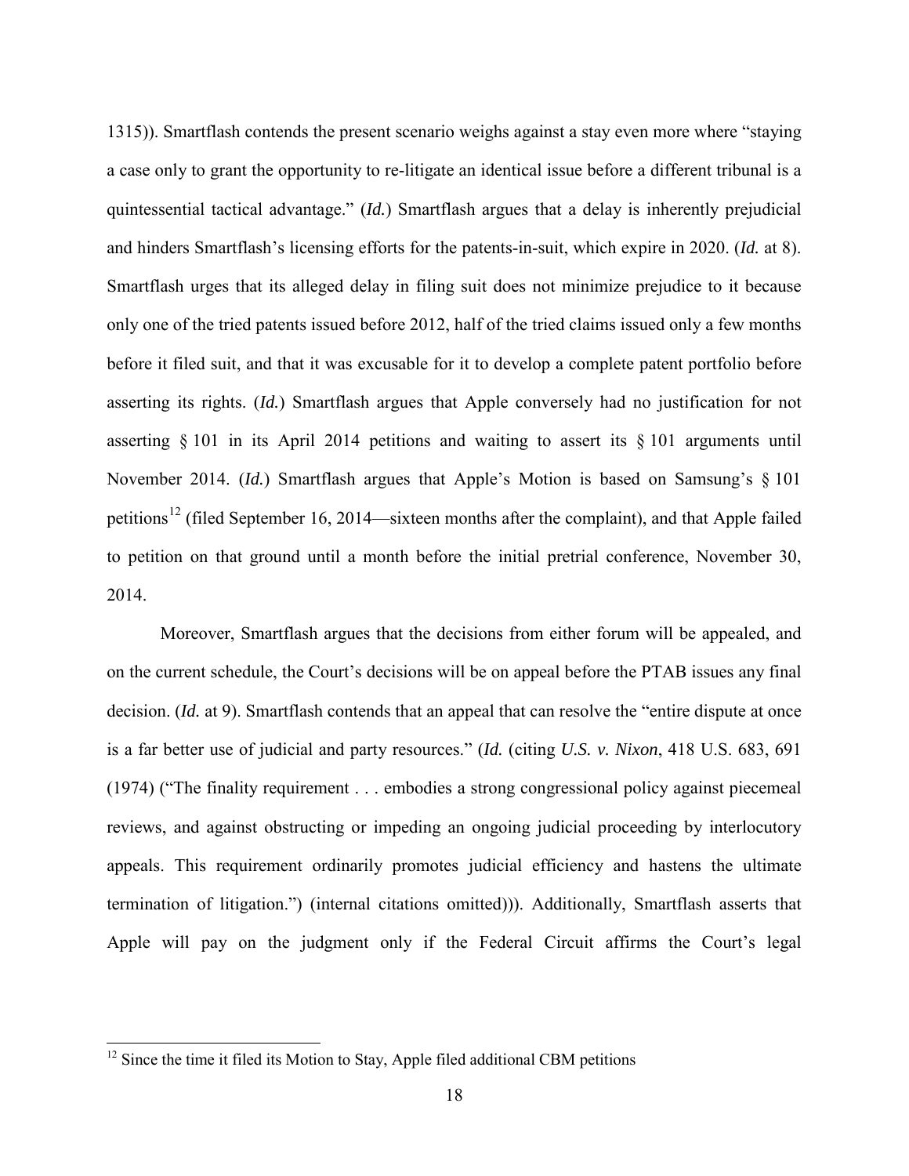1315)). Smartflash contends the present scenario weighs against a stay even more where "staying a case only to grant the opportunity to re-litigate an identical issue before a different tribunal is a quintessential tactical advantage." (*Id.*) Smartflash argues that a delay is inherently prejudicial and hinders Smartflash's licensing efforts for the patents-in-suit, which expire in 2020. (*Id.* at 8). Smartflash urges that its alleged delay in filing suit does not minimize prejudice to it because only one of the tried patents issued before 2012, half of the tried claims issued only a few months before it filed suit, and that it was excusable for it to develop a complete patent portfolio before asserting its rights. (*Id.*) Smartflash argues that Apple conversely had no justification for not asserting § 101 in its April 2014 petitions and waiting to assert its § 101 arguments until November 2014. (*Id.*) Smartflash argues that Apple's Motion is based on Samsung's § 101 petitions[12](#page-17-0) (filed September 16, 2014—sixteen months after the complaint), and that Apple failed to petition on that ground until a month before the initial pretrial conference, November 30, 2014.

Moreover, Smartflash argues that the decisions from either forum will be appealed, and on the current schedule, the Court's decisions will be on appeal before the PTAB issues any final decision. (*Id.* at 9). Smartflash contends that an appeal that can resolve the "entire dispute at once is a far better use of judicial and party resources." (*Id.* (citing *U.S. v. Nixon*, 418 U.S. 683, 691 (1974) ("The finality requirement . . . embodies a strong congressional policy against piecemeal reviews, and against obstructing or impeding an ongoing judicial proceeding by interlocutory appeals. This requirement ordinarily promotes judicial efficiency and hastens the ultimate termination of litigation.") (internal citations omitted))). Additionally, Smartflash asserts that Apple will pay on the judgment only if the Federal Circuit affirms the Court's legal

 $\overline{a}$ 

<span id="page-17-0"></span> $12$  Since the time it filed its Motion to Stay, Apple filed additional CBM petitions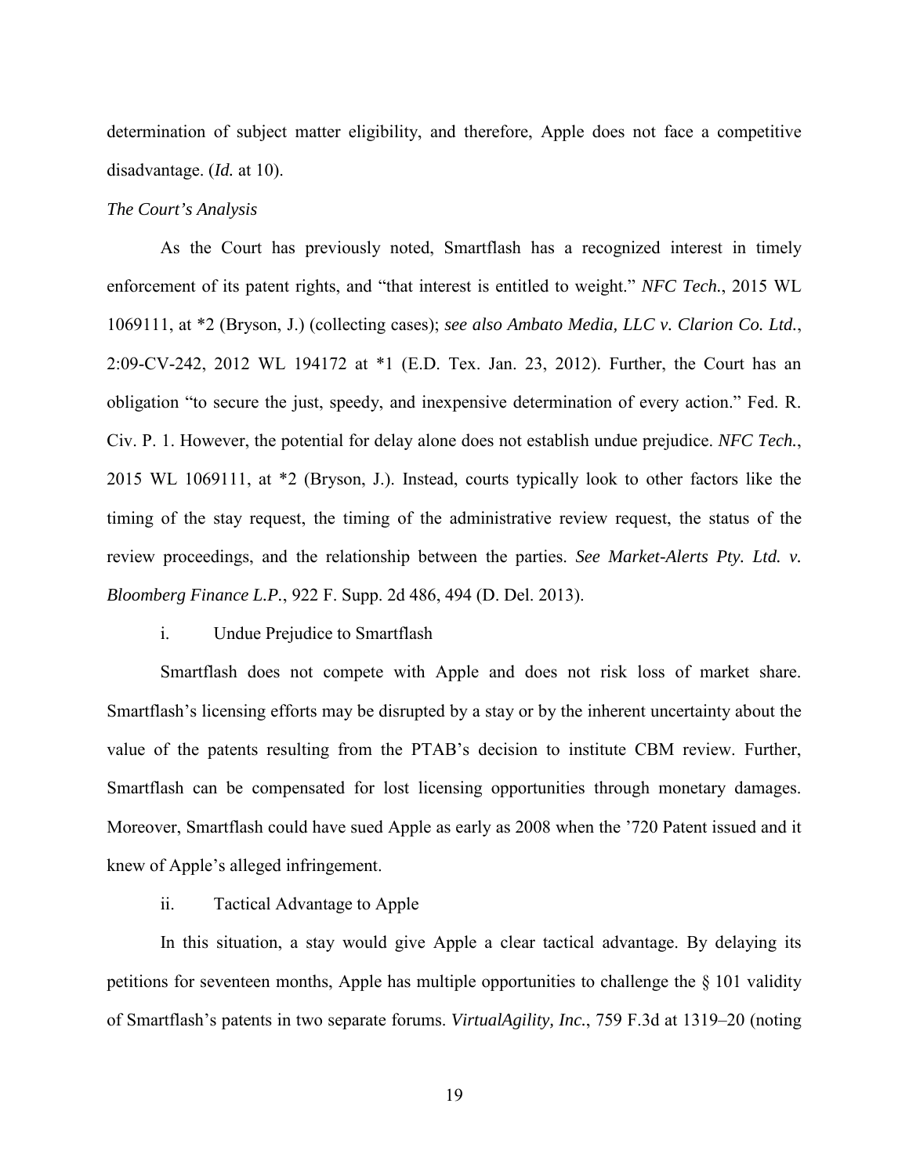determination of subject matter eligibility, and therefore, Apple does not face a competitive disadvantage. (*Id.* at 10).

### *The Court's Analysis*

As the Court has previously noted, Smartflash has a recognized interest in timely enforcement of its patent rights, and "that interest is entitled to weight." *NFC Tech.*, 2015 WL 1069111, at \*2 (Bryson, J.) (collecting cases); *see also Ambato Media, LLC v. Clarion Co. Ltd.*, 2:09-CV-242, 2012 WL 194172 at \*1 (E.D. Tex. Jan. 23, 2012). Further, the Court has an obligation "to secure the just, speedy, and inexpensive determination of every action." Fed. R. Civ. P. 1. However, the potential for delay alone does not establish undue prejudice. *NFC Tech.*, 2015 WL 1069111, at \*2 (Bryson, J.). Instead, courts typically look to other factors like the timing of the stay request, the timing of the administrative review request, the status of the review proceedings, and the relationship between the parties. *See Market-Alerts Pty. Ltd. v. Bloomberg Finance L.P.*, 922 F. Supp. 2d 486, 494 (D. Del. 2013).

## i. Undue Prejudice to Smartflash

Smartflash does not compete with Apple and does not risk loss of market share. Smartflash's licensing efforts may be disrupted by a stay or by the inherent uncertainty about the value of the patents resulting from the PTAB's decision to institute CBM review. Further, Smartflash can be compensated for lost licensing opportunities through monetary damages. Moreover, Smartflash could have sued Apple as early as 2008 when the '720 Patent issued and it knew of Apple's alleged infringement.

### ii. Tactical Advantage to Apple

In this situation, a stay would give Apple a clear tactical advantage. By delaying its petitions for seventeen months, Apple has multiple opportunities to challenge the § 101 validity of Smartflash's patents in two separate forums. *VirtualAgility, Inc.*, 759 F.3d at 1319–20 (noting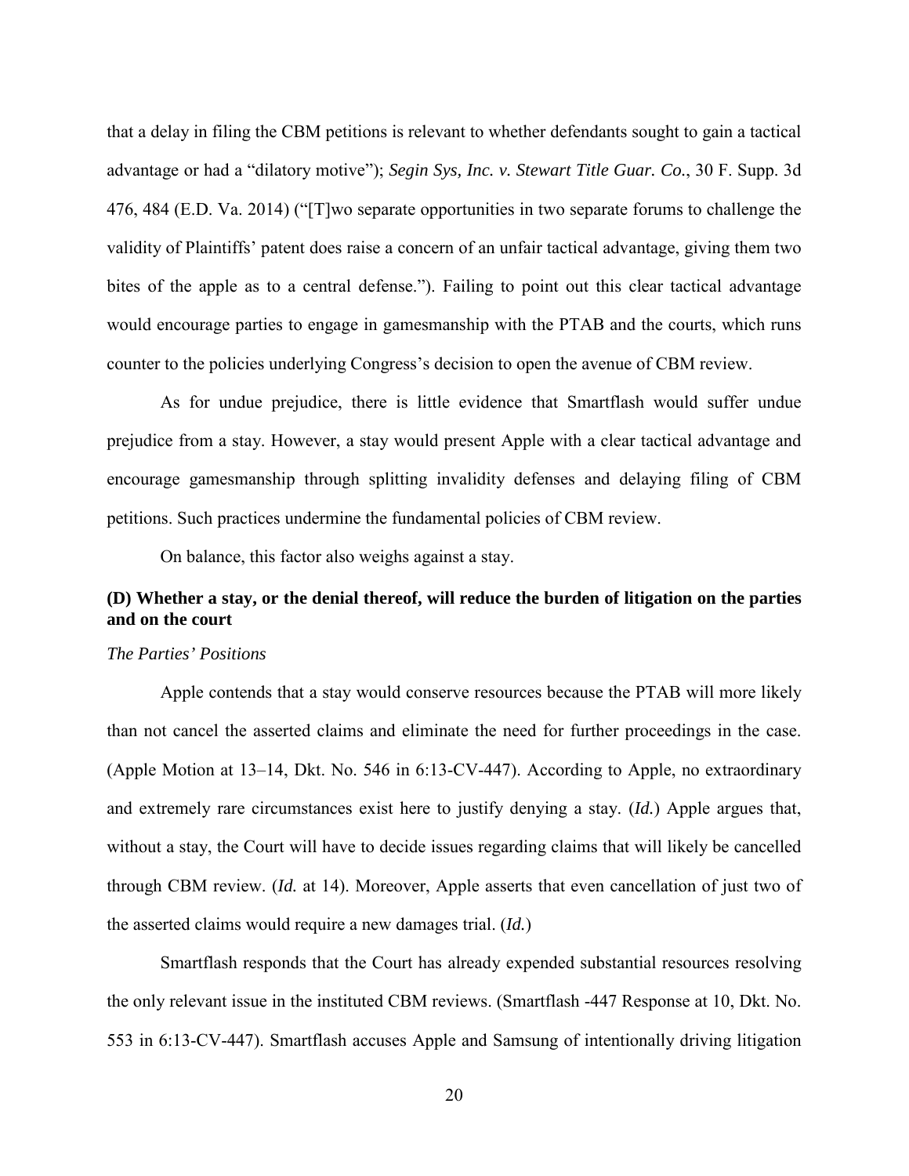that a delay in filing the CBM petitions is relevant to whether defendants sought to gain a tactical advantage or had a "dilatory motive"); *Segin Sys, Inc. v. Stewart Title Guar. Co.*, 30 F. Supp. 3d 476, 484 (E.D. Va. 2014) ("[T]wo separate opportunities in two separate forums to challenge the validity of Plaintiffs' patent does raise a concern of an unfair tactical advantage, giving them two bites of the apple as to a central defense."). Failing to point out this clear tactical advantage would encourage parties to engage in gamesmanship with the PTAB and the courts, which runs counter to the policies underlying Congress's decision to open the avenue of CBM review.

As for undue prejudice, there is little evidence that Smartflash would suffer undue prejudice from a stay. However, a stay would present Apple with a clear tactical advantage and encourage gamesmanship through splitting invalidity defenses and delaying filing of CBM petitions. Such practices undermine the fundamental policies of CBM review.

On balance, this factor also weighs against a stay.

# **(D) Whether a stay, or the denial thereof, will reduce the burden of litigation on the parties and on the court**

### *The Parties' Positions*

Apple contends that a stay would conserve resources because the PTAB will more likely than not cancel the asserted claims and eliminate the need for further proceedings in the case. (Apple Motion at 13–14, Dkt. No. 546 in 6:13-CV-447). According to Apple, no extraordinary and extremely rare circumstances exist here to justify denying a stay. (*Id.*) Apple argues that, without a stay, the Court will have to decide issues regarding claims that will likely be cancelled through CBM review. (*Id.* at 14). Moreover, Apple asserts that even cancellation of just two of the asserted claims would require a new damages trial. (*Id.*)

Smartflash responds that the Court has already expended substantial resources resolving the only relevant issue in the instituted CBM reviews. (Smartflash -447 Response at 10, Dkt. No. 553 in 6:13-CV-447). Smartflash accuses Apple and Samsung of intentionally driving litigation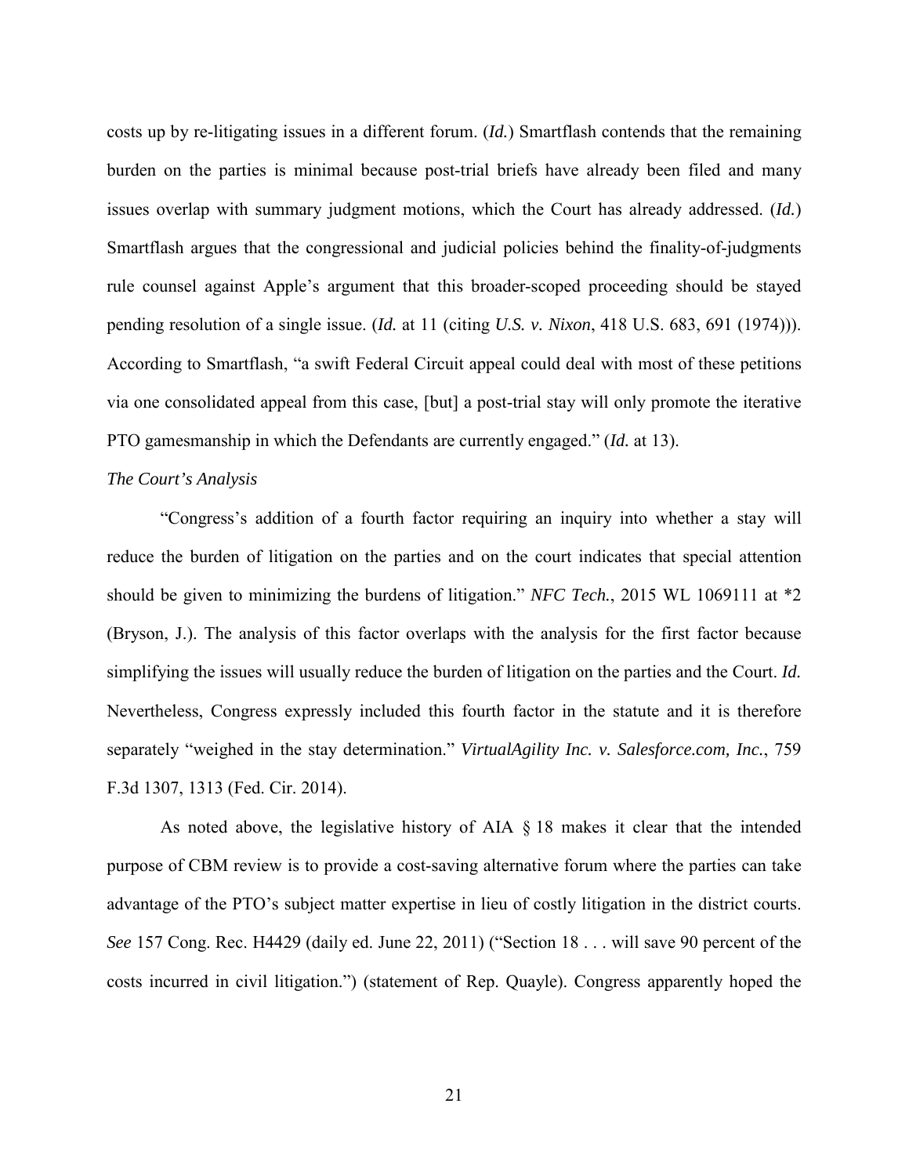costs up by re-litigating issues in a different forum. (*Id.*) Smartflash contends that the remaining burden on the parties is minimal because post-trial briefs have already been filed and many issues overlap with summary judgment motions, which the Court has already addressed. (*Id.*) Smartflash argues that the congressional and judicial policies behind the finality-of-judgments rule counsel against Apple's argument that this broader-scoped proceeding should be stayed pending resolution of a single issue. (*Id.* at 11 (citing *U.S. v. Nixon*, 418 U.S. 683, 691 (1974))). According to Smartflash, "a swift Federal Circuit appeal could deal with most of these petitions via one consolidated appeal from this case, [but] a post-trial stay will only promote the iterative PTO gamesmanship in which the Defendants are currently engaged." (*Id.* at 13).

#### *The Court's Analysis*

"Congress's addition of a fourth factor requiring an inquiry into whether a stay will reduce the burden of litigation on the parties and on the court indicates that special attention should be given to minimizing the burdens of litigation." *NFC Tech.*, 2015 WL 1069111 at \*2 (Bryson, J.). The analysis of this factor overlaps with the analysis for the first factor because simplifying the issues will usually reduce the burden of litigation on the parties and the Court. *Id.* Nevertheless, Congress expressly included this fourth factor in the statute and it is therefore separately "weighed in the stay determination." *VirtualAgility Inc. v. Salesforce.com, Inc.*, 759 F.3d 1307, 1313 (Fed. Cir. 2014).

As noted above, the legislative history of AIA § 18 makes it clear that the intended purpose of CBM review is to provide a cost-saving alternative forum where the parties can take advantage of the PTO's subject matter expertise in lieu of costly litigation in the district courts. *See* 157 Cong. Rec. H4429 (daily ed. June 22, 2011) ("Section 18 . . . will save 90 percent of the costs incurred in civil litigation.") (statement of Rep. Quayle). Congress apparently hoped the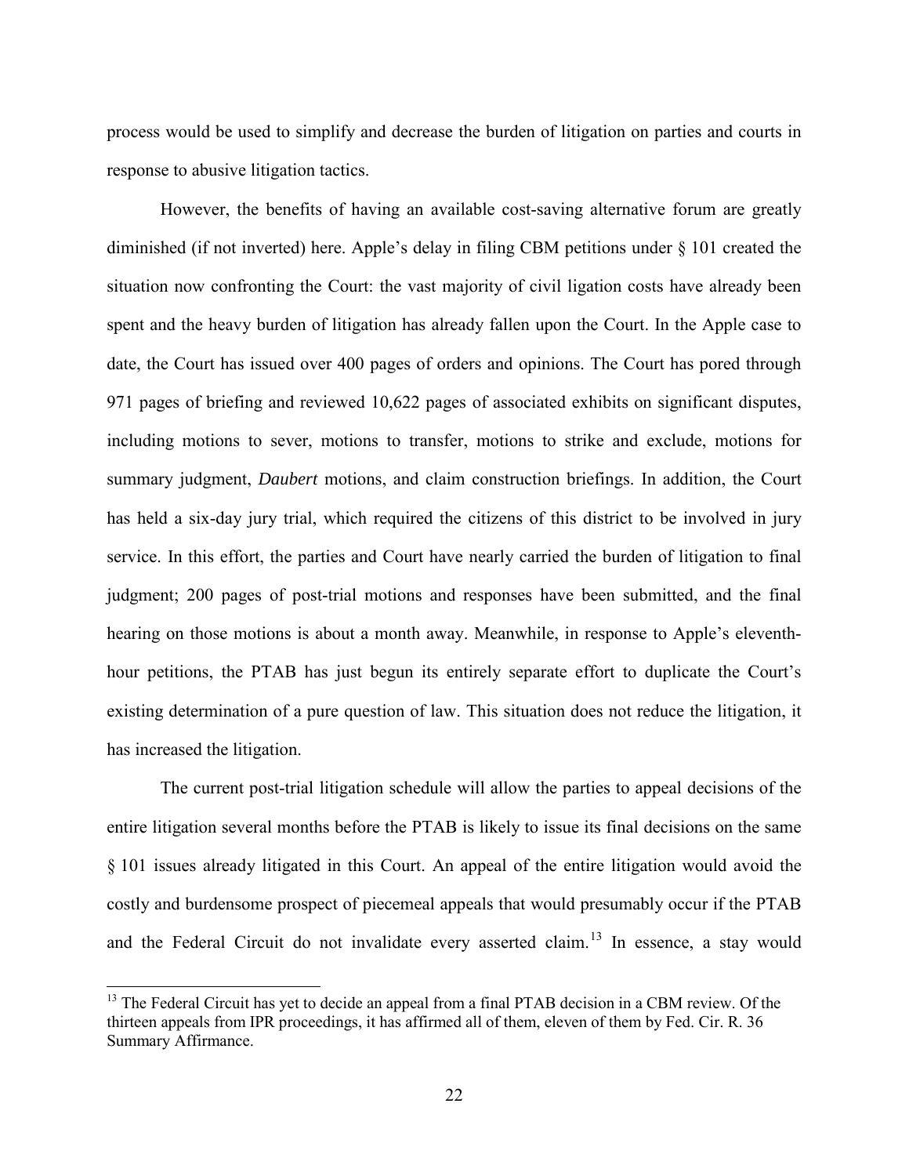process would be used to simplify and decrease the burden of litigation on parties and courts in response to abusive litigation tactics.

However, the benefits of having an available cost-saving alternative forum are greatly diminished (if not inverted) here. Apple's delay in filing CBM petitions under § 101 created the situation now confronting the Court: the vast majority of civil ligation costs have already been spent and the heavy burden of litigation has already fallen upon the Court. In the Apple case to date, the Court has issued over 400 pages of orders and opinions. The Court has pored through 971 pages of briefing and reviewed 10,622 pages of associated exhibits on significant disputes, including motions to sever, motions to transfer, motions to strike and exclude, motions for summary judgment, *Daubert* motions, and claim construction briefings. In addition, the Court has held a six-day jury trial, which required the citizens of this district to be involved in jury service. In this effort, the parties and Court have nearly carried the burden of litigation to final judgment; 200 pages of post-trial motions and responses have been submitted, and the final hearing on those motions is about a month away. Meanwhile, in response to Apple's eleventhhour petitions, the PTAB has just begun its entirely separate effort to duplicate the Court's existing determination of a pure question of law. This situation does not reduce the litigation, it has increased the litigation.

The current post-trial litigation schedule will allow the parties to appeal decisions of the entire litigation several months before the PTAB is likely to issue its final decisions on the same § 101 issues already litigated in this Court. An appeal of the entire litigation would avoid the costly and burdensome prospect of piecemeal appeals that would presumably occur if the PTAB and the Federal Circuit do not invalidate every asserted claim.<sup>[13](#page-21-0)</sup> In essence, a stay would

 $\overline{a}$ 

<span id="page-21-0"></span><sup>&</sup>lt;sup>13</sup> The Federal Circuit has yet to decide an appeal from a final PTAB decision in a CBM review. Of the thirteen appeals from IPR proceedings, it has affirmed all of them, eleven of them by Fed. Cir. R. 36 Summary Affirmance.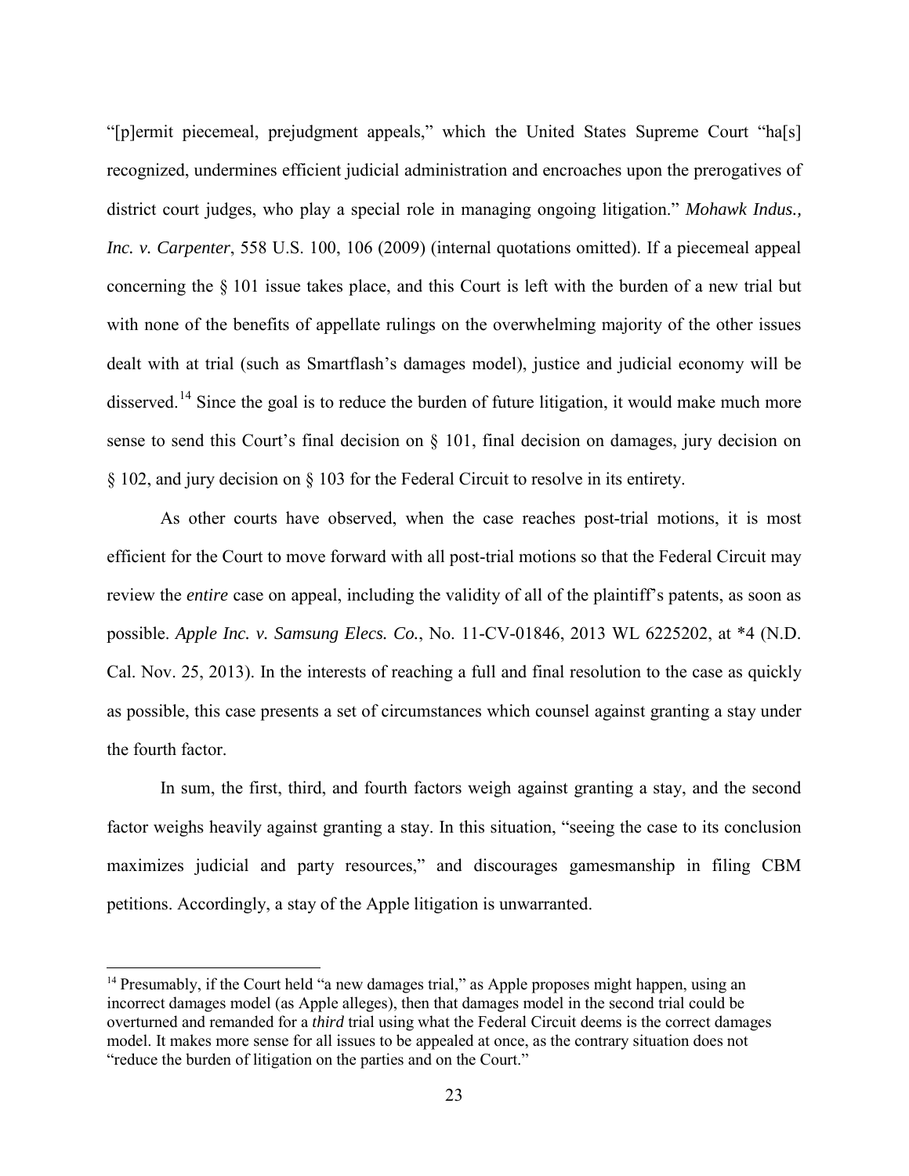"[p]ermit piecemeal, prejudgment appeals," which the United States Supreme Court "ha[s] recognized, undermines efficient judicial administration and encroaches upon the prerogatives of district court judges, who play a special role in managing ongoing litigation." *Mohawk Indus., Inc. v. Carpenter*, 558 U.S. 100, 106 (2009) (internal quotations omitted). If a piecemeal appeal concerning the § 101 issue takes place, and this Court is left with the burden of a new trial but with none of the benefits of appellate rulings on the overwhelming majority of the other issues dealt with at trial (such as Smartflash's damages model), justice and judicial economy will be disserved.<sup>[14](#page-22-0)</sup> Since the goal is to reduce the burden of future litigation, it would make much more sense to send this Court's final decision on § 101, final decision on damages, jury decision on § 102, and jury decision on § 103 for the Federal Circuit to resolve in its entirety.

As other courts have observed, when the case reaches post-trial motions, it is most efficient for the Court to move forward with all post-trial motions so that the Federal Circuit may review the *entire* case on appeal, including the validity of all of the plaintiff's patents, as soon as possible. *Apple Inc. v. Samsung Elecs. Co.*, No. 11-CV-01846, 2013 WL 6225202, at \*4 (N.D. Cal. Nov. 25, 2013). In the interests of reaching a full and final resolution to the case as quickly as possible, this case presents a set of circumstances which counsel against granting a stay under the fourth factor.

In sum, the first, third, and fourth factors weigh against granting a stay, and the second factor weighs heavily against granting a stay. In this situation, "seeing the case to its conclusion maximizes judicial and party resources," and discourages gamesmanship in filing CBM petitions. Accordingly, a stay of the Apple litigation is unwarranted.

 $\overline{a}$ 

<span id="page-22-0"></span><sup>&</sup>lt;sup>14</sup> Presumably, if the Court held "a new damages trial," as Apple proposes might happen, using an incorrect damages model (as Apple alleges), then that damages model in the second trial could be overturned and remanded for a *third* trial using what the Federal Circuit deems is the correct damages model. It makes more sense for all issues to be appealed at once, as the contrary situation does not "reduce the burden of litigation on the parties and on the Court."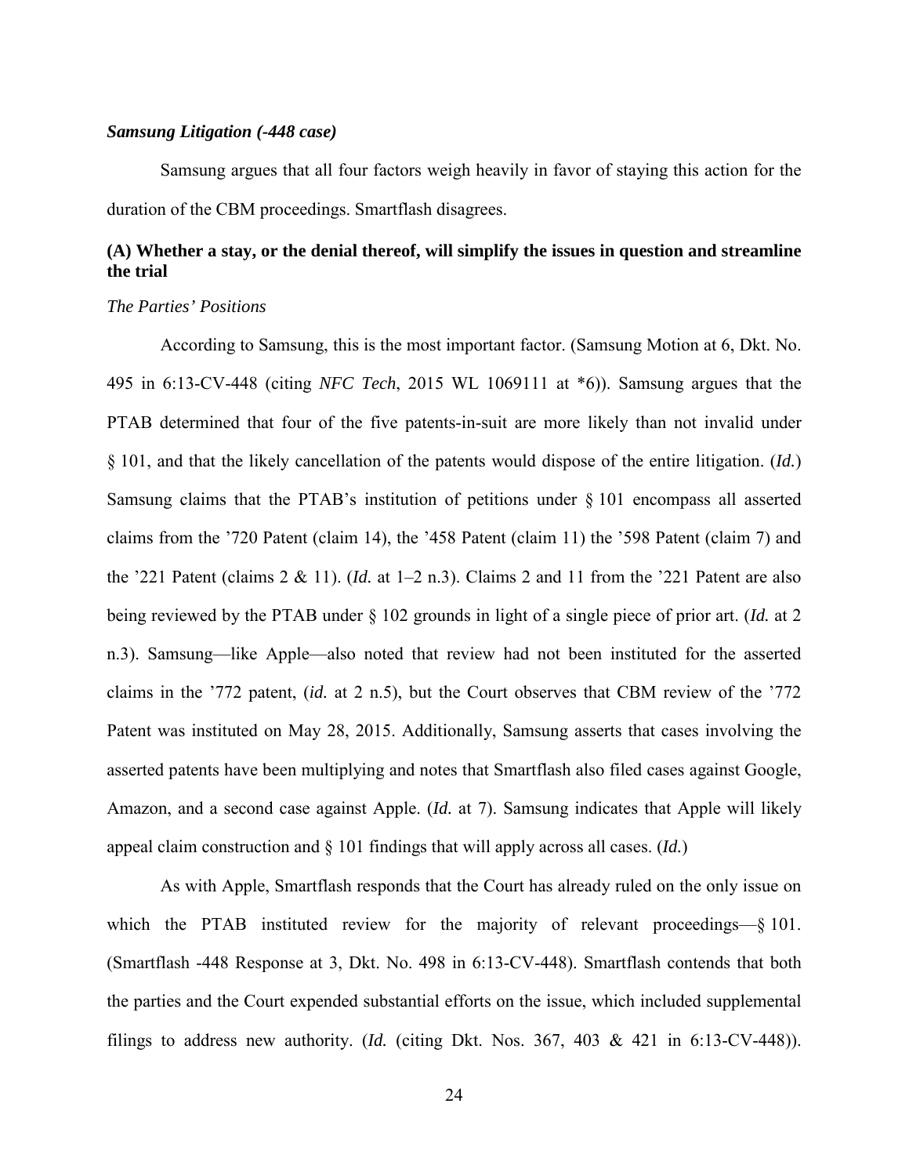### *Samsung Litigation (-448 case)*

Samsung argues that all four factors weigh heavily in favor of staying this action for the duration of the CBM proceedings. Smartflash disagrees.

# **(A) Whether a stay, or the denial thereof, will simplify the issues in question and streamline the trial**

### *The Parties' Positions*

According to Samsung, this is the most important factor. (Samsung Motion at 6, Dkt. No. 495 in 6:13-CV-448 (citing *NFC Tech*, 2015 WL 1069111 at \*6)). Samsung argues that the PTAB determined that four of the five patents-in-suit are more likely than not invalid under § 101, and that the likely cancellation of the patents would dispose of the entire litigation. (*Id.*) Samsung claims that the PTAB's institution of petitions under § 101 encompass all asserted claims from the '720 Patent (claim 14), the '458 Patent (claim 11) the '598 Patent (claim 7) and the '221 Patent (claims 2 & 11). (*Id.* at 1–2 n.3). Claims 2 and 11 from the '221 Patent are also being reviewed by the PTAB under § 102 grounds in light of a single piece of prior art. (*Id.* at 2 n.3). Samsung—like Apple—also noted that review had not been instituted for the asserted claims in the '772 patent, (*id.* at 2 n.5), but the Court observes that CBM review of the '772 Patent was instituted on May 28, 2015. Additionally, Samsung asserts that cases involving the asserted patents have been multiplying and notes that Smartflash also filed cases against Google, Amazon, and a second case against Apple. (*Id.* at 7). Samsung indicates that Apple will likely appeal claim construction and § 101 findings that will apply across all cases. (*Id.*)

As with Apple, Smartflash responds that the Court has already ruled on the only issue on which the PTAB instituted review for the majority of relevant proceedings—§ 101. (Smartflash -448 Response at 3, Dkt. No. 498 in 6:13-CV-448). Smartflash contends that both the parties and the Court expended substantial efforts on the issue, which included supplemental filings to address new authority. (*Id.* (citing Dkt. Nos.  $367, 403 \& 421$  in  $6:13$ -CV-448)).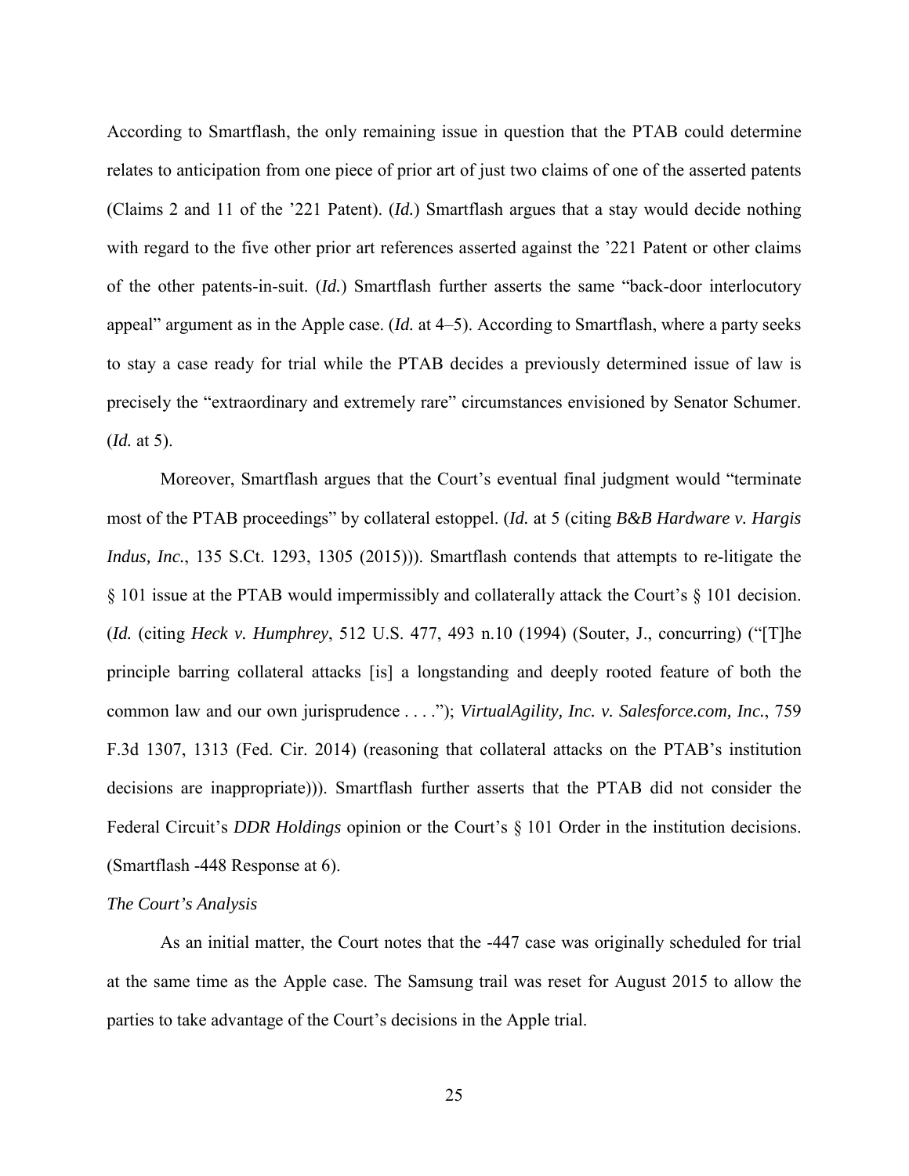According to Smartflash, the only remaining issue in question that the PTAB could determine relates to anticipation from one piece of prior art of just two claims of one of the asserted patents (Claims 2 and 11 of the '221 Patent). (*Id.*) Smartflash argues that a stay would decide nothing with regard to the five other prior art references asserted against the '221 Patent or other claims of the other patents-in-suit. (*Id.*) Smartflash further asserts the same "back-door interlocutory appeal" argument as in the Apple case. (*Id.* at 4–5). According to Smartflash, where a party seeks to stay a case ready for trial while the PTAB decides a previously determined issue of law is precisely the "extraordinary and extremely rare" circumstances envisioned by Senator Schumer. (*Id.* at 5).

Moreover, Smartflash argues that the Court's eventual final judgment would "terminate most of the PTAB proceedings" by collateral estoppel. (*Id.* at 5 (citing *B&B Hardware v. Hargis Indus, Inc.*, 135 S.Ct. 1293, 1305 (2015))). Smartflash contends that attempts to re-litigate the § 101 issue at the PTAB would impermissibly and collaterally attack the Court's § 101 decision. (*Id.* (citing *Heck v. Humphrey*, 512 U.S. 477, 493 n.10 (1994) (Souter, J., concurring) ("[T]he principle barring collateral attacks [is] a longstanding and deeply rooted feature of both the common law and our own jurisprudence . . . ."); *VirtualAgility, Inc. v. Salesforce.com, Inc.*, 759 F.3d 1307, 1313 (Fed. Cir. 2014) (reasoning that collateral attacks on the PTAB's institution decisions are inappropriate))). Smartflash further asserts that the PTAB did not consider the Federal Circuit's *DDR Holdings* opinion or the Court's § 101 Order in the institution decisions. (Smartflash -448 Response at 6).

### *The Court's Analysis*

As an initial matter, the Court notes that the -447 case was originally scheduled for trial at the same time as the Apple case. The Samsung trail was reset for August 2015 to allow the parties to take advantage of the Court's decisions in the Apple trial.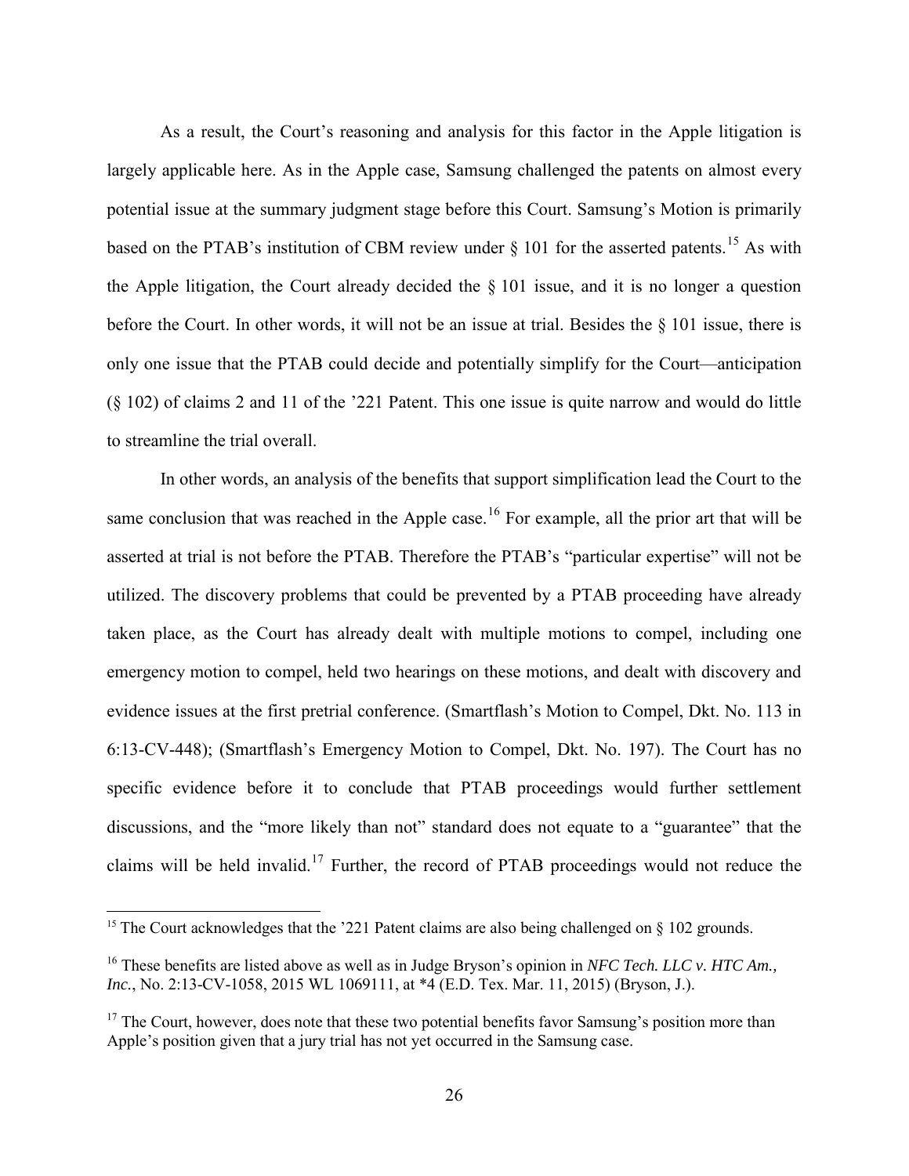As a result, the Court's reasoning and analysis for this factor in the Apple litigation is largely applicable here. As in the Apple case, Samsung challenged the patents on almost every potential issue at the summary judgment stage before this Court. Samsung's Motion is primarily based on the PTAB's institution of CBM review under  $\S$  101 for the asserted patents.<sup>[15](#page-25-0)</sup> As with the Apple litigation, the Court already decided the § 101 issue, and it is no longer a question before the Court. In other words, it will not be an issue at trial. Besides the § 101 issue, there is only one issue that the PTAB could decide and potentially simplify for the Court—anticipation (§ 102) of claims 2 and 11 of the '221 Patent. This one issue is quite narrow and would do little to streamline the trial overall.

In other words, an analysis of the benefits that support simplification lead the Court to the same conclusion that was reached in the Apple case.<sup>[16](#page-25-1)</sup> For example, all the prior art that will be asserted at trial is not before the PTAB. Therefore the PTAB's "particular expertise" will not be utilized. The discovery problems that could be prevented by a PTAB proceeding have already taken place, as the Court has already dealt with multiple motions to compel, including one emergency motion to compel, held two hearings on these motions, and dealt with discovery and evidence issues at the first pretrial conference. (Smartflash's Motion to Compel, Dkt. No. 113 in 6:13-CV-448); (Smartflash's Emergency Motion to Compel, Dkt. No. 197). The Court has no specific evidence before it to conclude that PTAB proceedings would further settlement discussions, and the "more likely than not" standard does not equate to a "guarantee" that the claims will be held invalid.<sup>[17](#page-25-2)</sup> Further, the record of PTAB proceedings would not reduce the

 $\overline{a}$ 

<span id="page-25-0"></span><sup>&</sup>lt;sup>15</sup> The Court acknowledges that the '221 Patent claims are also being challenged on  $\S$  102 grounds.

<span id="page-25-1"></span><sup>16</sup> These benefits are listed above as well as in Judge Bryson's opinion in *NFC Tech. LLC v. HTC Am., Inc.*, No. 2:13-CV-1058, 2015 WL 1069111, at \*4 (E.D. Tex. Mar. 11, 2015) (Bryson, J.).

<span id="page-25-2"></span><sup>&</sup>lt;sup>17</sup> The Court, however, does note that these two potential benefits favor Samsung's position more than Apple's position given that a jury trial has not yet occurred in the Samsung case.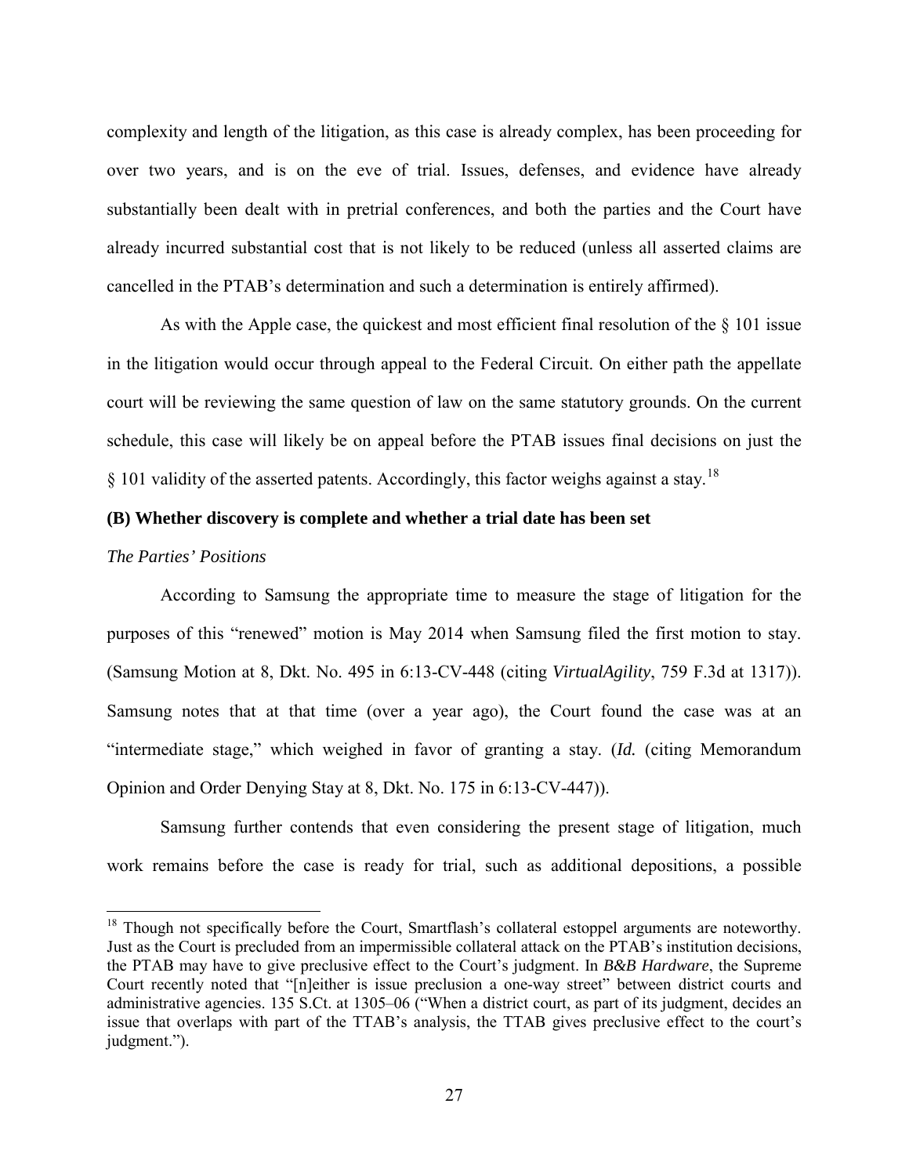complexity and length of the litigation, as this case is already complex, has been proceeding for over two years, and is on the eve of trial. Issues, defenses, and evidence have already substantially been dealt with in pretrial conferences, and both the parties and the Court have already incurred substantial cost that is not likely to be reduced (unless all asserted claims are cancelled in the PTAB's determination and such a determination is entirely affirmed).

As with the Apple case, the quickest and most efficient final resolution of the § 101 issue in the litigation would occur through appeal to the Federal Circuit. On either path the appellate court will be reviewing the same question of law on the same statutory grounds. On the current schedule, this case will likely be on appeal before the PTAB issues final decisions on just the  $\S$  101 validity of the asserted patents. Accordingly, this factor weighs against a stay.<sup>[18](#page-26-0)</sup>

## **(B) Whether discovery is complete and whether a trial date has been set**

### *The Parties' Positions*

-

According to Samsung the appropriate time to measure the stage of litigation for the purposes of this "renewed" motion is May 2014 when Samsung filed the first motion to stay. (Samsung Motion at 8, Dkt. No. 495 in 6:13-CV-448 (citing *VirtualAgility*, 759 F.3d at 1317)). Samsung notes that at that time (over a year ago), the Court found the case was at an "intermediate stage," which weighed in favor of granting a stay. (*Id.* (citing Memorandum Opinion and Order Denying Stay at 8, Dkt. No. 175 in 6:13-CV-447)).

Samsung further contends that even considering the present stage of litigation, much work remains before the case is ready for trial, such as additional depositions, a possible

<span id="page-26-0"></span> $18$  Though not specifically before the Court, Smartflash's collateral estoppel arguments are noteworthy. Just as the Court is precluded from an impermissible collateral attack on the PTAB's institution decisions, the PTAB may have to give preclusive effect to the Court's judgment. In *B&B Hardware*, the Supreme Court recently noted that "[n]either is issue preclusion a one-way street" between district courts and administrative agencies. 135 S.Ct. at 1305–06 ("When a district court, as part of its judgment, decides an issue that overlaps with part of the TTAB's analysis, the TTAB gives preclusive effect to the court's judgment.").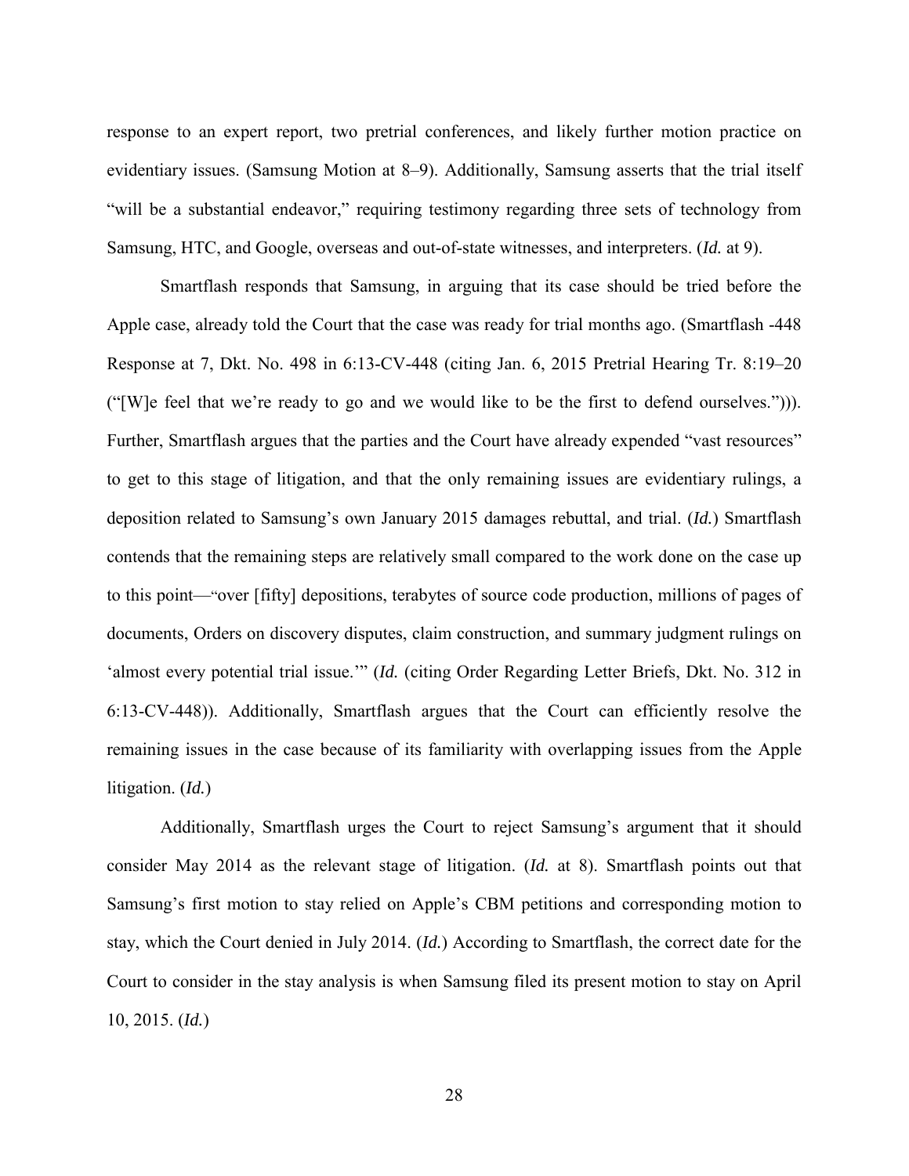response to an expert report, two pretrial conferences, and likely further motion practice on evidentiary issues. (Samsung Motion at 8–9). Additionally, Samsung asserts that the trial itself "will be a substantial endeavor," requiring testimony regarding three sets of technology from Samsung, HTC, and Google, overseas and out-of-state witnesses, and interpreters. (*Id.* at 9).

Smartflash responds that Samsung, in arguing that its case should be tried before the Apple case, already told the Court that the case was ready for trial months ago. (Smartflash -448 Response at 7, Dkt. No. 498 in 6:13-CV-448 (citing Jan. 6, 2015 Pretrial Hearing Tr. 8:19–20 ("[W]e feel that we're ready to go and we would like to be the first to defend ourselves."))). Further, Smartflash argues that the parties and the Court have already expended "vast resources" to get to this stage of litigation, and that the only remaining issues are evidentiary rulings, a deposition related to Samsung's own January 2015 damages rebuttal, and trial. (*Id.*) Smartflash contends that the remaining steps are relatively small compared to the work done on the case up to this point—"over [fifty] depositions, terabytes of source code production, millions of pages of documents, Orders on discovery disputes, claim construction, and summary judgment rulings on 'almost every potential trial issue.'" (*Id.* (citing Order Regarding Letter Briefs, Dkt. No. 312 in 6:13-CV-448)). Additionally, Smartflash argues that the Court can efficiently resolve the remaining issues in the case because of its familiarity with overlapping issues from the Apple litigation. (*Id.*)

Additionally, Smartflash urges the Court to reject Samsung's argument that it should consider May 2014 as the relevant stage of litigation. (*Id.* at 8). Smartflash points out that Samsung's first motion to stay relied on Apple's CBM petitions and corresponding motion to stay, which the Court denied in July 2014. (*Id.*) According to Smartflash, the correct date for the Court to consider in the stay analysis is when Samsung filed its present motion to stay on April 10, 2015. (*Id.*)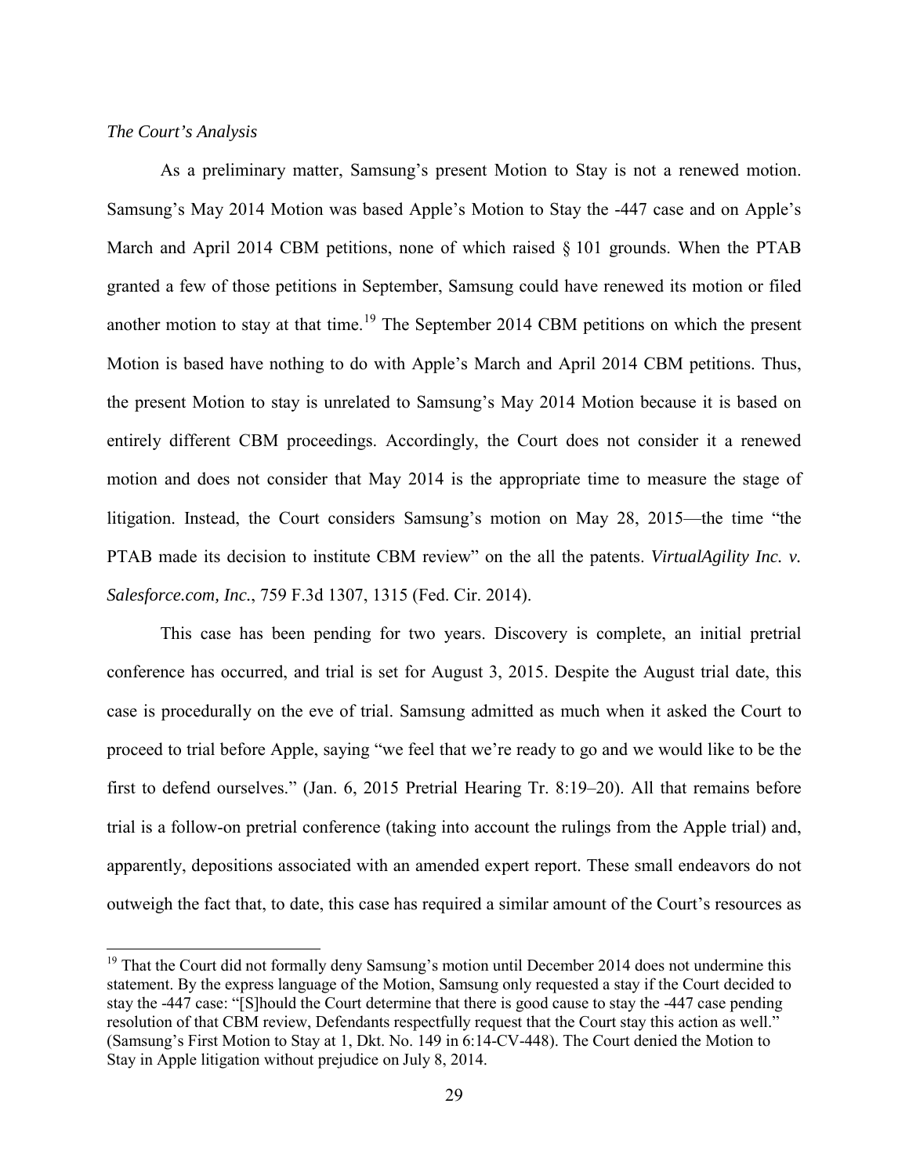## *The Court's Analysis*

 $\overline{a}$ 

As a preliminary matter, Samsung's present Motion to Stay is not a renewed motion. Samsung's May 2014 Motion was based Apple's Motion to Stay the -447 case and on Apple's March and April 2014 CBM petitions, none of which raised  $\S 101$  grounds. When the PTAB granted a few of those petitions in September, Samsung could have renewed its motion or filed another motion to stay at that time.<sup>[19](#page-28-0)</sup> The September 2014 CBM petitions on which the present Motion is based have nothing to do with Apple's March and April 2014 CBM petitions. Thus, the present Motion to stay is unrelated to Samsung's May 2014 Motion because it is based on entirely different CBM proceedings. Accordingly, the Court does not consider it a renewed motion and does not consider that May 2014 is the appropriate time to measure the stage of litigation. Instead, the Court considers Samsung's motion on May 28, 2015—the time "the PTAB made its decision to institute CBM review" on the all the patents. *VirtualAgility Inc. v. Salesforce.com, Inc.*, 759 F.3d 1307, 1315 (Fed. Cir. 2014).

This case has been pending for two years. Discovery is complete, an initial pretrial conference has occurred, and trial is set for August 3, 2015. Despite the August trial date, this case is procedurally on the eve of trial. Samsung admitted as much when it asked the Court to proceed to trial before Apple, saying "we feel that we're ready to go and we would like to be the first to defend ourselves." (Jan. 6, 2015 Pretrial Hearing Tr. 8:19–20). All that remains before trial is a follow-on pretrial conference (taking into account the rulings from the Apple trial) and, apparently, depositions associated with an amended expert report. These small endeavors do not outweigh the fact that, to date, this case has required a similar amount of the Court's resources as

<span id="page-28-0"></span><sup>&</sup>lt;sup>19</sup> That the Court did not formally deny Samsung's motion until December 2014 does not undermine this statement. By the express language of the Motion, Samsung only requested a stay if the Court decided to stay the -447 case: "[S]hould the Court determine that there is good cause to stay the -447 case pending resolution of that CBM review, Defendants respectfully request that the Court stay this action as well." (Samsung's First Motion to Stay at 1, Dkt. No. 149 in 6:14-CV-448). The Court denied the Motion to Stay in Apple litigation without prejudice on July 8, 2014.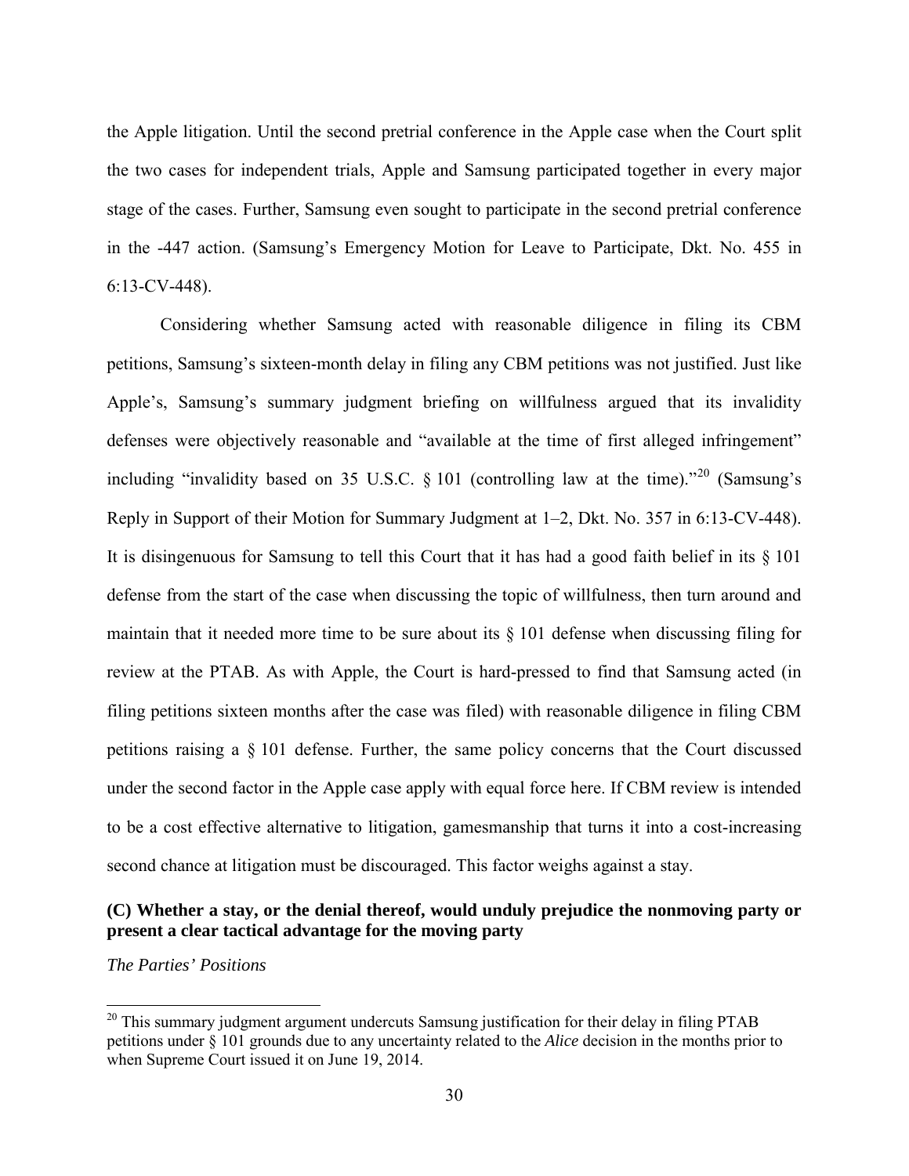the Apple litigation. Until the second pretrial conference in the Apple case when the Court split the two cases for independent trials, Apple and Samsung participated together in every major stage of the cases. Further, Samsung even sought to participate in the second pretrial conference in the -447 action. (Samsung's Emergency Motion for Leave to Participate, Dkt. No. 455 in 6:13-CV-448).

Considering whether Samsung acted with reasonable diligence in filing its CBM petitions, Samsung's sixteen-month delay in filing any CBM petitions was not justified. Just like Apple's, Samsung's summary judgment briefing on willfulness argued that its invalidity defenses were objectively reasonable and "available at the time of first alleged infringement" including "invalidity based on 35 U.S.C.  $\S$  101 (controlling law at the time)."<sup>[20](#page-29-0)</sup> (Samsung's Reply in Support of their Motion for Summary Judgment at 1–2, Dkt. No. 357 in 6:13-CV-448). It is disingenuous for Samsung to tell this Court that it has had a good faith belief in its § 101 defense from the start of the case when discussing the topic of willfulness, then turn around and maintain that it needed more time to be sure about its  $\S$  101 defense when discussing filing for review at the PTAB. As with Apple, the Court is hard-pressed to find that Samsung acted (in filing petitions sixteen months after the case was filed) with reasonable diligence in filing CBM petitions raising a § 101 defense. Further, the same policy concerns that the Court discussed under the second factor in the Apple case apply with equal force here. If CBM review is intended to be a cost effective alternative to litigation, gamesmanship that turns it into a cost-increasing second chance at litigation must be discouraged. This factor weighs against a stay.

# **(C) Whether a stay, or the denial thereof, would unduly prejudice the nonmoving party or present a clear tactical advantage for the moving party**

*The Parties' Positions* 

-

<span id="page-29-0"></span><sup>&</sup>lt;sup>20</sup> This summary judgment argument undercuts Samsung justification for their delay in filing PTAB petitions under § 101 grounds due to any uncertainty related to the *Alice* decision in the months prior to when Supreme Court issued it on June 19, 2014.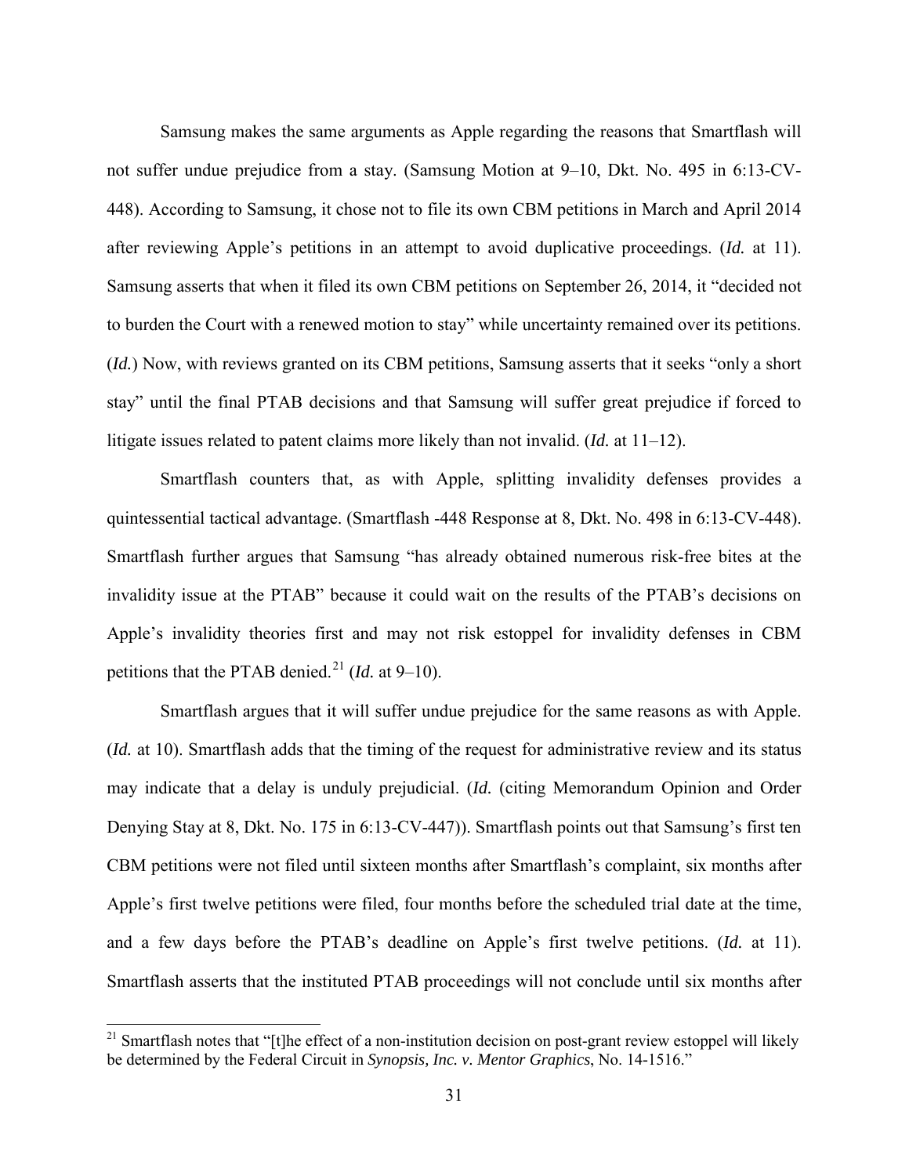Samsung makes the same arguments as Apple regarding the reasons that Smartflash will not suffer undue prejudice from a stay. (Samsung Motion at 9–10, Dkt. No. 495 in 6:13-CV-448). According to Samsung, it chose not to file its own CBM petitions in March and April 2014 after reviewing Apple's petitions in an attempt to avoid duplicative proceedings. (*Id.* at 11). Samsung asserts that when it filed its own CBM petitions on September 26, 2014, it "decided not to burden the Court with a renewed motion to stay" while uncertainty remained over its petitions. (*Id.*) Now, with reviews granted on its CBM petitions, Samsung asserts that it seeks "only a short stay" until the final PTAB decisions and that Samsung will suffer great prejudice if forced to litigate issues related to patent claims more likely than not invalid. (*Id.* at 11–12).

Smartflash counters that, as with Apple, splitting invalidity defenses provides a quintessential tactical advantage. (Smartflash -448 Response at 8, Dkt. No. 498 in 6:13-CV-448). Smartflash further argues that Samsung "has already obtained numerous risk-free bites at the invalidity issue at the PTAB" because it could wait on the results of the PTAB's decisions on Apple's invalidity theories first and may not risk estoppel for invalidity defenses in CBM petitions that the PTAB denied. [21](#page-30-0) (*Id.* at 9–10).

Smartflash argues that it will suffer undue prejudice for the same reasons as with Apple. (*Id.* at 10). Smartflash adds that the timing of the request for administrative review and its status may indicate that a delay is unduly prejudicial. (*Id.* (citing Memorandum Opinion and Order Denying Stay at 8, Dkt. No. 175 in 6:13-CV-447)). Smartflash points out that Samsung's first ten CBM petitions were not filed until sixteen months after Smartflash's complaint, six months after Apple's first twelve petitions were filed, four months before the scheduled trial date at the time, and a few days before the PTAB's deadline on Apple's first twelve petitions. (*Id.* at 11). Smartflash asserts that the instituted PTAB proceedings will not conclude until six months after

 $\overline{a}$ 

<span id="page-30-0"></span> $21$  Smartflash notes that "[t]he effect of a non-institution decision on post-grant review estoppel will likely be determined by the Federal Circuit in *Synopsis, Inc. v. Mentor Graphics*, No. 14-1516."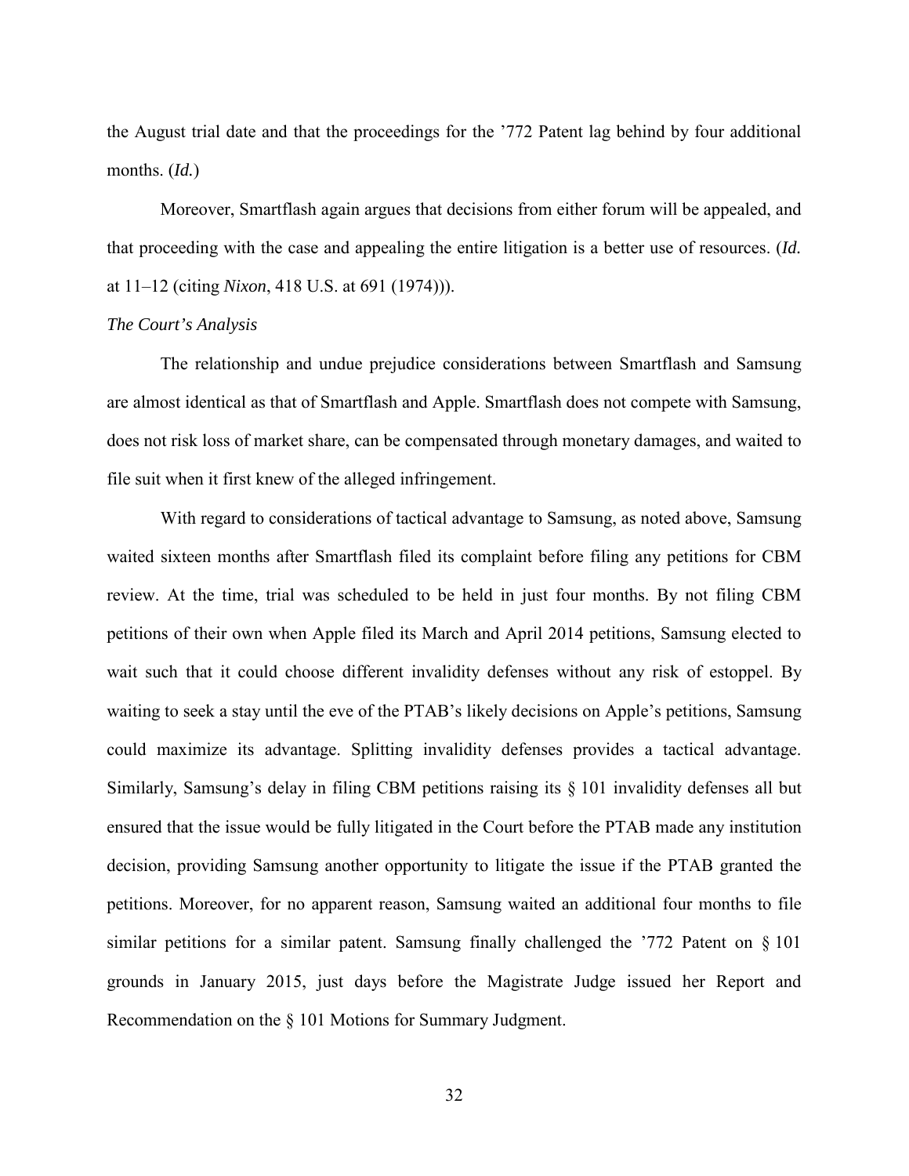the August trial date and that the proceedings for the '772 Patent lag behind by four additional months. (*Id.*)

Moreover, Smartflash again argues that decisions from either forum will be appealed, and that proceeding with the case and appealing the entire litigation is a better use of resources. (*Id.* at 11–12 (citing *Nixon*, 418 U.S. at 691 (1974))).

#### *The Court's Analysis*

The relationship and undue prejudice considerations between Smartflash and Samsung are almost identical as that of Smartflash and Apple. Smartflash does not compete with Samsung, does not risk loss of market share, can be compensated through monetary damages, and waited to file suit when it first knew of the alleged infringement.

With regard to considerations of tactical advantage to Samsung, as noted above, Samsung waited sixteen months after Smartflash filed its complaint before filing any petitions for CBM review. At the time, trial was scheduled to be held in just four months. By not filing CBM petitions of their own when Apple filed its March and April 2014 petitions, Samsung elected to wait such that it could choose different invalidity defenses without any risk of estoppel. By waiting to seek a stay until the eve of the PTAB's likely decisions on Apple's petitions, Samsung could maximize its advantage. Splitting invalidity defenses provides a tactical advantage. Similarly, Samsung's delay in filing CBM petitions raising its § 101 invalidity defenses all but ensured that the issue would be fully litigated in the Court before the PTAB made any institution decision, providing Samsung another opportunity to litigate the issue if the PTAB granted the petitions. Moreover, for no apparent reason, Samsung waited an additional four months to file similar petitions for a similar patent. Samsung finally challenged the '772 Patent on § 101 grounds in January 2015, just days before the Magistrate Judge issued her Report and Recommendation on the § 101 Motions for Summary Judgment.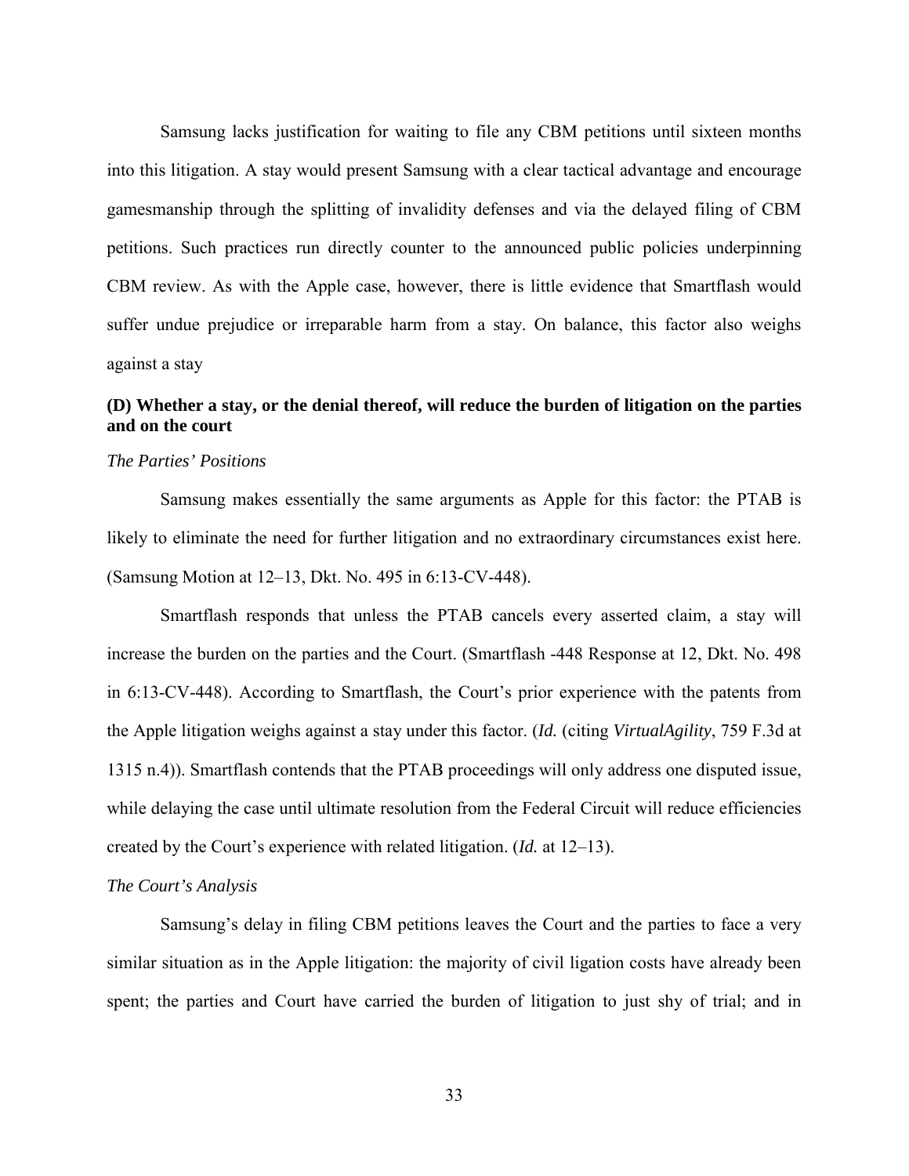Samsung lacks justification for waiting to file any CBM petitions until sixteen months into this litigation. A stay would present Samsung with a clear tactical advantage and encourage gamesmanship through the splitting of invalidity defenses and via the delayed filing of CBM petitions. Such practices run directly counter to the announced public policies underpinning CBM review. As with the Apple case, however, there is little evidence that Smartflash would suffer undue prejudice or irreparable harm from a stay. On balance, this factor also weighs against a stay

# **(D) Whether a stay, or the denial thereof, will reduce the burden of litigation on the parties and on the court**

### *The Parties' Positions*

Samsung makes essentially the same arguments as Apple for this factor: the PTAB is likely to eliminate the need for further litigation and no extraordinary circumstances exist here. (Samsung Motion at 12–13, Dkt. No. 495 in 6:13-CV-448).

Smartflash responds that unless the PTAB cancels every asserted claim, a stay will increase the burden on the parties and the Court. (Smartflash -448 Response at 12, Dkt. No. 498 in 6:13-CV-448). According to Smartflash, the Court's prior experience with the patents from the Apple litigation weighs against a stay under this factor. (*Id.* (citing *VirtualAgility*, 759 F.3d at 1315 n.4)). Smartflash contends that the PTAB proceedings will only address one disputed issue, while delaying the case until ultimate resolution from the Federal Circuit will reduce efficiencies created by the Court's experience with related litigation. (*Id.* at 12–13).

## *The Court's Analysis*

Samsung's delay in filing CBM petitions leaves the Court and the parties to face a very similar situation as in the Apple litigation: the majority of civil ligation costs have already been spent; the parties and Court have carried the burden of litigation to just shy of trial; and in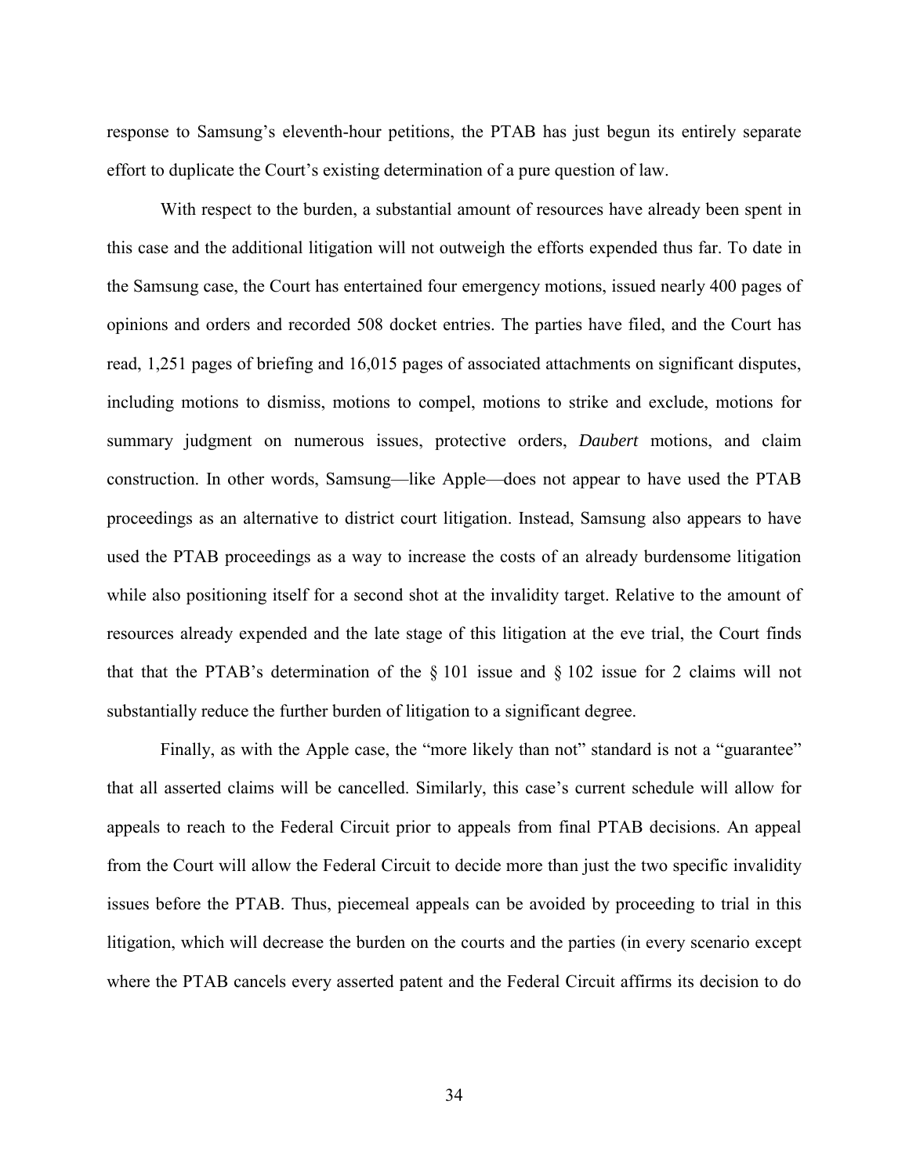response to Samsung's eleventh-hour petitions, the PTAB has just begun its entirely separate effort to duplicate the Court's existing determination of a pure question of law.

With respect to the burden, a substantial amount of resources have already been spent in this case and the additional litigation will not outweigh the efforts expended thus far. To date in the Samsung case, the Court has entertained four emergency motions, issued nearly 400 pages of opinions and orders and recorded 508 docket entries. The parties have filed, and the Court has read, 1,251 pages of briefing and 16,015 pages of associated attachments on significant disputes, including motions to dismiss, motions to compel, motions to strike and exclude, motions for summary judgment on numerous issues, protective orders, *Daubert* motions, and claim construction. In other words, Samsung—like Apple—does not appear to have used the PTAB proceedings as an alternative to district court litigation. Instead, Samsung also appears to have used the PTAB proceedings as a way to increase the costs of an already burdensome litigation while also positioning itself for a second shot at the invalidity target. Relative to the amount of resources already expended and the late stage of this litigation at the eve trial, the Court finds that that the PTAB's determination of the § 101 issue and § 102 issue for 2 claims will not substantially reduce the further burden of litigation to a significant degree.

Finally, as with the Apple case, the "more likely than not" standard is not a "guarantee" that all asserted claims will be cancelled. Similarly, this case's current schedule will allow for appeals to reach to the Federal Circuit prior to appeals from final PTAB decisions. An appeal from the Court will allow the Federal Circuit to decide more than just the two specific invalidity issues before the PTAB. Thus, piecemeal appeals can be avoided by proceeding to trial in this litigation, which will decrease the burden on the courts and the parties (in every scenario except where the PTAB cancels every asserted patent and the Federal Circuit affirms its decision to do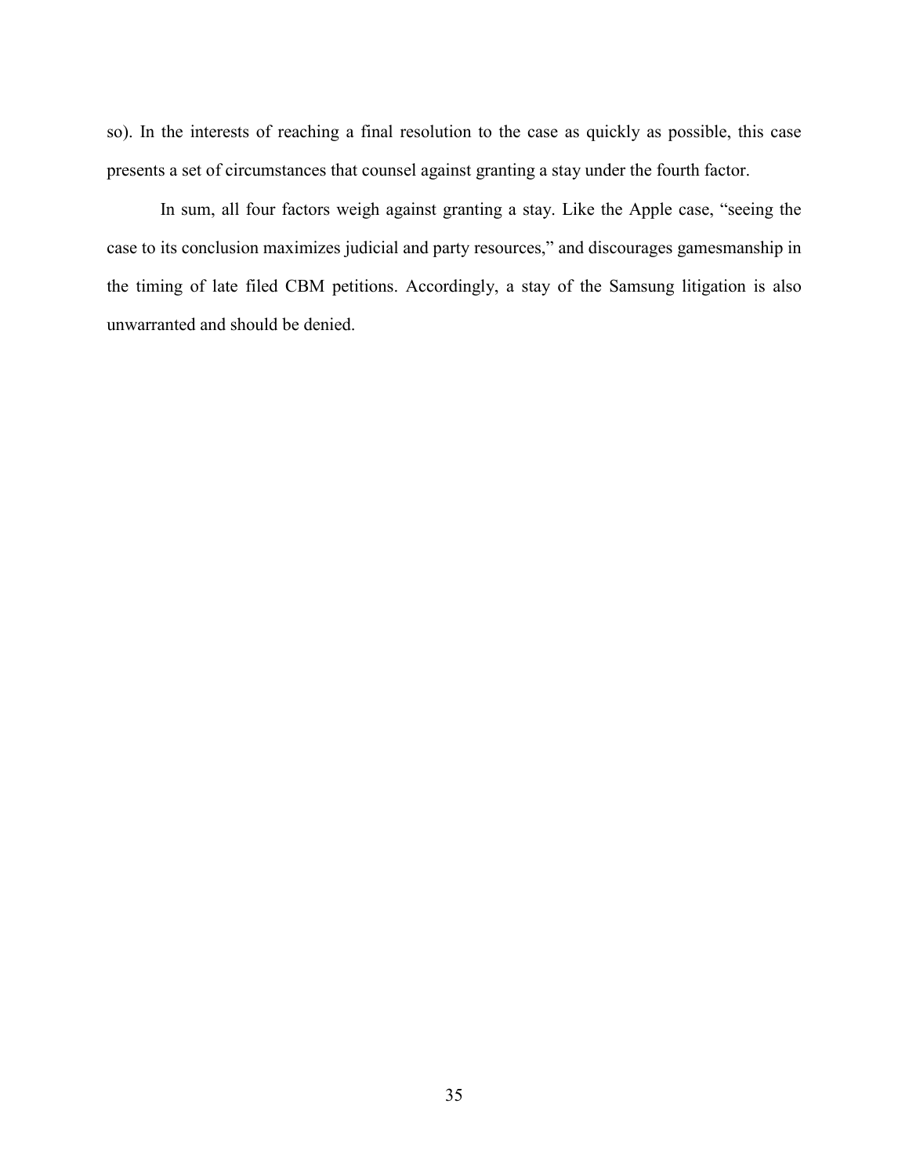so). In the interests of reaching a final resolution to the case as quickly as possible, this case presents a set of circumstances that counsel against granting a stay under the fourth factor.

In sum, all four factors weigh against granting a stay. Like the Apple case, "seeing the case to its conclusion maximizes judicial and party resources," and discourages gamesmanship in the timing of late filed CBM petitions. Accordingly, a stay of the Samsung litigation is also unwarranted and should be denied.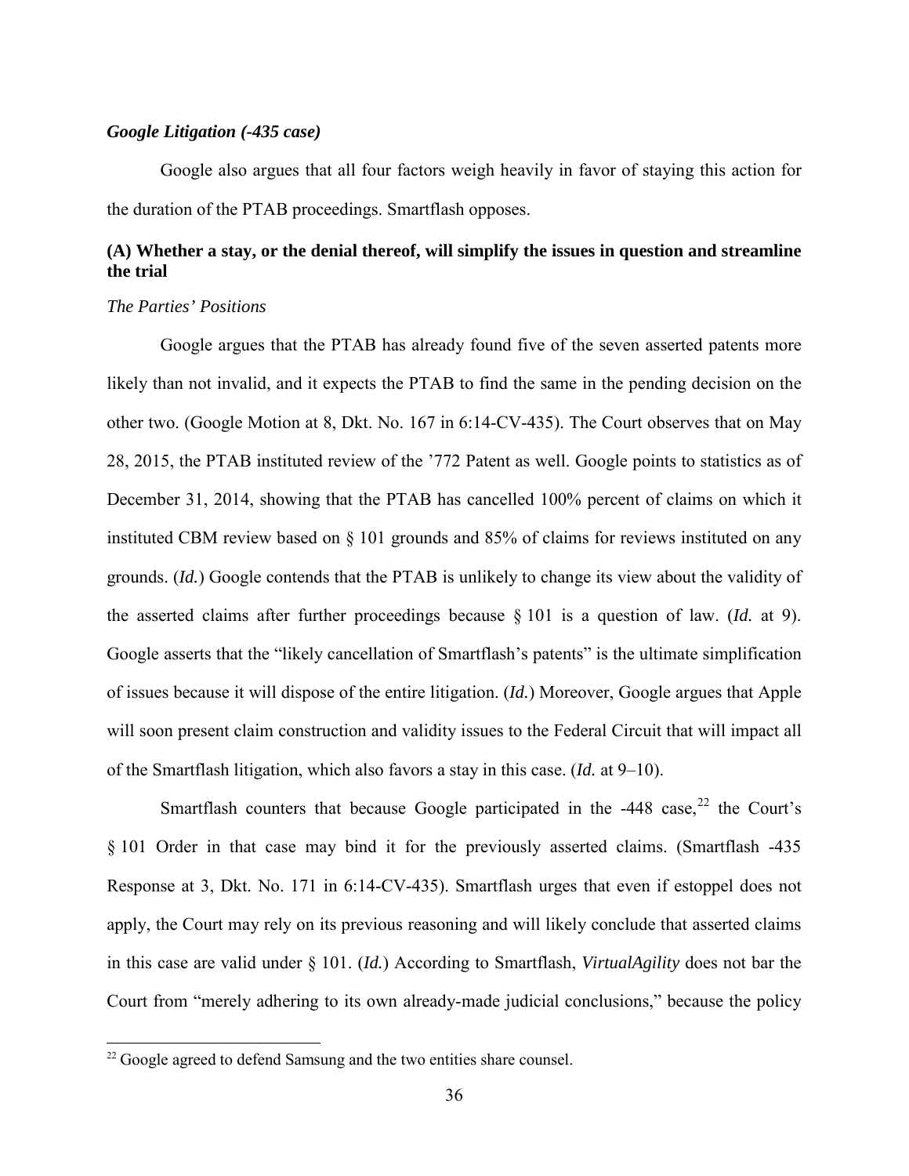### *Google Litigation (-435 case)*

Google also argues that all four factors weigh heavily in favor of staying this action for the duration of the PTAB proceedings. Smartflash opposes.

# **(A) Whether a stay, or the denial thereof, will simplify the issues in question and streamline the trial**

### *The Parties' Positions*

 $\overline{a}$ 

Google argues that the PTAB has already found five of the seven asserted patents more likely than not invalid, and it expects the PTAB to find the same in the pending decision on the other two. (Google Motion at 8, Dkt. No. 167 in 6:14-CV-435). The Court observes that on May 28, 2015, the PTAB instituted review of the '772 Patent as well. Google points to statistics as of December 31, 2014, showing that the PTAB has cancelled 100% percent of claims on which it instituted CBM review based on § 101 grounds and 85% of claims for reviews instituted on any grounds. (*Id.*) Google contends that the PTAB is unlikely to change its view about the validity of the asserted claims after further proceedings because § 101 is a question of law. (*Id.* at 9). Google asserts that the "likely cancellation of Smartflash's patents" is the ultimate simplification of issues because it will dispose of the entire litigation. (*Id.*) Moreover, Google argues that Apple will soon present claim construction and validity issues to the Federal Circuit that will impact all of the Smartflash litigation, which also favors a stay in this case. (*Id.* at 9–10).

Smartflash counters that because Google participated in the  $-448$  case,<sup>[22](#page-35-0)</sup> the Court's § 101 Order in that case may bind it for the previously asserted claims. (Smartflash -435 Response at 3, Dkt. No. 171 in 6:14-CV-435). Smartflash urges that even if estoppel does not apply, the Court may rely on its previous reasoning and will likely conclude that asserted claims in this case are valid under § 101. (*Id.*) According to Smartflash, *VirtualAgility* does not bar the Court from "merely adhering to its own already-made judicial conclusions," because the policy

<span id="page-35-0"></span> $22$  Google agreed to defend Samsung and the two entities share counsel.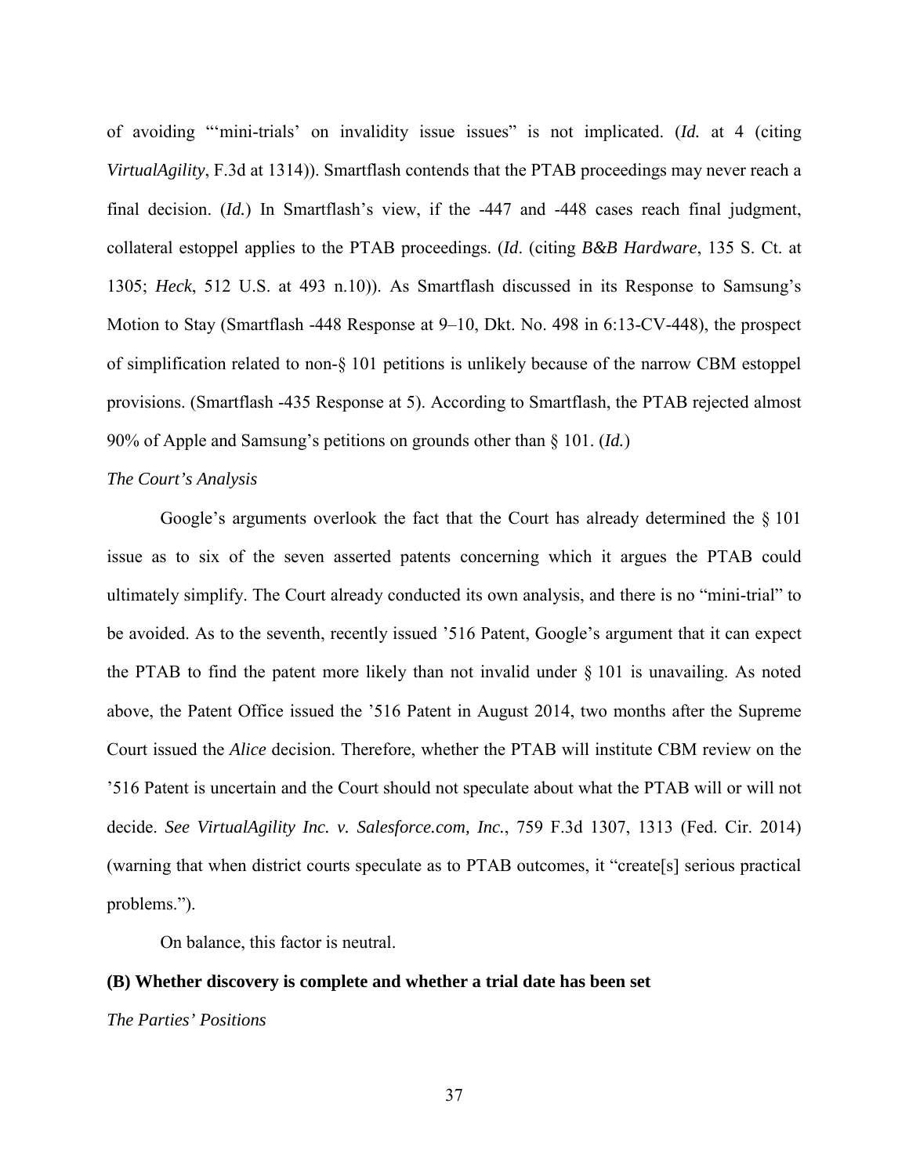of avoiding "'mini-trials' on invalidity issue issues" is not implicated. (*Id.* at 4 (citing *VirtualAgility*, F.3d at 1314)). Smartflash contends that the PTAB proceedings may never reach a final decision. (*Id.*) In Smartflash's view, if the -447 and -448 cases reach final judgment, collateral estoppel applies to the PTAB proceedings. (*Id*. (citing *B&B Hardware*, 135 S. Ct. at 1305; *Heck*, 512 U.S. at 493 n.10)). As Smartflash discussed in its Response to Samsung's Motion to Stay (Smartflash -448 Response at 9–10, Dkt. No. 498 in 6:13-CV-448), the prospect of simplification related to non-§ 101 petitions is unlikely because of the narrow CBM estoppel provisions. (Smartflash -435 Response at 5). According to Smartflash, the PTAB rejected almost 90% of Apple and Samsung's petitions on grounds other than § 101. (*Id.*)

#### *The Court's Analysis*

Google's arguments overlook the fact that the Court has already determined the § 101 issue as to six of the seven asserted patents concerning which it argues the PTAB could ultimately simplify. The Court already conducted its own analysis, and there is no "mini-trial" to be avoided. As to the seventh, recently issued '516 Patent, Google's argument that it can expect the PTAB to find the patent more likely than not invalid under  $\S$  101 is unavailing. As noted above, the Patent Office issued the '516 Patent in August 2014, two months after the Supreme Court issued the *Alice* decision. Therefore, whether the PTAB will institute CBM review on the '516 Patent is uncertain and the Court should not speculate about what the PTAB will or will not decide. *See VirtualAgility Inc. v. Salesforce.com, Inc.*, 759 F.3d 1307, 1313 (Fed. Cir. 2014) (warning that when district courts speculate as to PTAB outcomes, it "create[s] serious practical problems.").

On balance, this factor is neutral.

## **(B) Whether discovery is complete and whether a trial date has been set**

### *The Parties' Positions*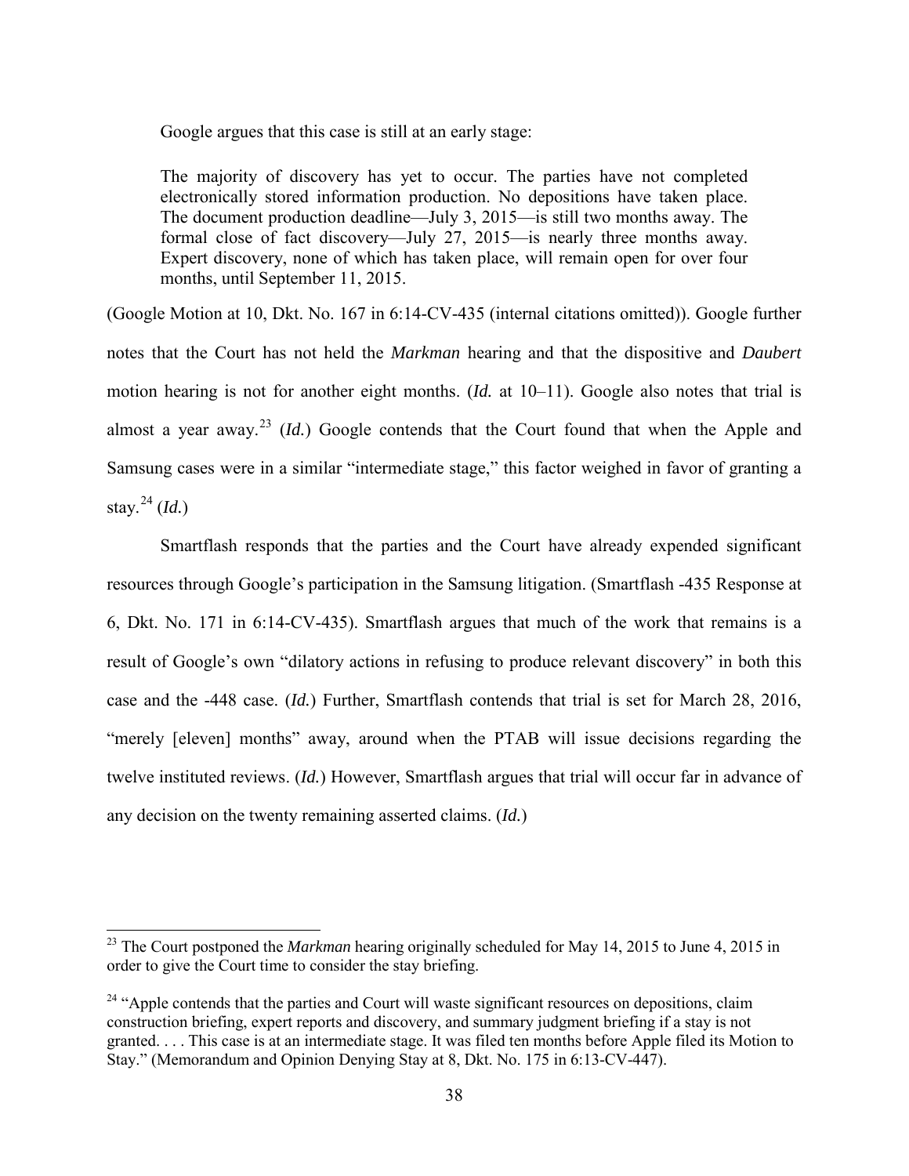Google argues that this case is still at an early stage:

The majority of discovery has yet to occur. The parties have not completed electronically stored information production. No depositions have taken place. The document production deadline—July 3, 2015—is still two months away. The formal close of fact discovery—July 27, 2015—is nearly three months away. Expert discovery, none of which has taken place, will remain open for over four months, until September 11, 2015.

(Google Motion at 10, Dkt. No. 167 in 6:14-CV-435 (internal citations omitted)). Google further notes that the Court has not held the *Markman* hearing and that the dispositive and *Daubert* motion hearing is not for another eight months. (*Id.* at 10–11). Google also notes that trial is almost a year away.<sup>[23](#page-37-0)</sup> (*Id.*) Google contends that the Court found that when the Apple and Samsung cases were in a similar "intermediate stage," this factor weighed in favor of granting a stay.<sup>[24](#page-37-1)</sup> (*Id.*)

Smartflash responds that the parties and the Court have already expended significant resources through Google's participation in the Samsung litigation. (Smartflash -435 Response at 6, Dkt. No. 171 in 6:14-CV-435). Smartflash argues that much of the work that remains is a result of Google's own "dilatory actions in refusing to produce relevant discovery" in both this case and the -448 case. (*Id.*) Further, Smartflash contends that trial is set for March 28, 2016, "merely [eleven] months" away, around when the PTAB will issue decisions regarding the twelve instituted reviews. (*Id.*) However, Smartflash argues that trial will occur far in advance of any decision on the twenty remaining asserted claims. (*Id.*)

-

<span id="page-37-0"></span><sup>&</sup>lt;sup>23</sup> The Court postponed the *Markman* hearing originally scheduled for May 14, 2015 to June 4, 2015 in order to give the Court time to consider the stay briefing.

<span id="page-37-1"></span> $24$  "Apple contends that the parties and Court will waste significant resources on depositions, claim construction briefing, expert reports and discovery, and summary judgment briefing if a stay is not granted. . . . This case is at an intermediate stage. It was filed ten months before Apple filed its Motion to Stay." (Memorandum and Opinion Denying Stay at 8, Dkt. No. 175 in 6:13-CV-447).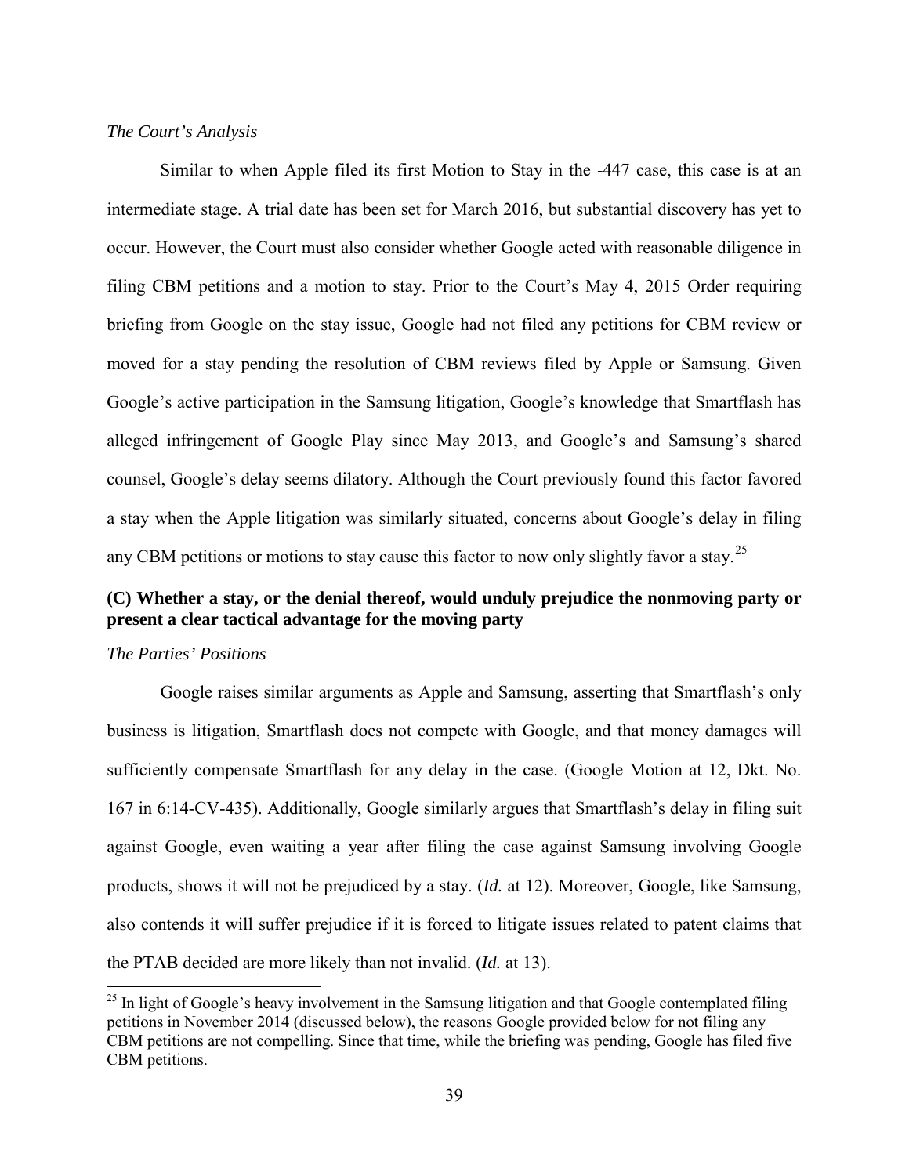### *The Court's Analysis*

Similar to when Apple filed its first Motion to Stay in the -447 case, this case is at an intermediate stage. A trial date has been set for March 2016, but substantial discovery has yet to occur. However, the Court must also consider whether Google acted with reasonable diligence in filing CBM petitions and a motion to stay. Prior to the Court's May 4, 2015 Order requiring briefing from Google on the stay issue, Google had not filed any petitions for CBM review or moved for a stay pending the resolution of CBM reviews filed by Apple or Samsung. Given Google's active participation in the Samsung litigation, Google's knowledge that Smartflash has alleged infringement of Google Play since May 2013, and Google's and Samsung's shared counsel, Google's delay seems dilatory. Although the Court previously found this factor favored a stay when the Apple litigation was similarly situated, concerns about Google's delay in filing any CBM petitions or motions to stay cause this factor to now only slightly favor a stay.<sup>[25](#page-38-0)</sup>

# **(C) Whether a stay, or the denial thereof, would unduly prejudice the nonmoving party or present a clear tactical advantage for the moving party**

### *The Parties' Positions*

 $\overline{a}$ 

Google raises similar arguments as Apple and Samsung, asserting that Smartflash's only business is litigation, Smartflash does not compete with Google, and that money damages will sufficiently compensate Smartflash for any delay in the case. (Google Motion at 12, Dkt. No. 167 in 6:14-CV-435). Additionally, Google similarly argues that Smartflash's delay in filing suit against Google, even waiting a year after filing the case against Samsung involving Google products, shows it will not be prejudiced by a stay. (*Id.* at 12). Moreover, Google, like Samsung, also contends it will suffer prejudice if it is forced to litigate issues related to patent claims that the PTAB decided are more likely than not invalid. (*Id.* at 13).

<span id="page-38-0"></span> $25$  In light of Google's heavy involvement in the Samsung litigation and that Google contemplated filing petitions in November 2014 (discussed below), the reasons Google provided below for not filing any CBM petitions are not compelling. Since that time, while the briefing was pending, Google has filed five CBM petitions.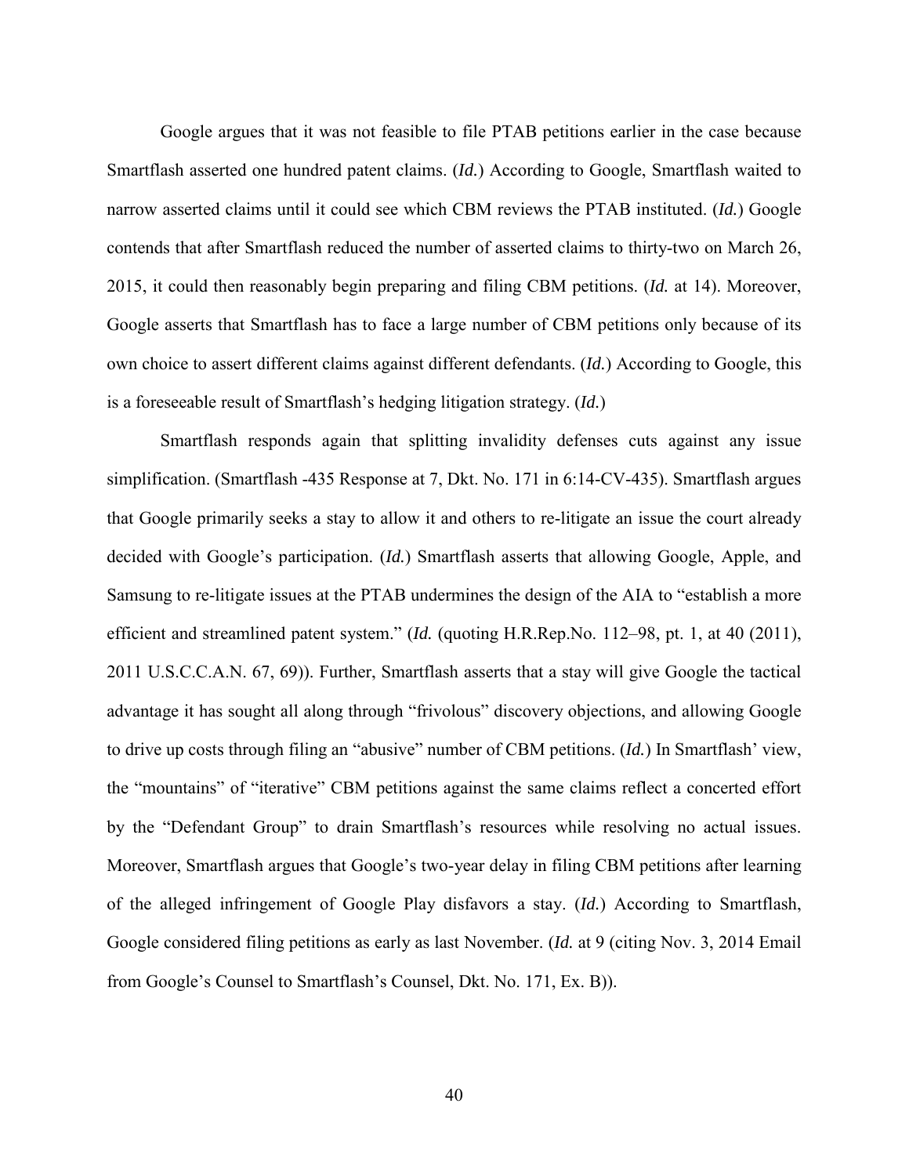Google argues that it was not feasible to file PTAB petitions earlier in the case because Smartflash asserted one hundred patent claims. (*Id.*) According to Google, Smartflash waited to narrow asserted claims until it could see which CBM reviews the PTAB instituted. (*Id.*) Google contends that after Smartflash reduced the number of asserted claims to thirty-two on March 26, 2015, it could then reasonably begin preparing and filing CBM petitions. (*Id.* at 14). Moreover, Google asserts that Smartflash has to face a large number of CBM petitions only because of its own choice to assert different claims against different defendants. (*Id.*) According to Google, this is a foreseeable result of Smartflash's hedging litigation strategy. (*Id.*)

Smartflash responds again that splitting invalidity defenses cuts against any issue simplification. (Smartflash -435 Response at 7, Dkt. No. 171 in 6:14-CV-435). Smartflash argues that Google primarily seeks a stay to allow it and others to re-litigate an issue the court already decided with Google's participation. (*Id.*) Smartflash asserts that allowing Google, Apple, and Samsung to re-litigate issues at the PTAB undermines the design of the AIA to "establish a more efficient and streamlined patent system." (*Id.* (quoting H.R.Rep.No. 112–98, pt. 1, at 40 (2011), 2011 U.S.C.C.A.N. 67, 69)). Further, Smartflash asserts that a stay will give Google the tactical advantage it has sought all along through "frivolous" discovery objections, and allowing Google to drive up costs through filing an "abusive" number of CBM petitions. (*Id.*) In Smartflash' view, the "mountains" of "iterative" CBM petitions against the same claims reflect a concerted effort by the "Defendant Group" to drain Smartflash's resources while resolving no actual issues. Moreover, Smartflash argues that Google's two-year delay in filing CBM petitions after learning of the alleged infringement of Google Play disfavors a stay. (*Id.*) According to Smartflash, Google considered filing petitions as early as last November. (*Id.* at 9 (citing Nov. 3, 2014 Email from Google's Counsel to Smartflash's Counsel, Dkt. No. 171, Ex. B)).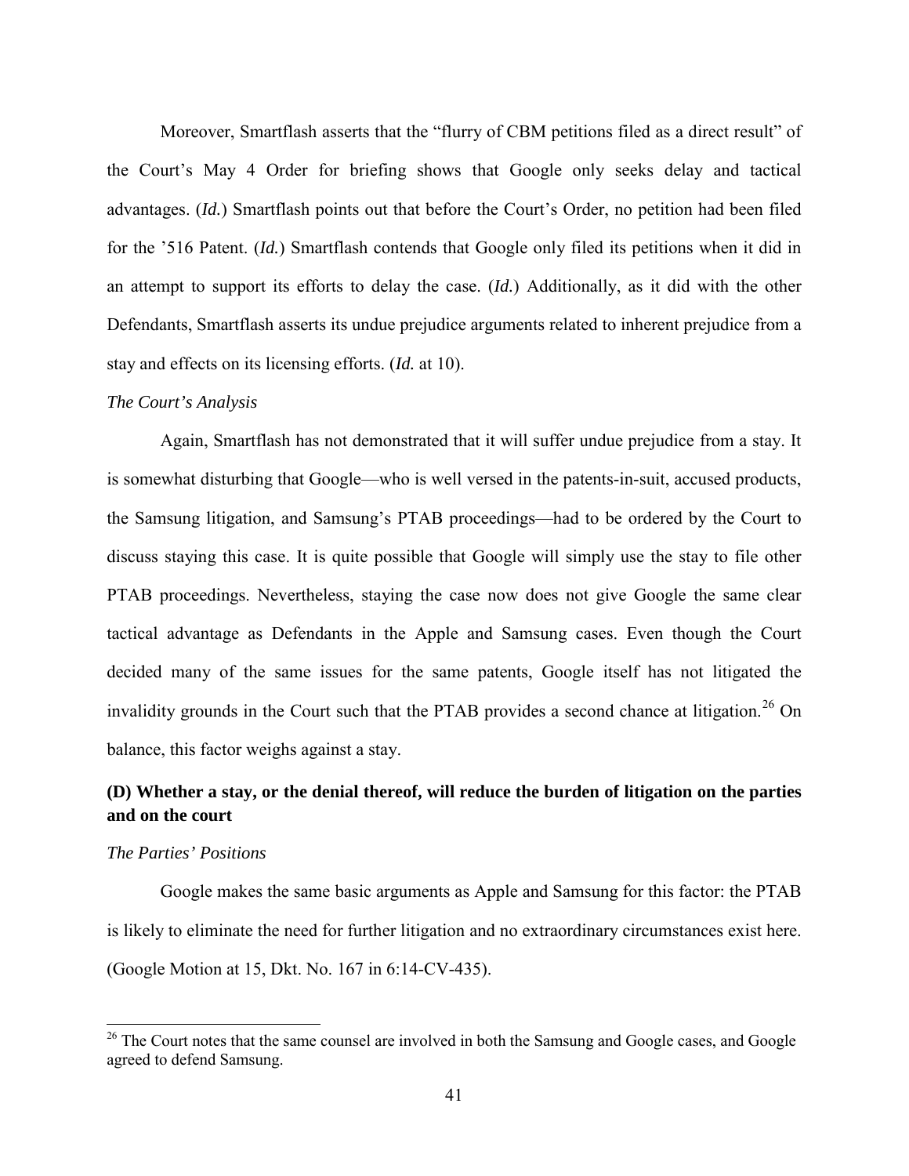Moreover, Smartflash asserts that the "flurry of CBM petitions filed as a direct result" of the Court's May 4 Order for briefing shows that Google only seeks delay and tactical advantages. (*Id.*) Smartflash points out that before the Court's Order, no petition had been filed for the '516 Patent. (*Id.*) Smartflash contends that Google only filed its petitions when it did in an attempt to support its efforts to delay the case. (*Id.*) Additionally, as it did with the other Defendants, Smartflash asserts its undue prejudice arguments related to inherent prejudice from a stay and effects on its licensing efforts. (*Id.* at 10).

#### *The Court's Analysis*

Again, Smartflash has not demonstrated that it will suffer undue prejudice from a stay. It is somewhat disturbing that Google—who is well versed in the patents-in-suit, accused products, the Samsung litigation, and Samsung's PTAB proceedings—had to be ordered by the Court to discuss staying this case. It is quite possible that Google will simply use the stay to file other PTAB proceedings. Nevertheless, staying the case now does not give Google the same clear tactical advantage as Defendants in the Apple and Samsung cases. Even though the Court decided many of the same issues for the same patents, Google itself has not litigated the invalidity grounds in the Court such that the PTAB provides a second chance at litigation.<sup>[26](#page-40-0)</sup> On balance, this factor weighs against a stay.

# **(D) Whether a stay, or the denial thereof, will reduce the burden of litigation on the parties and on the court**

### *The Parties' Positions*

 $\overline{a}$ 

Google makes the same basic arguments as Apple and Samsung for this factor: the PTAB is likely to eliminate the need for further litigation and no extraordinary circumstances exist here. (Google Motion at 15, Dkt. No. 167 in 6:14-CV-435).

<span id="page-40-0"></span><sup>&</sup>lt;sup>26</sup> The Court notes that the same counsel are involved in both the Samsung and Google cases, and Google agreed to defend Samsung.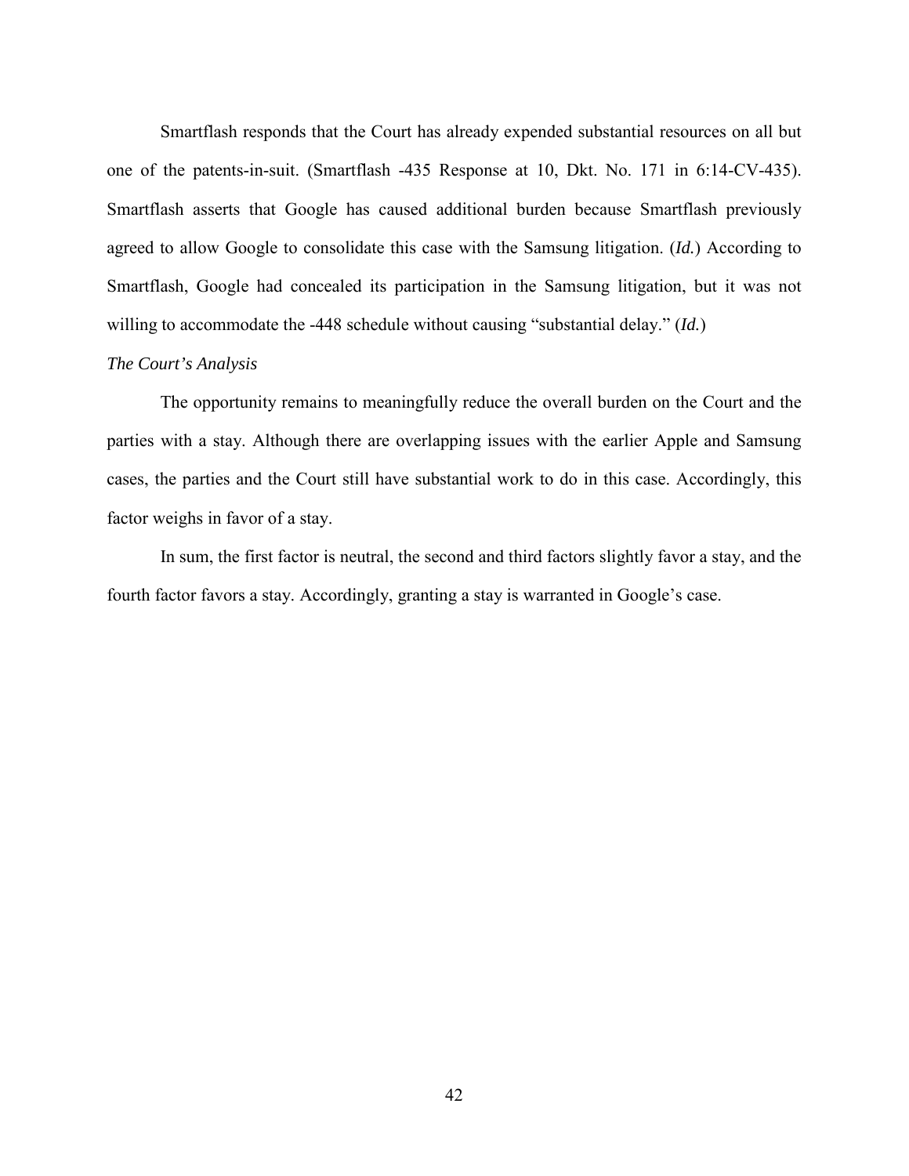Smartflash responds that the Court has already expended substantial resources on all but one of the patents-in-suit. (Smartflash -435 Response at 10, Dkt. No. 171 in 6:14-CV-435). Smartflash asserts that Google has caused additional burden because Smartflash previously agreed to allow Google to consolidate this case with the Samsung litigation. (*Id.*) According to Smartflash, Google had concealed its participation in the Samsung litigation, but it was not willing to accommodate the -448 schedule without causing "substantial delay." (*Id.*)

## *The Court's Analysis*

The opportunity remains to meaningfully reduce the overall burden on the Court and the parties with a stay. Although there are overlapping issues with the earlier Apple and Samsung cases, the parties and the Court still have substantial work to do in this case. Accordingly, this factor weighs in favor of a stay.

In sum, the first factor is neutral, the second and third factors slightly favor a stay, and the fourth factor favors a stay. Accordingly, granting a stay is warranted in Google's case.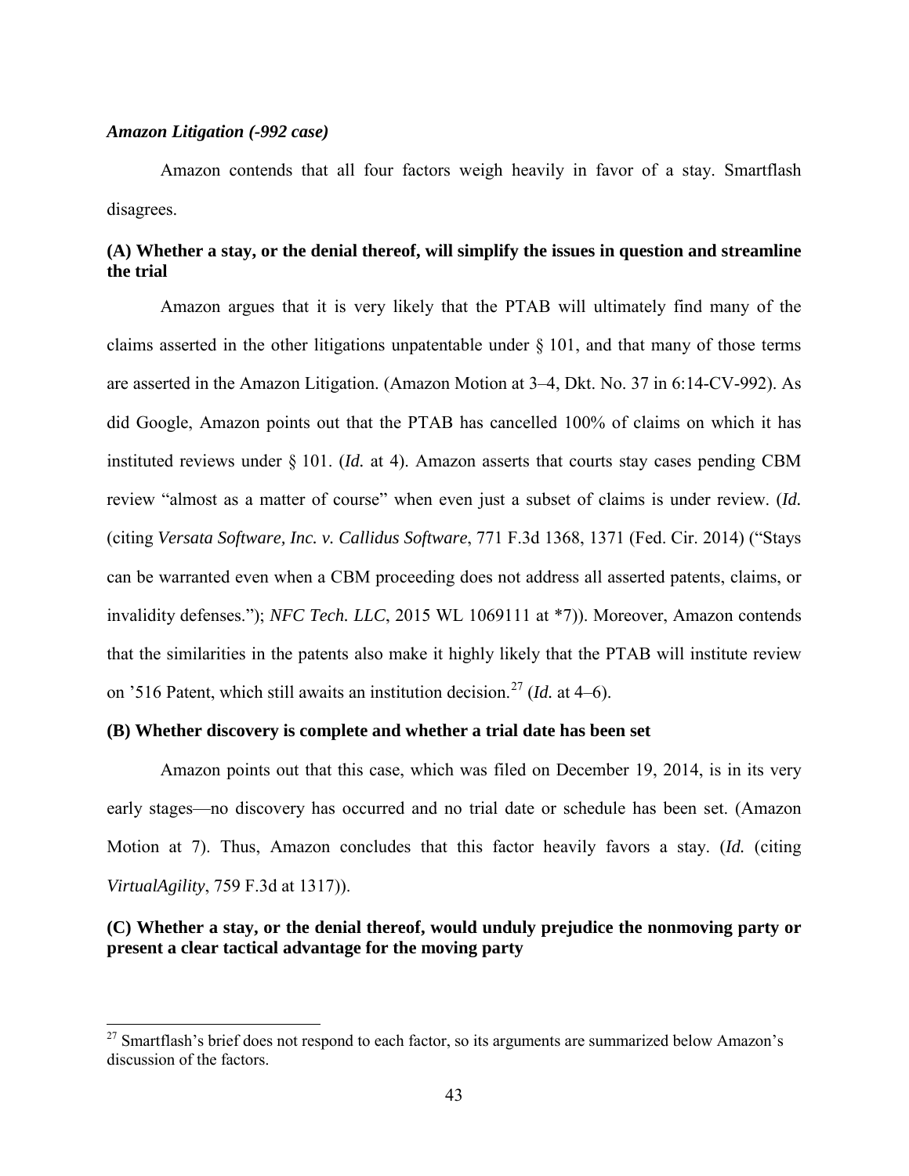### *Amazon Litigation (-992 case)*

1

Amazon contends that all four factors weigh heavily in favor of a stay. Smartflash disagrees.

# **(A) Whether a stay, or the denial thereof, will simplify the issues in question and streamline the trial**

Amazon argues that it is very likely that the PTAB will ultimately find many of the claims asserted in the other litigations unpatentable under  $\S 101$ , and that many of those terms are asserted in the Amazon Litigation. (Amazon Motion at 3–4, Dkt. No. 37 in 6:14-CV-992). As did Google, Amazon points out that the PTAB has cancelled 100% of claims on which it has instituted reviews under § 101. (*Id.* at 4). Amazon asserts that courts stay cases pending CBM review "almost as a matter of course" when even just a subset of claims is under review. (*Id.* (citing *Versata Software, Inc. v. Callidus Software*, 771 F.3d 1368, 1371 (Fed. Cir. 2014) ("Stays can be warranted even when a CBM proceeding does not address all asserted patents, claims, or invalidity defenses."); *NFC Tech. LLC*, 2015 WL 1069111 at \*7)). Moreover, Amazon contends that the similarities in the patents also make it highly likely that the PTAB will institute review on '516 Patent, which still awaits an institution decision. [27](#page-42-0) (*Id.* at 4–6).

## **(B) Whether discovery is complete and whether a trial date has been set**

Amazon points out that this case, which was filed on December 19, 2014, is in its very early stages—no discovery has occurred and no trial date or schedule has been set. (Amazon Motion at 7). Thus, Amazon concludes that this factor heavily favors a stay. (*Id.* (citing *VirtualAgility*, 759 F.3d at 1317)).

# **(C) Whether a stay, or the denial thereof, would unduly prejudice the nonmoving party or present a clear tactical advantage for the moving party**

<span id="page-42-0"></span><sup>&</sup>lt;sup>27</sup> Smartflash's brief does not respond to each factor, so its arguments are summarized below Amazon's discussion of the factors.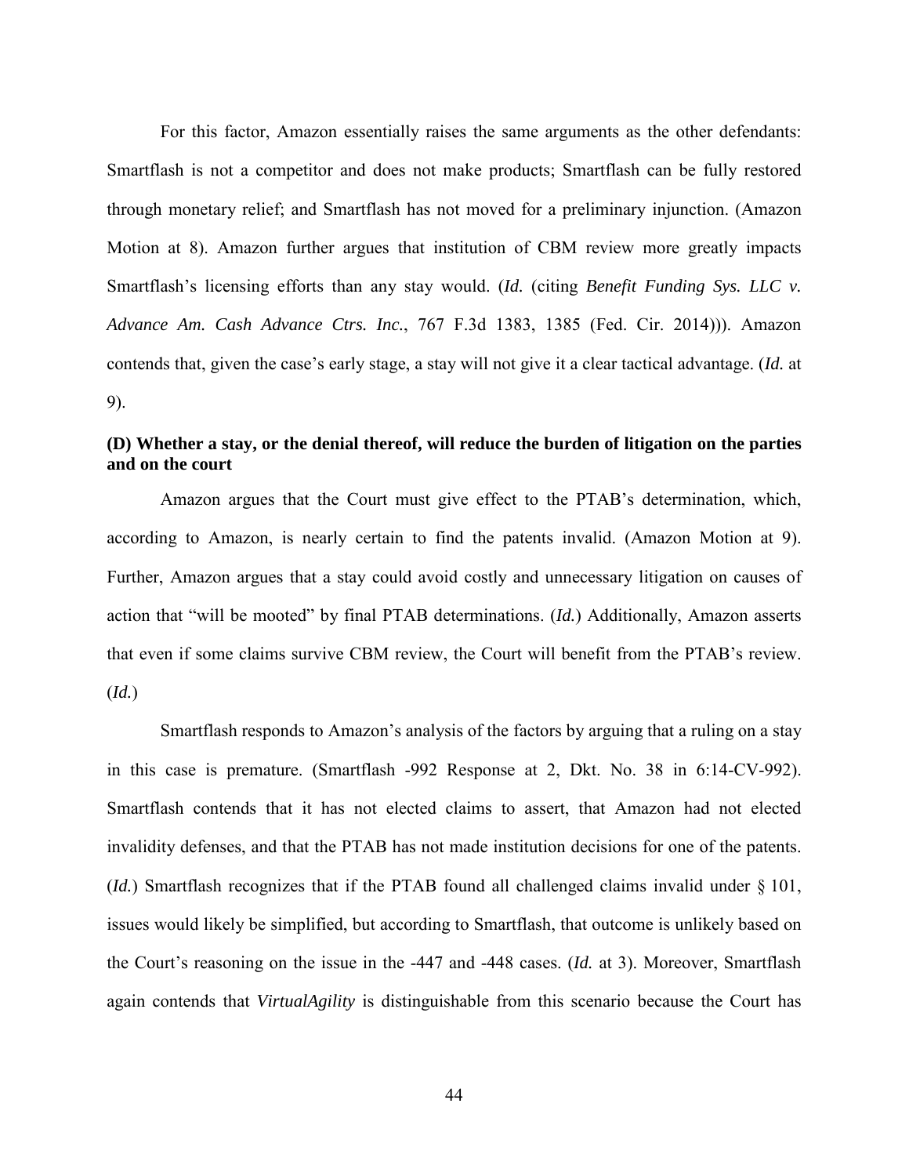For this factor, Amazon essentially raises the same arguments as the other defendants: Smartflash is not a competitor and does not make products; Smartflash can be fully restored through monetary relief; and Smartflash has not moved for a preliminary injunction. (Amazon Motion at 8). Amazon further argues that institution of CBM review more greatly impacts Smartflash's licensing efforts than any stay would. (*Id.* (citing *Benefit Funding Sys. LLC v. Advance Am. Cash Advance Ctrs. Inc.*, 767 F.3d 1383, 1385 (Fed. Cir. 2014))). Amazon contends that, given the case's early stage, a stay will not give it a clear tactical advantage. (*Id.* at 9).

# **(D) Whether a stay, or the denial thereof, will reduce the burden of litigation on the parties and on the court**

Amazon argues that the Court must give effect to the PTAB's determination, which, according to Amazon, is nearly certain to find the patents invalid. (Amazon Motion at 9). Further, Amazon argues that a stay could avoid costly and unnecessary litigation on causes of action that "will be mooted" by final PTAB determinations. (*Id.*) Additionally, Amazon asserts that even if some claims survive CBM review, the Court will benefit from the PTAB's review. (*Id.*)

Smartflash responds to Amazon's analysis of the factors by arguing that a ruling on a stay in this case is premature. (Smartflash -992 Response at 2, Dkt. No. 38 in 6:14-CV-992). Smartflash contends that it has not elected claims to assert, that Amazon had not elected invalidity defenses, and that the PTAB has not made institution decisions for one of the patents. (*Id.*) Smartflash recognizes that if the PTAB found all challenged claims invalid under § 101, issues would likely be simplified, but according to Smartflash, that outcome is unlikely based on the Court's reasoning on the issue in the -447 and -448 cases. (*Id.* at 3). Moreover, Smartflash again contends that *VirtualAgility* is distinguishable from this scenario because the Court has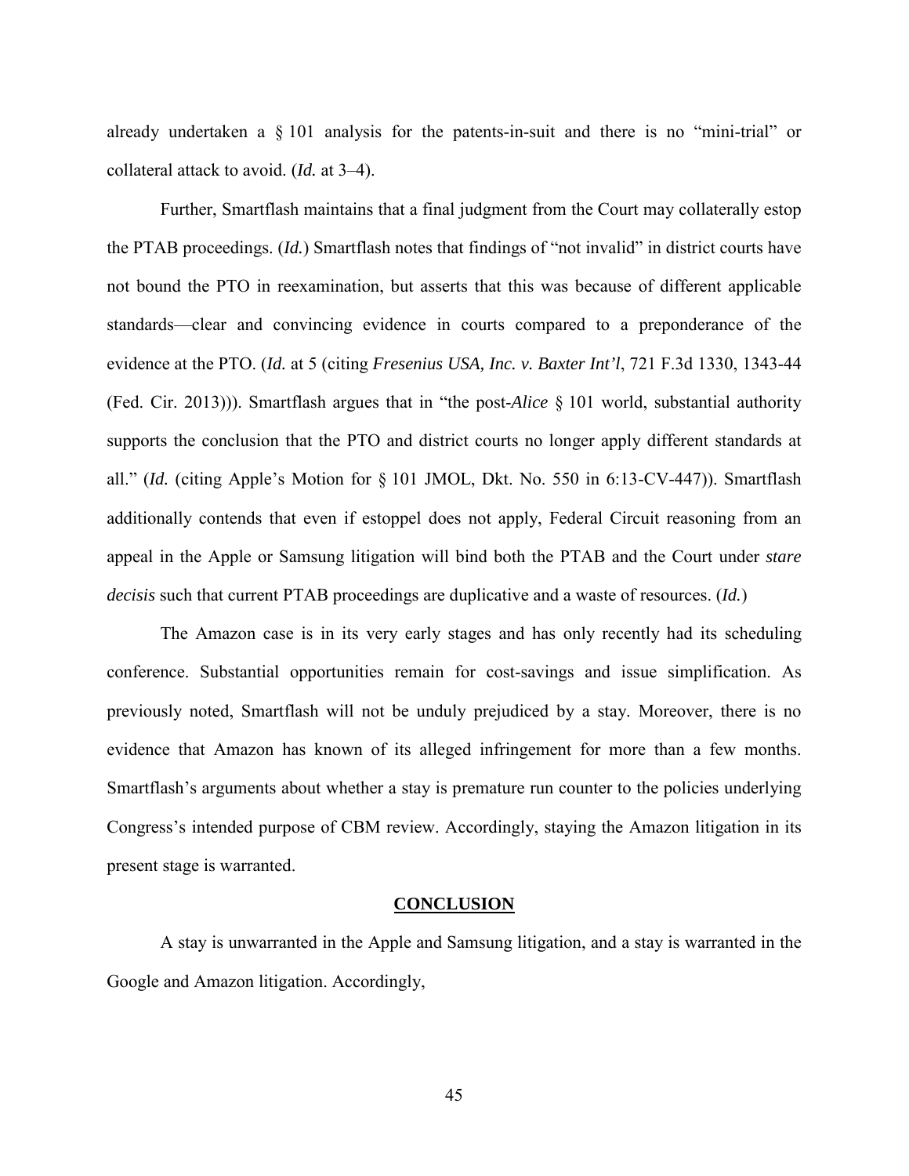already undertaken a § 101 analysis for the patents-in-suit and there is no "mini-trial" or collateral attack to avoid. (*Id.* at 3–4).

Further, Smartflash maintains that a final judgment from the Court may collaterally estop the PTAB proceedings. (*Id.*) Smartflash notes that findings of "not invalid" in district courts have not bound the PTO in reexamination, but asserts that this was because of different applicable standards—clear and convincing evidence in courts compared to a preponderance of the evidence at the PTO. (*Id.* at 5 (citing *Fresenius USA, Inc. v. Baxter Int'l*, 721 F.3d 1330, 1343-44 (Fed. Cir. 2013))). Smartflash argues that in "the post-*Alice* § 101 world, substantial authority supports the conclusion that the PTO and district courts no longer apply different standards at all." (*Id.* (citing Apple's Motion for § 101 JMOL, Dkt. No. 550 in 6:13-CV-447)). Smartflash additionally contends that even if estoppel does not apply, Federal Circuit reasoning from an appeal in the Apple or Samsung litigation will bind both the PTAB and the Court under *stare decisis* such that current PTAB proceedings are duplicative and a waste of resources. (*Id.*)

The Amazon case is in its very early stages and has only recently had its scheduling conference. Substantial opportunities remain for cost-savings and issue simplification. As previously noted, Smartflash will not be unduly prejudiced by a stay. Moreover, there is no evidence that Amazon has known of its alleged infringement for more than a few months. Smartflash's arguments about whether a stay is premature run counter to the policies underlying Congress's intended purpose of CBM review. Accordingly, staying the Amazon litigation in its present stage is warranted.

#### **CONCLUSION**

A stay is unwarranted in the Apple and Samsung litigation, and a stay is warranted in the Google and Amazon litigation. Accordingly,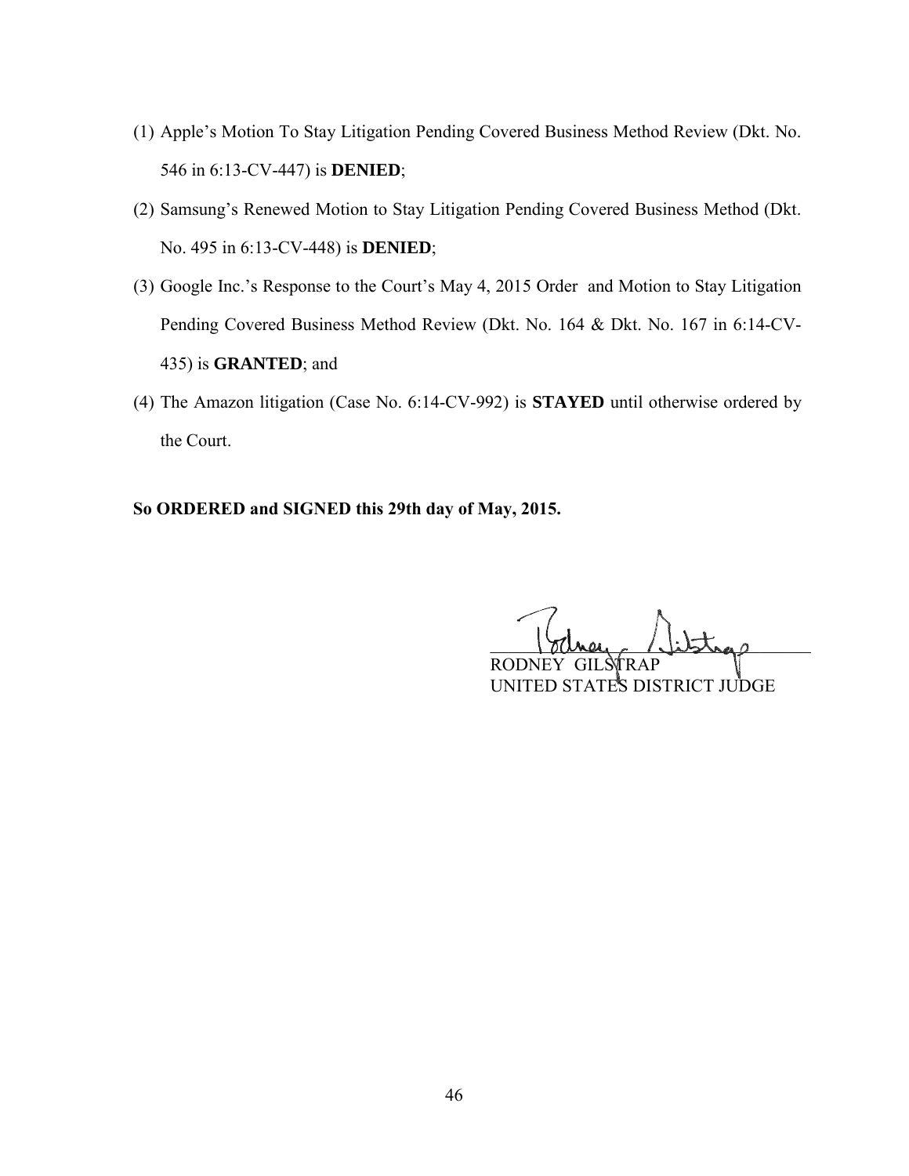- (1) Apple's Motion To Stay Litigation Pending Covered Business Method Review (Dkt. No. 546 in 6:13-CV-447) is **DENIED**;
- (2) Samsung's Renewed Motion to Stay Litigation Pending Covered Business Method (Dkt. No. 495 in 6:13-CV-448) is **DENIED**;
- (3) Google Inc.'s Response to the Court's May 4, 2015 Order and Motion to Stay Litigation Pending Covered Business Method Review (Dkt. No. 164 & Dkt. No. 167 in 6:14-CV-435) is **GRANTED**; and
- (4) The Amazon litigation (Case No. 6:14-CV-992) is **STAYED** until otherwise ordered by the Court.

# **So ORDERED and SIGNED this 29th day of May, 2015.**

 $100$ mey (libras) ROD<sub>3</sub> UNITED STATES DISTRICT JUDGE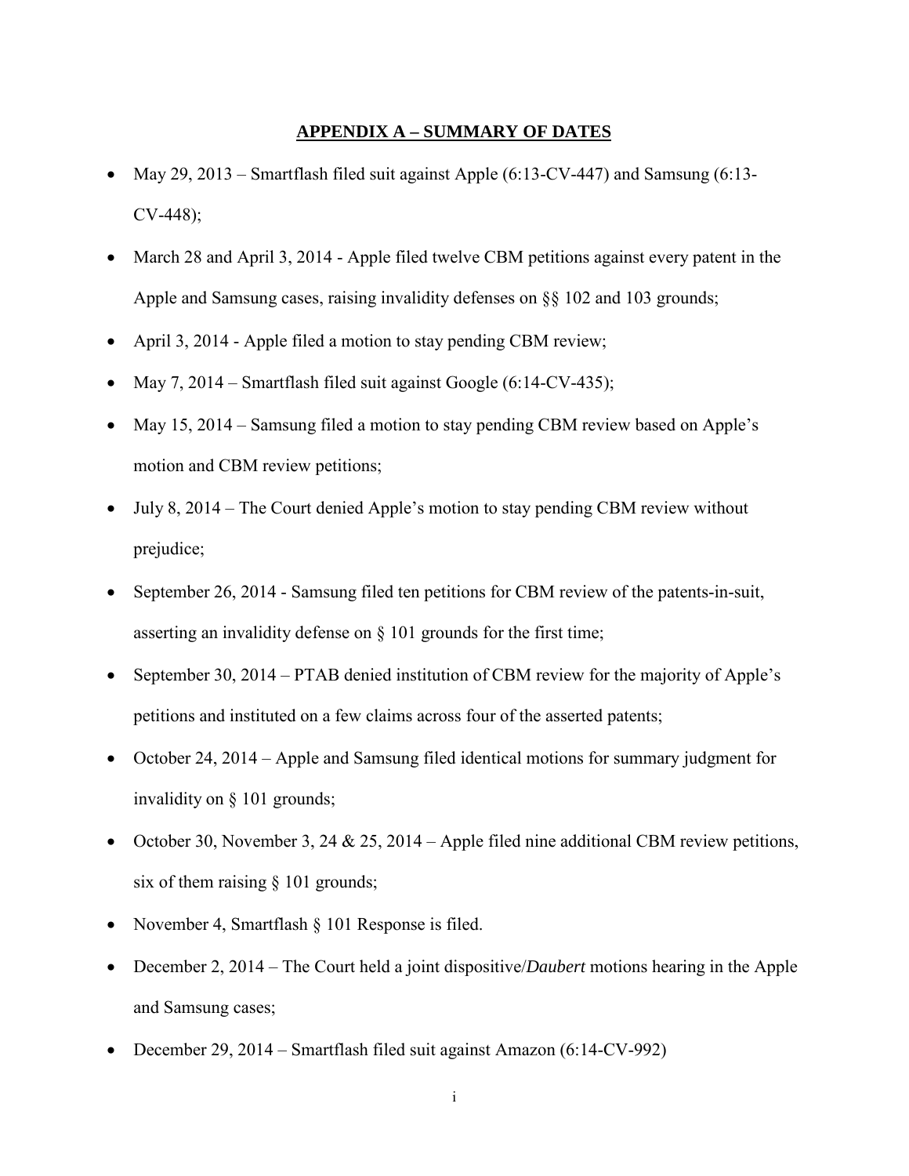### **APPENDIX A – SUMMARY OF DATES**

- May 29, 2013 Smartflash filed suit against Apple (6:13-CV-447) and Samsung (6:13- CV-448);
- March 28 and April 3, 2014 Apple filed twelve CBM petitions against every patent in the Apple and Samsung cases, raising invalidity defenses on §§ 102 and 103 grounds;
- April 3, 2014 Apple filed a motion to stay pending CBM review;
- May 7, 2014 Smartflash filed suit against Google (6:14-CV-435);
- May 15, 2014 Samsung filed a motion to stay pending CBM review based on Apple's motion and CBM review petitions;
- July 8, 2014 The Court denied Apple's motion to stay pending CBM review without prejudice;
- September 26, 2014 Samsung filed ten petitions for CBM review of the patents-in-suit, asserting an invalidity defense on § 101 grounds for the first time;
- September 30, 2014 PTAB denied institution of CBM review for the majority of Apple's petitions and instituted on a few claims across four of the asserted patents;
- October 24, 2014 Apple and Samsung filed identical motions for summary judgment for invalidity on § 101 grounds;
- October 30, November 3, 24 & 25, 2014 Apple filed nine additional CBM review petitions, six of them raising § 101 grounds;
- November 4, Smartflash § 101 Response is filed.
- December 2, 2014 The Court held a joint dispositive/*Daubert* motions hearing in the Apple and Samsung cases;
- December 29, 2014 Smartflash filed suit against Amazon (6:14-CV-992)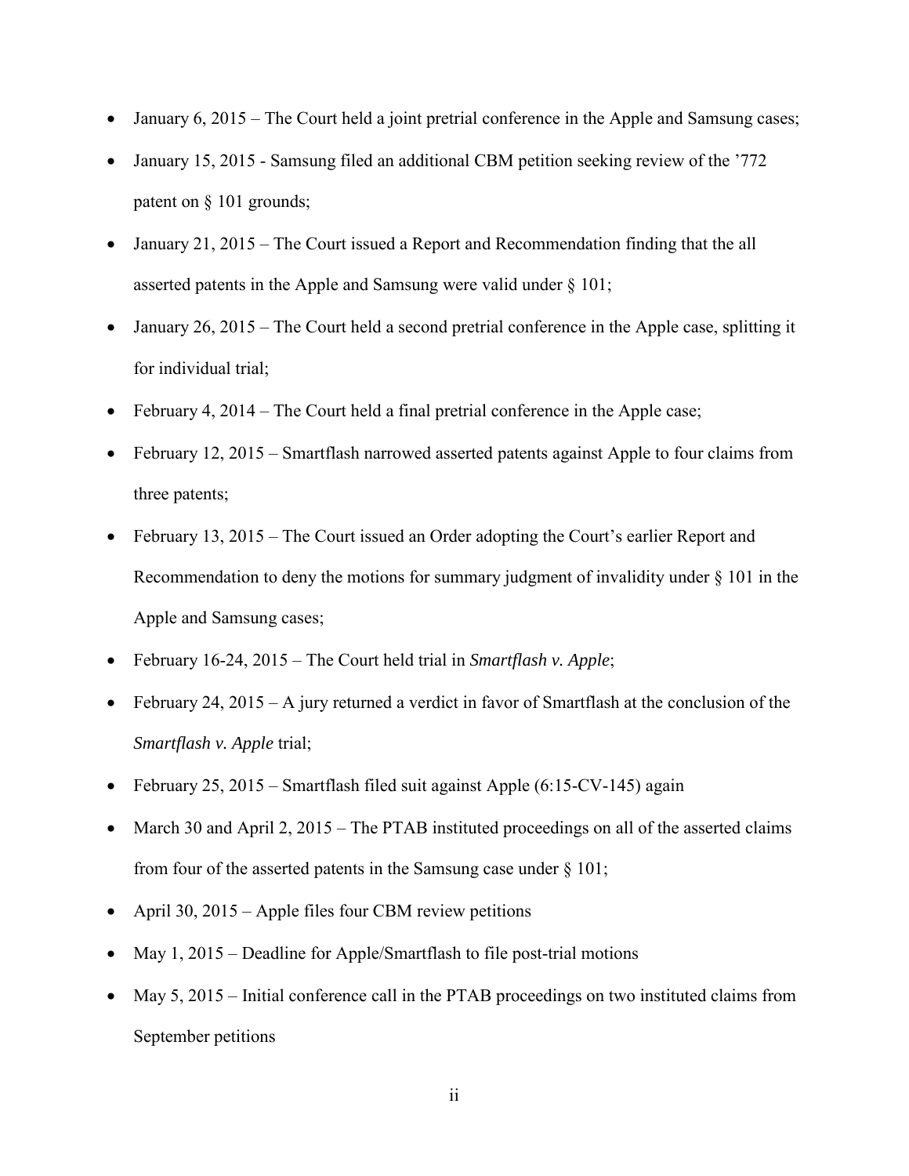- January 6, 2015 The Court held a joint pretrial conference in the Apple and Samsung cases;
- January 15, 2015 Samsung filed an additional CBM petition seeking review of the '772 patent on § 101 grounds;
- January 21, 2015 The Court issued a Report and Recommendation finding that the all asserted patents in the Apple and Samsung were valid under § 101;
- January 26, 2015 The Court held a second pretrial conference in the Apple case, splitting it for individual trial;
- February 4, 2014 The Court held a final pretrial conference in the Apple case;
- February 12, 2015 Smartflash narrowed asserted patents against Apple to four claims from three patents;
- February 13, 2015 The Court issued an Order adopting the Court's earlier Report and Recommendation to deny the motions for summary judgment of invalidity under § 101 in the Apple and Samsung cases;
- February 16-24, 2015 The Court held trial in *Smartflash v. Apple*;
- February 24, 2015 A jury returned a verdict in favor of Smartflash at the conclusion of the *Smartflash v. Apple* trial;
- February 25, 2015 Smartflash filed suit against Apple  $(6:15$ -CV-145) again
- March 30 and April 2, 2015 The PTAB instituted proceedings on all of the asserted claims from four of the asserted patents in the Samsung case under  $\S$  101;
- April 30, 2015 Apple files four CBM review petitions
- May 1, 2015 Deadline for Apple/Smartflash to file post-trial motions
- May 5, 2015 Initial conference call in the PTAB proceedings on two instituted claims from September petitions